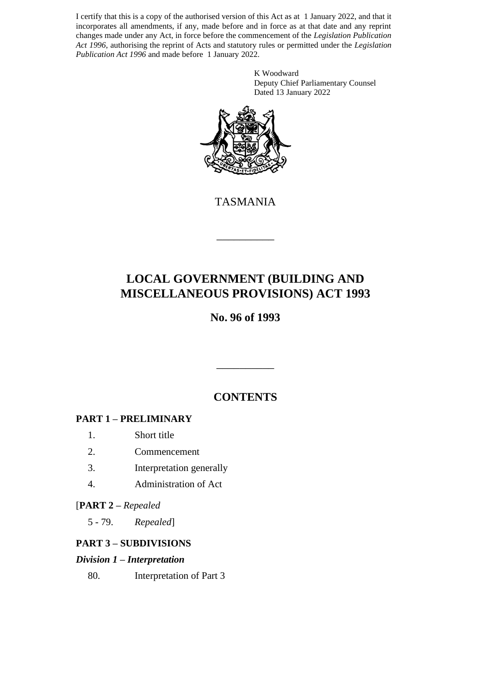I certify that this is a copy of the authorised version of this Act as at 1 January 2022, and that it incorporates all amendments, if any, made before and in force as at that date and any reprint changes made under any Act, in force before the commencement of the *Legislation Publication Act 1996*, authorising the reprint of Acts and statutory rules or permitted under the *Legislation Publication Act 1996* and made before 1 January 2022.

> K Woodward Deputy Chief Parliamentary Counsel Dated 13 January 2022



TASMANIA

\_\_\_\_\_\_\_\_\_\_

# **LOCAL GOVERNMENT (BUILDING AND MISCELLANEOUS PROVISIONS) ACT 1993**

## **No. 96 of 1993**

## **CONTENTS**

\_\_\_\_\_\_\_\_\_\_

## **PART 1 – PRELIMINARY**

- 1. Short title
- 2. Commencement
- 3. Interpretation generally
- 4. Administration of Act

## [**PART 2 –** *Repealed*

5 - 79. *Repealed*]

## **PART 3 – SUBDIVISIONS**

### *Division 1 – Interpretation*

80. Interpretation of Part 3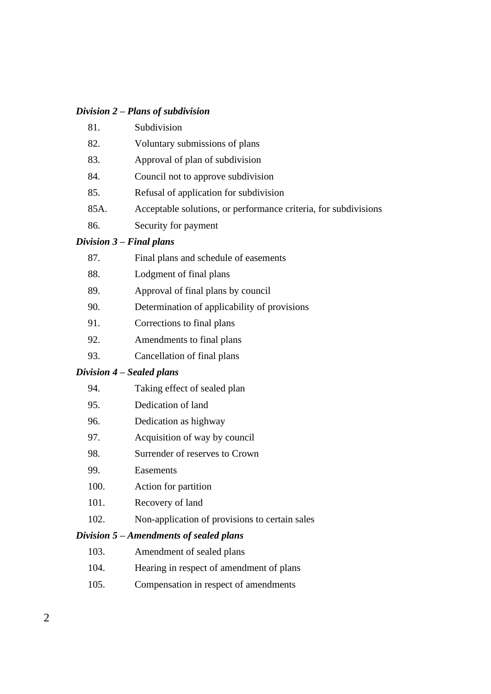### *Division 2 – Plans of subdivision*

| 81.  | Subdivision                                                     |
|------|-----------------------------------------------------------------|
| 82.  | Voluntary submissions of plans                                  |
| 83.  | Approval of plan of subdivision                                 |
| 84.  | Council not to approve subdivision                              |
| 85.  | Refusal of application for subdivision                          |
| 85A. | Acceptable solutions, or performance criteria, for subdivisions |
| 86.  | Security for payment                                            |
|      |                                                                 |

### *Division 3 – Final plans*

| 87.      | Final plans and schedule of easements          |
|----------|------------------------------------------------|
| 88.      | Lodgment of final plans                        |
| 89.      | Approval of final plans by council             |
| 90.      | Determination of applicability of provisions   |
| 91.      | Corrections to final plans                     |
| $\Omega$ | $\Lambda$ as an discorporate to fine $l$ where |

- 92. Amendments to final plans
- 93. Cancellation of final plans

### *Division 4 – Sealed plans*

- 95. Dedication of land
- 96. Dedication as highway
- 97. Acquisition of way by council
- 98. Surrender of reserves to Crown
- 99. Easements
- 100. Action for partition
- 101. Recovery of land
- 102. Non-application of provisions to certain sales

### *Division 5 – Amendments of sealed plans*

- 103. Amendment of sealed plans
- 104. Hearing in respect of amendment of plans
- 105. Compensation in respect of amendments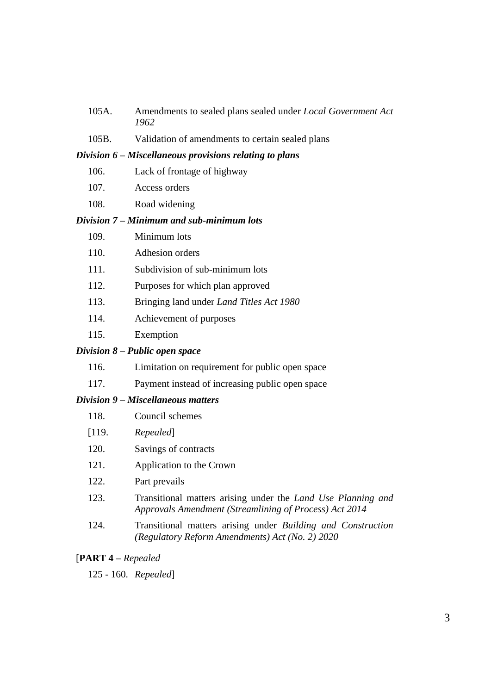- 105A. Amendments to sealed plans sealed under *Local Government Act 1962*
- 105B. Validation of amendments to certain sealed plans

#### *Division 6 – Miscellaneous provisions relating to plans*

- 106. Lack of frontage of highway
- 107. Access orders
- 108. Road widening

#### *Division 7 – Minimum and sub-minimum lots*

- 109. Minimum lots
- 110. Adhesion orders
- 111. Subdivision of sub-minimum lots
- 112. Purposes for which plan approved
- 113. Bringing land under *Land Titles Act 1980*
- 114. Achievement of purposes
- 115. Exemption

#### *Division 8 – Public open space*

- 116. Limitation on requirement for public open space
- 117. Payment instead of increasing public open space

#### *Division 9 – Miscellaneous matters*

- 118. Council schemes
- [119. *Repealed*]
- 120. Savings of contracts
- 121. Application to the Crown
- 122. Part prevails
- 123. Transitional matters arising under the *Land Use Planning and Approvals Amendment (Streamlining of Process) Act 2014*
- 124. Transitional matters arising under *Building and Construction (Regulatory Reform Amendments) Act (No. 2) 2020*

### [**PART 4 –** *Repealed*

125 - 160. *Repealed*]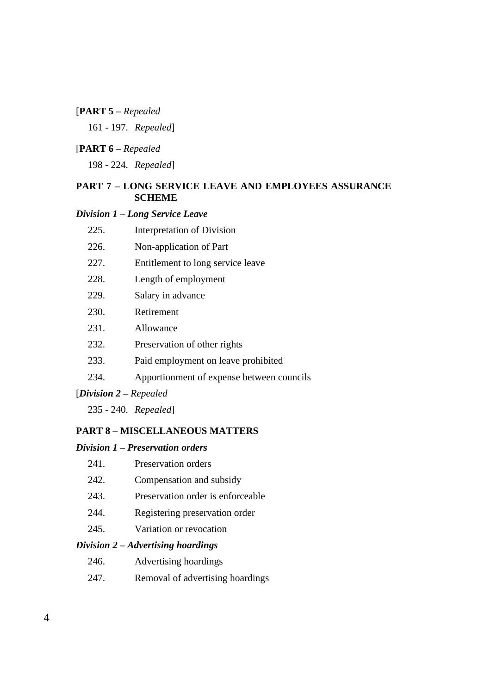## [**PART 5 –** *Repealed*

161 - 197. *Repealed*]

### [**PART 6 –** *Repealed*

198 - 224. *Repealed*]

### **PART 7 – LONG SERVICE LEAVE AND EMPLOYEES ASSURANCE SCHEME**

### *Division 1 – Long Service Leave*

|                                                                           | 225. | Interpretation of Division                |  |  |  |
|---------------------------------------------------------------------------|------|-------------------------------------------|--|--|--|
|                                                                           | 226. | Non-application of Part                   |  |  |  |
|                                                                           | 227. | Entitlement to long service leave         |  |  |  |
|                                                                           | 228. | Length of employment                      |  |  |  |
|                                                                           | 229. | Salary in advance                         |  |  |  |
|                                                                           | 230. | Retirement                                |  |  |  |
|                                                                           | 231. | Allowance                                 |  |  |  |
|                                                                           | 232. | Preservation of other rights              |  |  |  |
|                                                                           | 233. | Paid employment on leave prohibited       |  |  |  |
|                                                                           | 234. | Apportionment of expense between councils |  |  |  |
| [Division $2$ – Repealed                                                  |      |                                           |  |  |  |
|                                                                           |      | $235 - 240$ . Repealed                    |  |  |  |
| <b>PART 8 – MISCELLANEOUS MATTERS</b><br>Division 1 – Preservation orders |      |                                           |  |  |  |
|                                                                           |      |                                           |  |  |  |

| 241. | Preservation orders |  |
|------|---------------------|--|
|      |                     |  |

- 242. Compensation and subsidy
- 243. Preservation order is enforceable
- 244. Registering preservation order
- 245. Variation or revocation

### *Division 2 – Advertising hoardings*

- 246. Advertising hoardings
- 247. Removal of advertising hoardings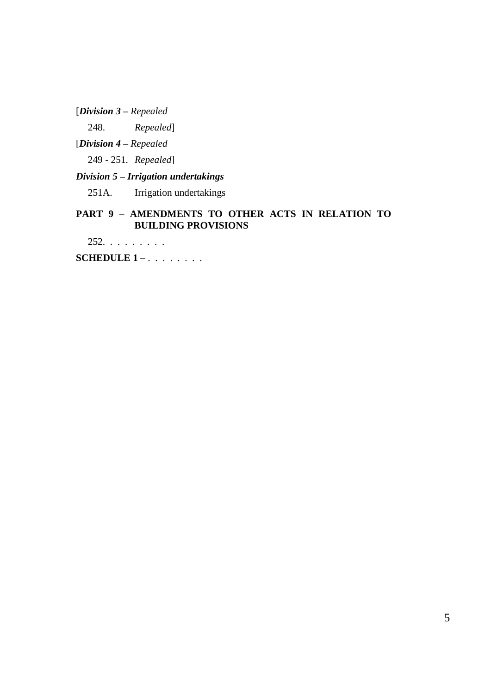[*Division 3 – Repealed*

248. *Repealed*]

[*Division 4 – Repealed*

249 - 251. *Repealed*]

## *Division 5 – Irrigation undertakings*

251A. Irrigation undertakings

## **PART 9 – AMENDMENTS TO OTHER ACTS IN RELATION TO BUILDING PROVISIONS**

252. . . . . . . . .

**SCHEDULE 1 –** . . . . . . . .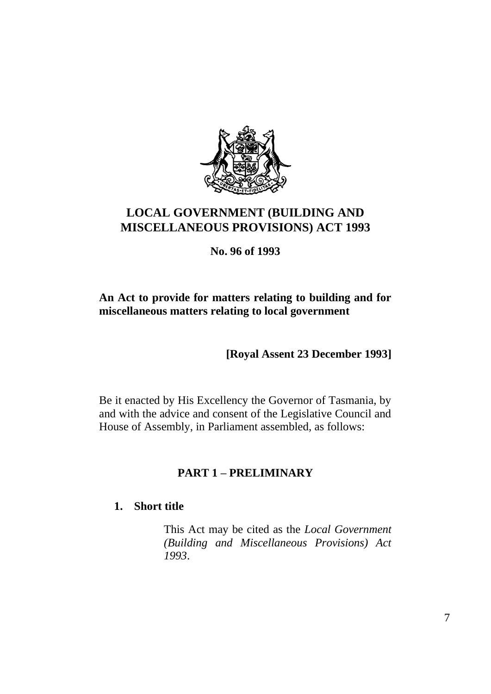

# **LOCAL GOVERNMENT (BUILDING AND MISCELLANEOUS PROVISIONS) ACT 1993**

**No. 96 of 1993**

## **An Act to provide for matters relating to building and for miscellaneous matters relating to local government**

**[Royal Assent 23 December 1993]**

Be it enacted by His Excellency the Governor of Tasmania, by and with the advice and consent of the Legislative Council and House of Assembly, in Parliament assembled, as follows:

## **PART 1 – PRELIMINARY**

## **1. Short title**

This Act may be cited as the *Local Government (Building and Miscellaneous Provisions) Act 1993*.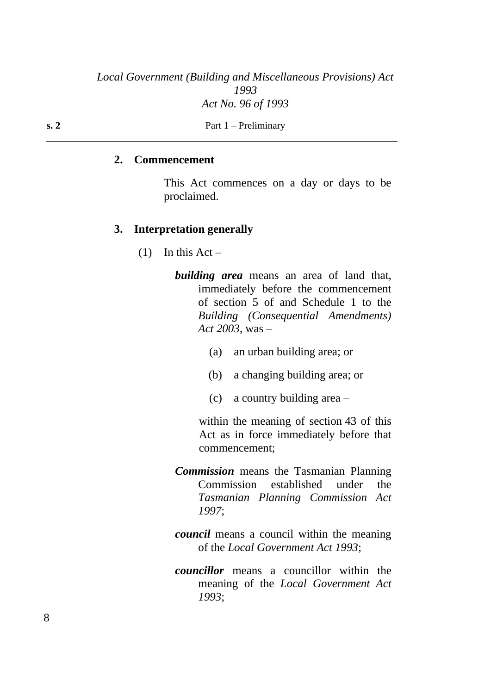## *Local Government (Building and Miscellaneous Provisions) Act 1993 Act No. 96 of 1993*

### **2. Commencement**

This Act commences on a day or days to be proclaimed.

### **3. Interpretation generally**

 $(1)$  In this Act –

*building area* means an area of land that, immediately before the commencement of section 5 of and Schedule 1 to the *Building (Consequential Amendments) Act 2003*, was –

- (a) an urban building area; or
- (b) a changing building area; or
- (c) a country building area –

within the meaning of section 43 of this Act as in force immediately before that commencement;

- *Commission* means the Tasmanian Planning Commission established under the *Tasmanian Planning Commission Act 1997*;
- *council* means a council within the meaning of the *Local Government Act 1993*;
- *councillor* means a councillor within the meaning of the *Local Government Act 1993*;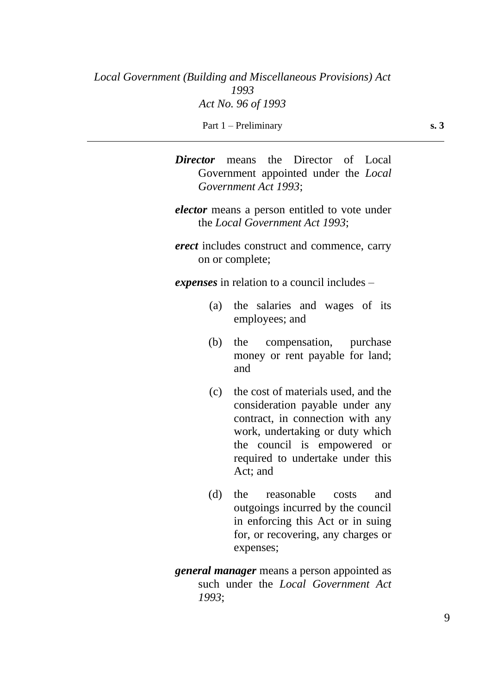Part 1 – Preliminary **s. 3** 

*Director* means the Director of Local Government appointed under the *Local Government Act 1993*;

- *elector* means a person entitled to vote under the *Local Government Act 1993*;
- *erect* includes construct and commence, carry on or complete;

*expenses* in relation to a council includes –

- (a) the salaries and wages of its employees; and
- (b) the compensation, purchase money or rent payable for land; and
- (c) the cost of materials used, and the consideration payable under any contract, in connection with any work, undertaking or duty which the council is empowered or required to undertake under this Act; and
- (d) the reasonable costs and outgoings incurred by the council in enforcing this Act or in suing for, or recovering, any charges or expenses;

*general manager* means a person appointed as such under the *Local Government Act 1993*;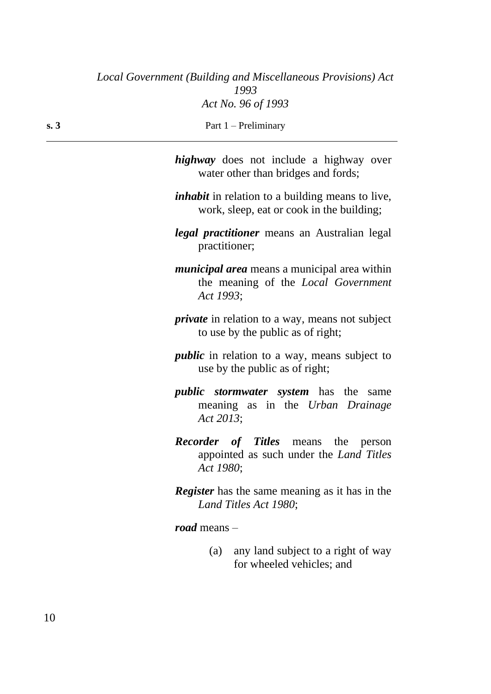| s.3 | Part $1$ – Preliminary                                                                                    |  |  |  |
|-----|-----------------------------------------------------------------------------------------------------------|--|--|--|
|     | <i>highway</i> does not include a highway over<br>water other than bridges and fords;                     |  |  |  |
|     | <i>inhabit</i> in relation to a building means to live,<br>work, sleep, eat or cook in the building;      |  |  |  |
|     | legal practitioner means an Australian legal<br>practitioner;                                             |  |  |  |
|     | <i>municipal area</i> means a municipal area within<br>the meaning of the Local Government<br>Act 1993;   |  |  |  |
|     | <i>private</i> in relation to a way, means not subject<br>to use by the public as of right;               |  |  |  |
|     | <i>public</i> in relation to a way, means subject to<br>use by the public as of right;                    |  |  |  |
|     | <i>public stormwater system</i> has the<br>same<br>meaning as in the Urban Drainage<br>Act 2013;          |  |  |  |
|     | <b>Recorder of Titles</b> means the person<br>appointed as such under the <i>Land Titles</i><br>Act 1980; |  |  |  |
|     | <b>Register</b> has the same meaning as it has in the<br>Land Titles Act 1980;                            |  |  |  |
|     | road means $-$                                                                                            |  |  |  |
|     | any land subject to a right of way<br>(a)                                                                 |  |  |  |

for wheeled vehicles; and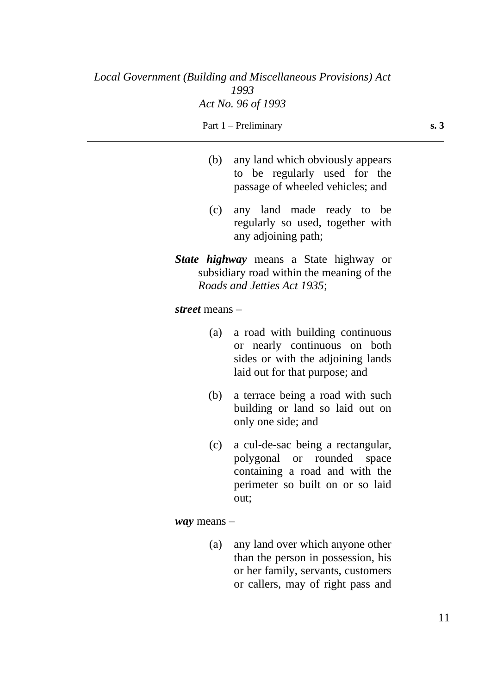### Part 1 – Preliminary **s. 3**

- (b) any land which obviously appears to be regularly used for the passage of wheeled vehicles; and
- (c) any land made ready to be regularly so used, together with any adjoining path;
- *State highway* means a State highway or subsidiary road within the meaning of the *Roads and Jetties Act 1935*;

### *street* means –

- (a) a road with building continuous or nearly continuous on both sides or with the adjoining lands laid out for that purpose; and
- (b) a terrace being a road with such building or land so laid out on only one side; and
- (c) a cul-de-sac being a rectangular, polygonal or rounded space containing a road and with the perimeter so built on or so laid out;

#### *way* means –

(a) any land over which anyone other than the person in possession, his or her family, servants, customers or callers, may of right pass and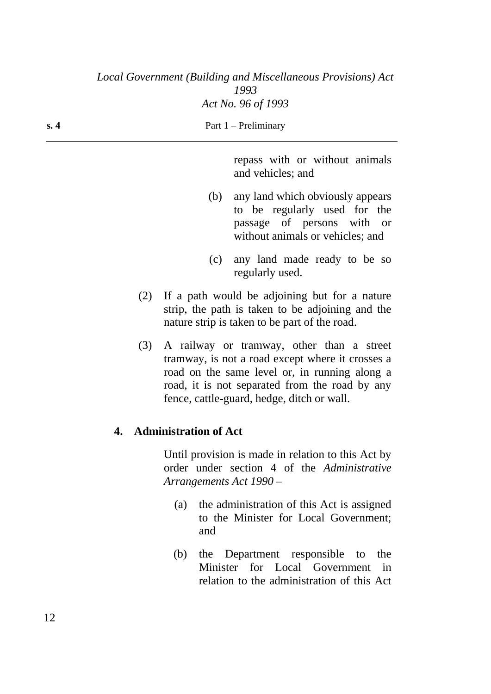| s. 4 | Part $1$ – Preliminary       |                                                                                                                                                                                                                                                |  |
|------|------------------------------|------------------------------------------------------------------------------------------------------------------------------------------------------------------------------------------------------------------------------------------------|--|
|      |                              | repass with or without animals<br>and vehicles; and                                                                                                                                                                                            |  |
|      | (b)                          | any land which obviously appears<br>to be regularly used for the<br>passage of persons with<br><b>or</b><br>without animals or vehicles; and                                                                                                   |  |
|      | (c)                          | any land made ready to be so<br>regularly used.                                                                                                                                                                                                |  |
|      | (2)                          | If a path would be adjoining but for a nature<br>strip, the path is taken to be adjoining and the<br>nature strip is taken to be part of the road.                                                                                             |  |
|      | (3)                          | A railway or tramway, other than a street<br>tramway, is not a road except where it crosses a<br>road on the same level or, in running along a<br>road, it is not separated from the road by any<br>fence, cattle-guard, hedge, ditch or wall. |  |
| 4.   | <b>Administration of Act</b> |                                                                                                                                                                                                                                                |  |
|      | Arrangements Act 1990 -      | Until provision is made in relation to this Act by<br>order under section 4 of the Administrative                                                                                                                                              |  |
|      | (a)                          | the administration of this Act is assigned<br>to the Minister for Local Government;                                                                                                                                                            |  |

and

(b) the Department responsible to the Minister for Local Government in relation to the administration of this Act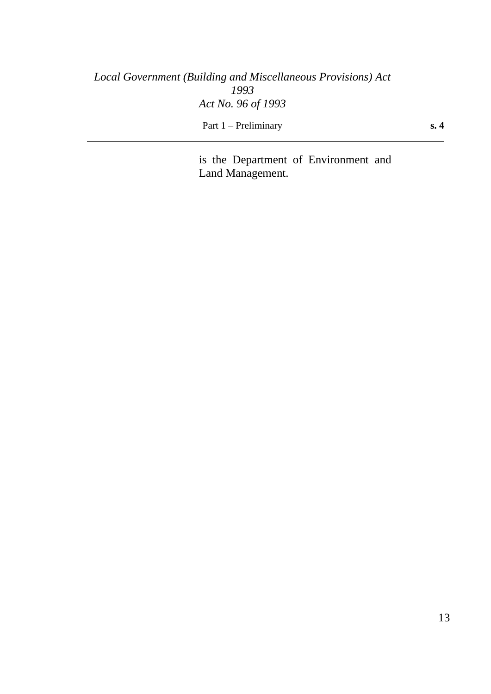# *Local Government (Building and Miscellaneous Provisions) Act 1993 Act No. 96 of 1993* Part 1 – Preliminary **s. 4**

is the Department of Environment and Land Management.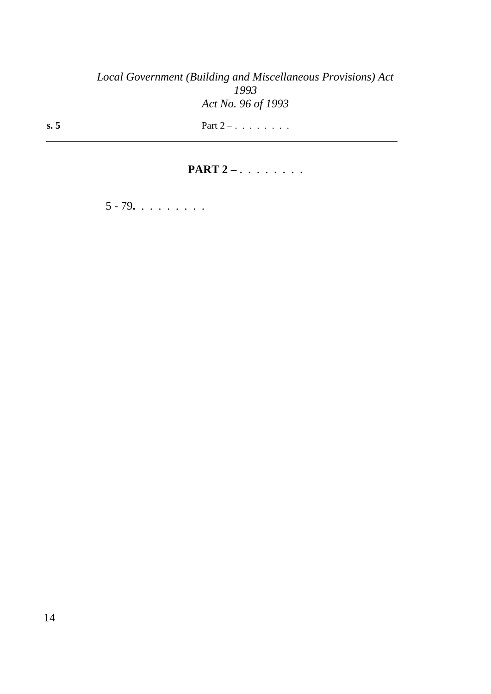# *Local Government (Building and Miscellaneous Provisions) Act 1993 Act No. 96 of 1993*

**s. 5** Part 2 – . . . . . . . .

**PART 2** – . . . . . . . .

5 - 79**.** . . . . . . . .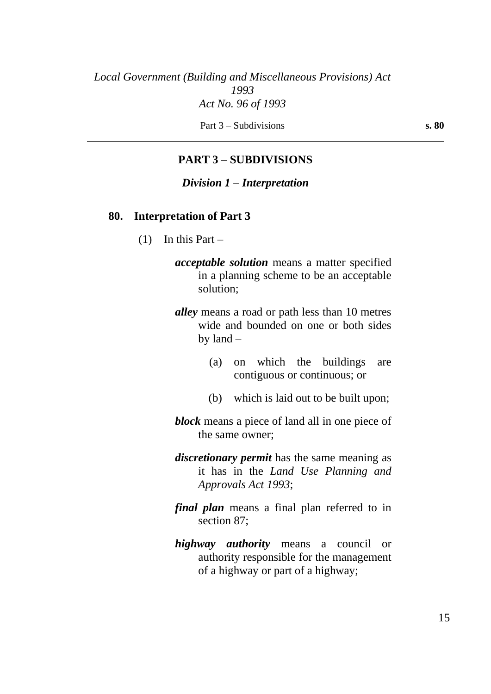Part 3 – Subdivisions **s. 80** 

## **PART 3 – SUBDIVISIONS**

### *Division 1 – Interpretation*

### **80. Interpretation of Part 3**

- $(1)$  In this Part
	- *acceptable solution* means a matter specified in a planning scheme to be an acceptable solution;
	- *alley* means a road or path less than 10 metres wide and bounded on one or both sides by land –
		- (a) on which the buildings are contiguous or continuous; or
		- (b) which is laid out to be built upon;
	- *block* means a piece of land all in one piece of the same owner;
	- *discretionary permit* has the same meaning as it has in the *Land Use Planning and Approvals Act 1993*;
	- *final plan* means a final plan referred to in section 87;
	- *highway authority* means a council or authority responsible for the management of a highway or part of a highway;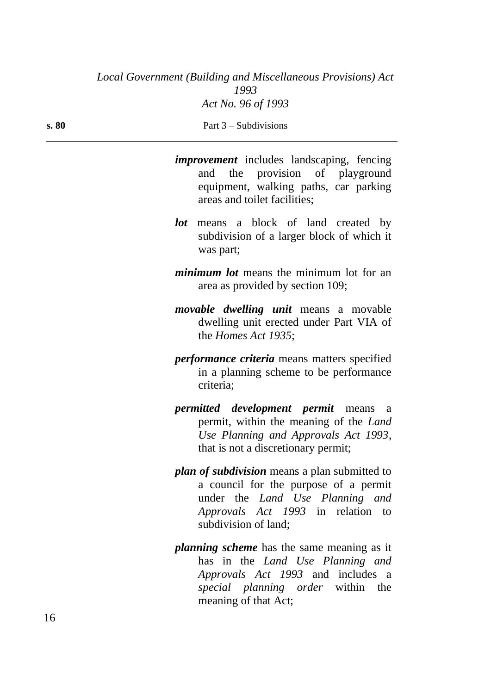|            | <i>improvement</i> includes landscaping, fencing<br>and the provision of playground<br>equipment, walking paths, car parking<br>areas and toilet facilities;                                  |
|------------|-----------------------------------------------------------------------------------------------------------------------------------------------------------------------------------------------|
| <i>lot</i> | means a block of land created by<br>subdivision of a larger block of which it<br>was part;                                                                                                    |
|            | <i>minimum lot</i> means the minimum lot for an<br>area as provided by section 109;                                                                                                           |
|            | <i>movable dwelling unit</i> means a movable<br>dwelling unit erected under Part VIA of<br>the <i>Homes Act 1935</i> ;                                                                        |
|            | <i>performance criteria</i> means matters specified<br>in a planning scheme to be performance<br>criteria;                                                                                    |
|            | <i>permitted development permit</i> means a<br>permit, within the meaning of the Land<br>Use Planning and Approvals Act 1993,<br>that is not a discretionary permit;                          |
|            | <i>plan of subdivision</i> means a plan submitted to<br>a council for the purpose of a permit<br>under the Land Use Planning and<br>Approvals Act 1993 in relation to<br>subdivision of land; |
|            | <i>planning scheme</i> has the same meaning as it<br>has in the Land Use Planning and<br>Approvals Act 1993 and includes a                                                                    |

*special planning order* within the

meaning of that Act;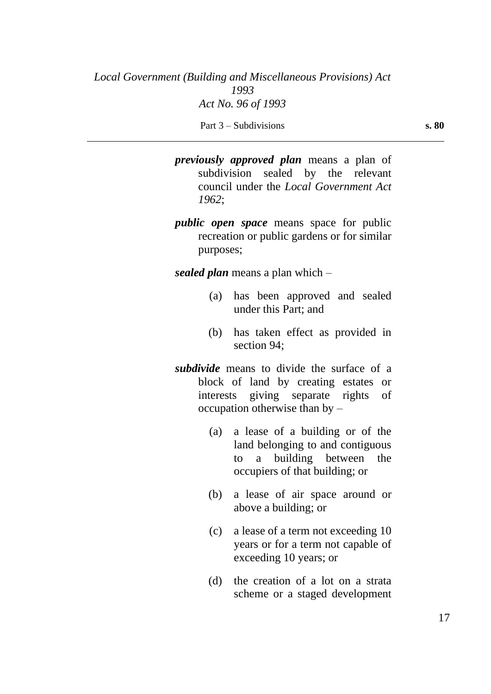*previously approved plan* means a plan of subdivision sealed by the relevant council under the *Local Government Act 1962*;

*public open space* means space for public recreation or public gardens or for similar purposes;

*sealed plan* means a plan which –

- (a) has been approved and sealed under this Part; and
- (b) has taken effect as provided in section 94;
- *subdivide* means to divide the surface of a block of land by creating estates or interests giving separate rights of occupation otherwise than by –
	- (a) a lease of a building or of the land belonging to and contiguous to a building between the occupiers of that building; or
	- (b) a lease of air space around or above a building; or
	- (c) a lease of a term not exceeding 10 years or for a term not capable of exceeding 10 years; or
	- (d) the creation of a lot on a strata scheme or a staged development

Part 3 – Subdivisions **s. 80**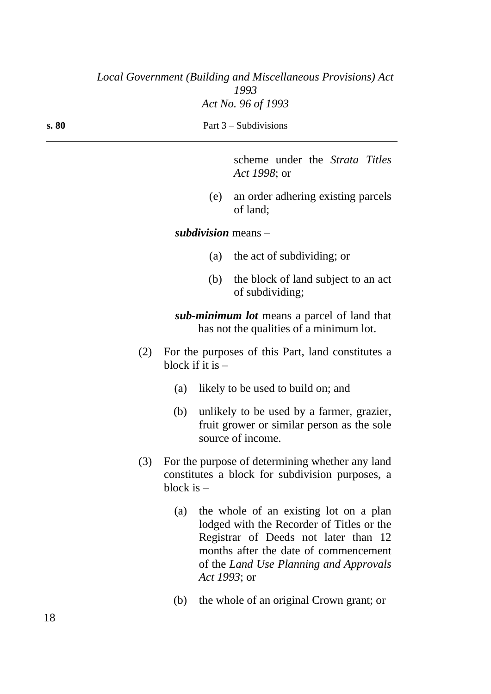| s. 80               |     |                                                                                                    |              | Part $3$ – Subdivisions                                                                                                                                                                                        |
|---------------------|-----|----------------------------------------------------------------------------------------------------|--------------|----------------------------------------------------------------------------------------------------------------------------------------------------------------------------------------------------------------|
|                     |     |                                                                                                    |              | scheme under the <i>Strata Titles</i><br>Act 1998; or                                                                                                                                                          |
|                     |     |                                                                                                    | (e)          | an order adhering existing parcels<br>of land;                                                                                                                                                                 |
|                     |     |                                                                                                    |              | subdivision means $-$                                                                                                                                                                                          |
|                     |     |                                                                                                    | (a)          | the act of subdividing; or                                                                                                                                                                                     |
|                     |     |                                                                                                    | (b)          | the block of land subject to an act<br>of subdividing;                                                                                                                                                         |
|                     |     |                                                                                                    |              | sub-minimum lot means a parcel of land that<br>has not the qualities of a minimum lot.                                                                                                                         |
|                     | (2) | block if it is $-$                                                                                 |              | For the purposes of this Part, land constitutes a                                                                                                                                                              |
|                     |     | (a)                                                                                                |              | likely to be used to build on; and                                                                                                                                                                             |
|                     |     | (b)                                                                                                |              | unlikely to be used by a farmer, grazier,<br>fruit grower or similar person as the sole<br>source of income.                                                                                                   |
| (3)<br>block is $-$ |     | For the purpose of determining whether any land<br>constitutes a block for subdivision purposes, a |              |                                                                                                                                                                                                                |
|                     |     | (a)                                                                                                | Act 1993; or | the whole of an existing lot on a plan<br>lodged with the Recorder of Titles or the<br>Registrar of Deeds not later than 12<br>months after the date of commencement<br>of the Land Use Planning and Approvals |
|                     |     | (b)                                                                                                |              | the whole of an original Crown grant; or                                                                                                                                                                       |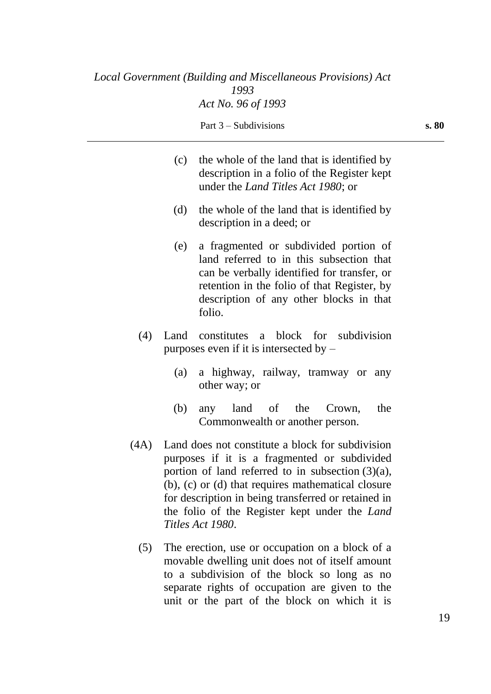| (c) | the whole of the land that is identified by<br>description in a folio of the Register kept<br>under the <i>Land Titles Act 1980</i> ; or |
|-----|------------------------------------------------------------------------------------------------------------------------------------------|
| (h) | the whole of the land that is identified by                                                                                              |

- (d) the whole of the land that is identified by description in a deed; or
- (e) a fragmented or subdivided portion of land referred to in this subsection that can be verbally identified for transfer, or retention in the folio of that Register, by description of any other blocks in that folio.
- (4) Land constitutes a block for subdivision purposes even if it is intersected by –
	- (a) a highway, railway, tramway or any other way; or
	- (b) any land of the Crown, the Commonwealth or another person.
- (4A) Land does not constitute a block for subdivision purposes if it is a fragmented or subdivided portion of land referred to in subsection (3)(a), (b), (c) or (d) that requires mathematical closure for description in being transferred or retained in the folio of the Register kept under the *Land Titles Act 1980*.
	- (5) The erection, use or occupation on a block of a movable dwelling unit does not of itself amount to a subdivision of the block so long as no separate rights of occupation are given to the unit or the part of the block on which it is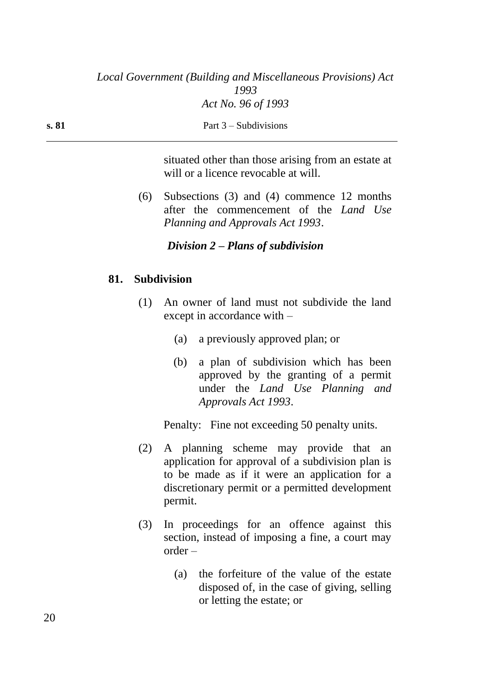**s. 81** Part 3 – Subdivisions

situated other than those arising from an estate at will or a licence revocable at will.

(6) Subsections (3) and (4) commence 12 months after the commencement of the *Land Use Planning and Approvals Act 1993*.

### *Division 2 – Plans of subdivision*

## **81. Subdivision**

- (1) An owner of land must not subdivide the land except in accordance with –
	- (a) a previously approved plan; or
	- (b) a plan of subdivision which has been approved by the granting of a permit under the *Land Use Planning and Approvals Act 1993*.

Penalty: Fine not exceeding 50 penalty units.

- (2) A planning scheme may provide that an application for approval of a subdivision plan is to be made as if it were an application for a discretionary permit or a permitted development permit.
- (3) In proceedings for an offence against this section, instead of imposing a fine, a court may order –
	- (a) the forfeiture of the value of the estate disposed of, in the case of giving, selling or letting the estate; or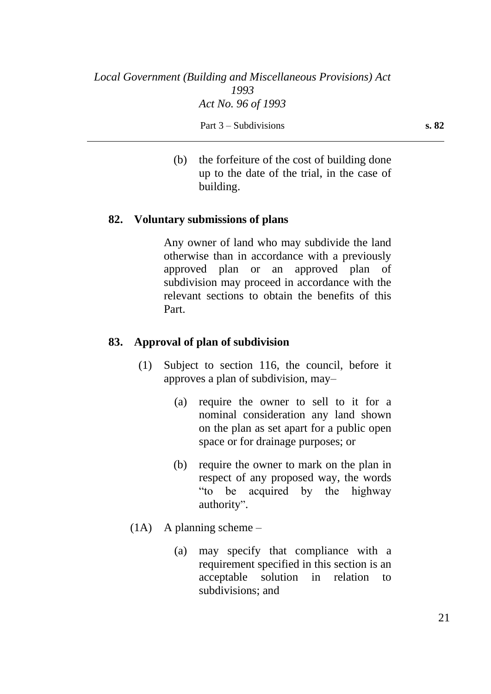(b) the forfeiture of the cost of building done up to the date of the trial, in the case of building.

## **82. Voluntary submissions of plans**

Any owner of land who may subdivide the land otherwise than in accordance with a previously approved plan or an approved plan of subdivision may proceed in accordance with the relevant sections to obtain the benefits of this Part.

## **83. Approval of plan of subdivision**

- (1) Subject to section 116, the council, before it approves a plan of subdivision, may–
	- (a) require the owner to sell to it for a nominal consideration any land shown on the plan as set apart for a public open space or for drainage purposes; or
	- (b) require the owner to mark on the plan in respect of any proposed way, the words "to be acquired by the highway authority".
- (1A) A planning scheme
	- (a) may specify that compliance with a requirement specified in this section is an acceptable solution in relation to subdivisions; and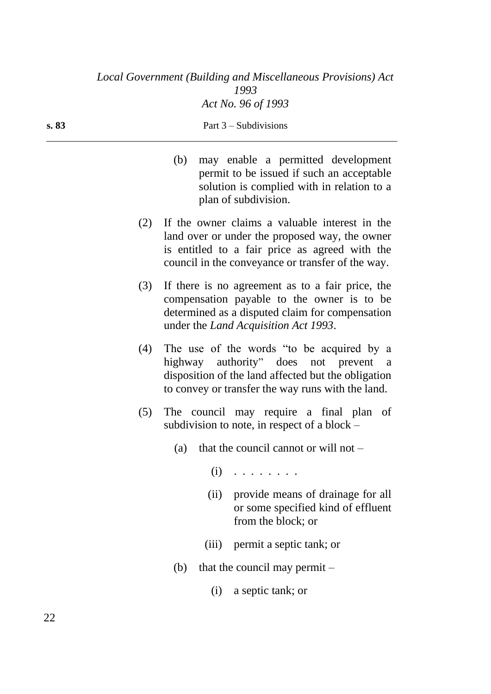|     | may enable a permitted development<br>(b)<br>permit to be issued if such an acceptable<br>solution is complied with in relation to a<br>plan of subdivision.                                                 |
|-----|--------------------------------------------------------------------------------------------------------------------------------------------------------------------------------------------------------------|
| (2) | If the owner claims a valuable interest in the<br>land over or under the proposed way, the owner<br>is entitled to a fair price as agreed with the<br>council in the conveyance or transfer of the way.      |
| (3) | If there is no agreement as to a fair price, the<br>compensation payable to the owner is to be<br>determined as a disputed claim for compensation<br>under the <i>Land Acquisition Act 1993</i> .            |
| (4) | The use of the words "to be acquired by a<br>highway authority" does not prevent<br><sub>a</sub><br>disposition of the land affected but the obligation<br>to convey or transfer the way runs with the land. |
| (5) | The council may require a final plan of<br>subdivision to note, in respect of a block -                                                                                                                      |
|     | (a) that the council cannot or will not $-$                                                                                                                                                                  |
|     | $(i)$                                                                                                                                                                                                        |
|     | (ii) provide means of drainage for all<br>or some specified kind of effluent<br>from the block; or                                                                                                           |
|     | permit a septic tank; or<br>(iii)                                                                                                                                                                            |
|     | that the council may permit $-$<br>(b)                                                                                                                                                                       |
|     | a septic tank; or<br>(i)                                                                                                                                                                                     |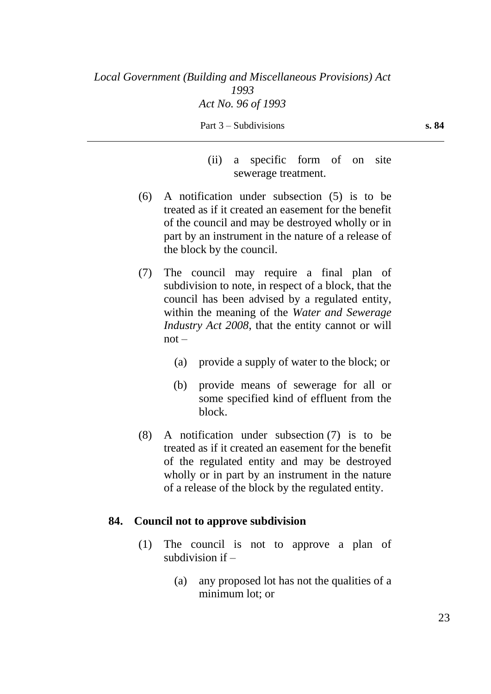(ii) a specific form of on site sewerage treatment.

- (6) A notification under subsection (5) is to be treated as if it created an easement for the benefit of the council and may be destroyed wholly or in part by an instrument in the nature of a release of the block by the council.
- (7) The council may require a final plan of subdivision to note, in respect of a block, that the council has been advised by a regulated entity, within the meaning of the *Water and Sewerage Industry Act 2008*, that the entity cannot or will not –
	- (a) provide a supply of water to the block; or
	- (b) provide means of sewerage for all or some specified kind of effluent from the block.
- (8) A notification under subsection (7) is to be treated as if it created an easement for the benefit of the regulated entity and may be destroyed wholly or in part by an instrument in the nature of a release of the block by the regulated entity.

### **84. Council not to approve subdivision**

- (1) The council is not to approve a plan of subdivision if  $-$ 
	- (a) any proposed lot has not the qualities of a minimum lot; or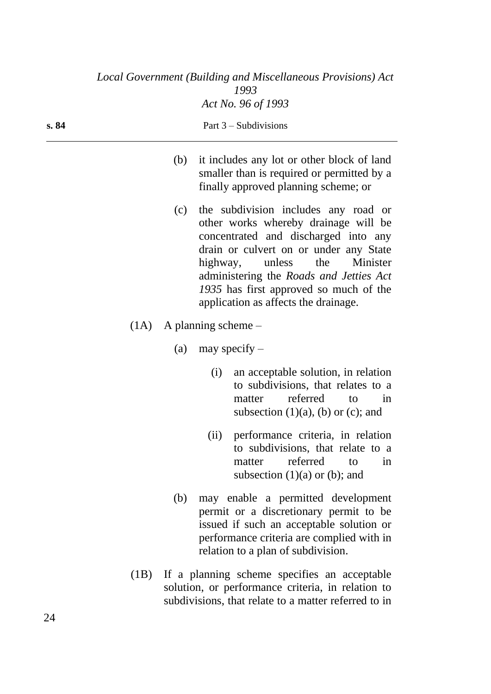|       |      |     | Local Government (Building and Miscellaneous Provisions) Act<br>1993                                                                                                                                                                                                                                                                 |
|-------|------|-----|--------------------------------------------------------------------------------------------------------------------------------------------------------------------------------------------------------------------------------------------------------------------------------------------------------------------------------------|
|       |      |     | Act No. 96 of 1993                                                                                                                                                                                                                                                                                                                   |
| s. 84 |      |     | Part $3$ – Subdivisions                                                                                                                                                                                                                                                                                                              |
|       |      | (b) | it includes any lot or other block of land<br>smaller than is required or permitted by a<br>finally approved planning scheme; or                                                                                                                                                                                                     |
|       |      | (c) | the subdivision includes any road or<br>other works whereby drainage will be<br>concentrated and discharged into any<br>drain or culvert on or under any State<br>Minister<br>highway,<br>unless<br>the<br>administering the Roads and Jetties Act<br>1935 has first approved so much of the<br>application as affects the drainage. |
|       |      |     | $(1A)$ A planning scheme –                                                                                                                                                                                                                                                                                                           |
|       |      | (a) | may specify $-$                                                                                                                                                                                                                                                                                                                      |
|       |      |     | an acceptable solution, in relation<br>(i)<br>to subdivisions, that relates to a<br>referred<br>matter<br>to<br>in<br>subsection $(1)(a)$ , $(b)$ or $(c)$ ; and                                                                                                                                                                     |
|       |      |     | performance criteria, in relation<br>(ii)<br>to subdivisions, that relate to a<br>referred<br>matter<br>to<br>in<br>subsection $(1)(a)$ or $(b)$ ; and                                                                                                                                                                               |
|       |      | (b) | may enable a permitted development<br>permit or a discretionary permit to be<br>issued if such an acceptable solution or<br>performance criteria are complied with in<br>relation to a plan of subdivision.                                                                                                                          |
|       | (1B) |     | If a planning scheme specifies an acceptable<br>solution, or performance criteria, in relation to<br>subdivisions, that relate to a matter referred to in                                                                                                                                                                            |

 $\overline{\phantom{0}}$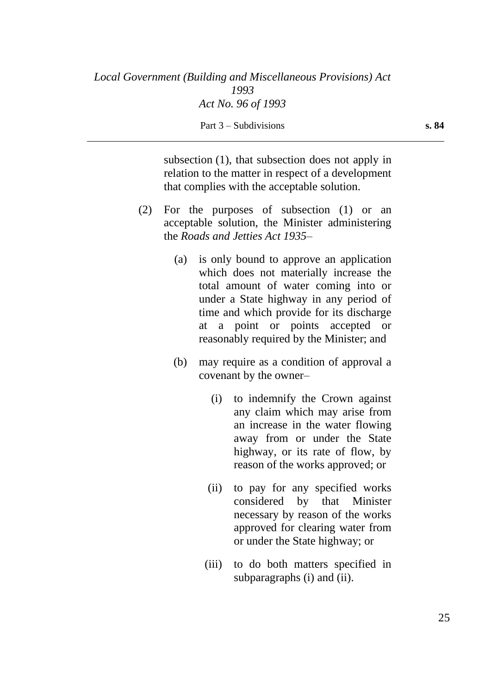subsection (1), that subsection does not apply in relation to the matter in respect of a development that complies with the acceptable solution.

- (2) For the purposes of subsection (1) or an acceptable solution, the Minister administering the *Roads and Jetties Act 1935*–
	- (a) is only bound to approve an application which does not materially increase the total amount of water coming into or under a State highway in any period of time and which provide for its discharge at a point or points accepted or reasonably required by the Minister; and
	- (b) may require as a condition of approval a covenant by the owner–
		- (i) to indemnify the Crown against any claim which may arise from an increase in the water flowing away from or under the State highway, or its rate of flow, by reason of the works approved; or
		- (ii) to pay for any specified works considered by that Minister necessary by reason of the works approved for clearing water from or under the State highway; or
		- (iii) to do both matters specified in subparagraphs (i) and (ii).

25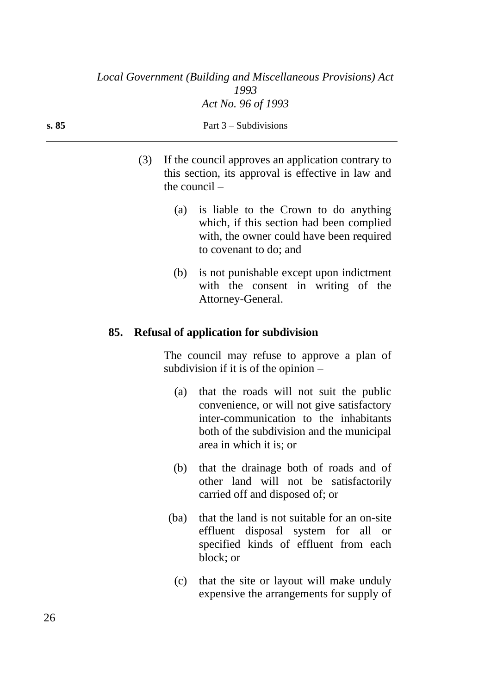| s. 85 | Part $3$ – Subdivisions                                                                                                                                        |  |  |  |
|-------|----------------------------------------------------------------------------------------------------------------------------------------------------------------|--|--|--|
|       | If the council approves an application contrary to<br>(3)<br>this section, its approval is effective in law and<br>the council $-$                             |  |  |  |
|       | is liable to the Crown to do anything<br>(a)<br>which, if this section had been complied<br>with, the owner could have been required<br>to covenant to do; and |  |  |  |
|       | is not punishable except upon indictment<br>(b)<br>with the consent in writing of the                                                                          |  |  |  |

Attorney-General.

## **85. Refusal of application for subdivision**

The council may refuse to approve a plan of subdivision if it is of the opinion –

- (a) that the roads will not suit the public convenience, or will not give satisfactory inter-communication to the inhabitants both of the subdivision and the municipal area in which it is; or
- (b) that the drainage both of roads and of other land will not be satisfactorily carried off and disposed of; or
- (ba) that the land is not suitable for an on-site effluent disposal system for all or specified kinds of effluent from each block; or
- (c) that the site or layout will make unduly expensive the arrangements for supply of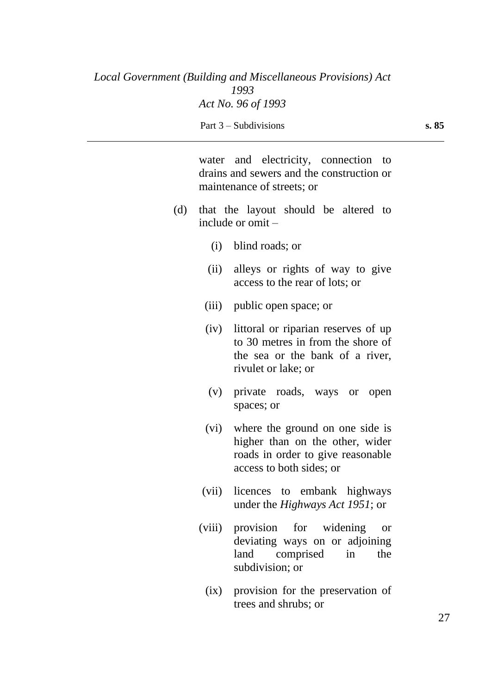water and electricity, connection to drains and sewers and the construction or maintenance of streets; or

- (d) that the layout should be altered to include or omit –
	- (i) blind roads; or
	- (ii) alleys or rights of way to give access to the rear of lots; or
	- (iii) public open space; or
	- (iv) littoral or riparian reserves of up to 30 metres in from the shore of the sea or the bank of a river, rivulet or lake; or
	- (v) private roads, ways or open spaces; or
	- (vi) where the ground on one side is higher than on the other, wider roads in order to give reasonable access to both sides; or
	- (vii) licences to embank highways under the *Highways Act 1951*; or
	- (viii) provision for widening or deviating ways on or adjoining land comprised in the subdivision; or
		- (ix) provision for the preservation of trees and shrubs; or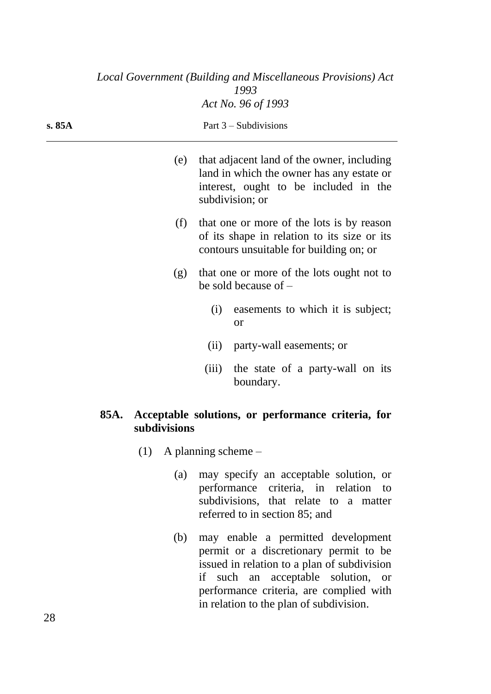|        |      |              |                           | Local Government (Building and Miscellaneous Provisions) Act<br>1993                                                                                      |
|--------|------|--------------|---------------------------|-----------------------------------------------------------------------------------------------------------------------------------------------------------|
|        |      |              |                           | Act No. 96 of 1993                                                                                                                                        |
| s. 85A |      |              |                           | Part $3$ – Subdivisions                                                                                                                                   |
|        |      | (e)          |                           | that adjacent land of the owner, including<br>land in which the owner has any estate or<br>interest, ought to be included in the<br>subdivision; or       |
|        |      | (f)          |                           | that one or more of the lots is by reason<br>of its shape in relation to its size or its<br>contours unsuitable for building on; or                       |
|        |      | (g)          |                           | that one or more of the lots ought not to<br>be sold because of $-$                                                                                       |
|        |      |              | (i)                       | easements to which it is subject;<br><b>or</b>                                                                                                            |
|        |      |              | (ii)                      | party-wall easements; or                                                                                                                                  |
|        |      |              | (iii)                     | the state of a party-wall on its<br>boundary.                                                                                                             |
|        | 85A. | subdivisions |                           | Acceptable solutions, or performance criteria, for                                                                                                        |
|        |      |              | $(1)$ A planning scheme – |                                                                                                                                                           |
|        |      | (a)          |                           | may specify an acceptable solution, or<br>performance criteria, in relation to<br>subdivisions, that relate to a matter<br>referred to in section 85; and |

(b) may enable a permitted development permit or a discretionary permit to be issued in relation to a plan of subdivision if such an acceptable solution, or performance criteria, are complied with in relation to the plan of subdivision.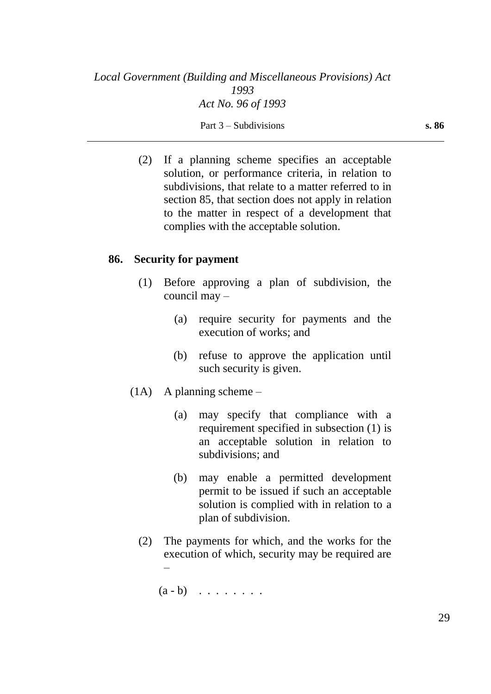(2) If a planning scheme specifies an acceptable solution, or performance criteria, in relation to subdivisions, that relate to a matter referred to in section 85, that section does not apply in relation to the matter in respect of a development that complies with the acceptable solution.

### **86. Security for payment**

- (1) Before approving a plan of subdivision, the council may –
	- (a) require security for payments and the execution of works; and
	- (b) refuse to approve the application until such security is given.
- (1A) A planning scheme
	- (a) may specify that compliance with a requirement specified in subsection (1) is an acceptable solution in relation to subdivisions; and
	- (b) may enable a permitted development permit to be issued if such an acceptable solution is complied with in relation to a plan of subdivision.
	- (2) The payments for which, and the works for the execution of which, security may be required are –

 $(a - b)$  . . . . . . . .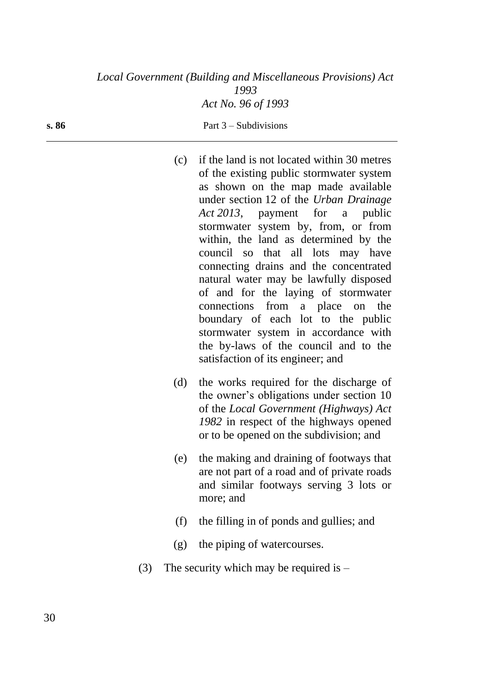| (c) | if the land is not located within 30 metres |
|-----|---------------------------------------------|
|     | of the existing public stormwater system    |
|     | as shown on the map made available          |
|     | under section 12 of the Urban Drainage      |
|     | Act 2013, payment for a public              |
|     | stormwater system by, from, or from         |
|     | within, the land as determined by the       |
|     | council so that all lots may have           |
|     | connecting drains and the concentrated      |
|     | natural water may be lawfully disposed      |
|     | of and for the laying of stormwater         |
|     | connections from a place on the             |
|     | boundary of each lot to the public          |
|     | stormwater system in accordance with        |
|     | the by-laws of the council and to the       |
|     | satisfaction of its engineer; and           |

- (d) the works required for the discharge of the owner's obligations under section 10 of the *Local Government (Highways) Act 1982* in respect of the highways opened or to be opened on the subdivision; and
- (e) the making and draining of footways that are not part of a road and of private roads and similar footways serving 3 lots or more; and
- (f) the filling in of ponds and gullies; and
- (g) the piping of watercourses.
- (3) The security which may be required is  $-$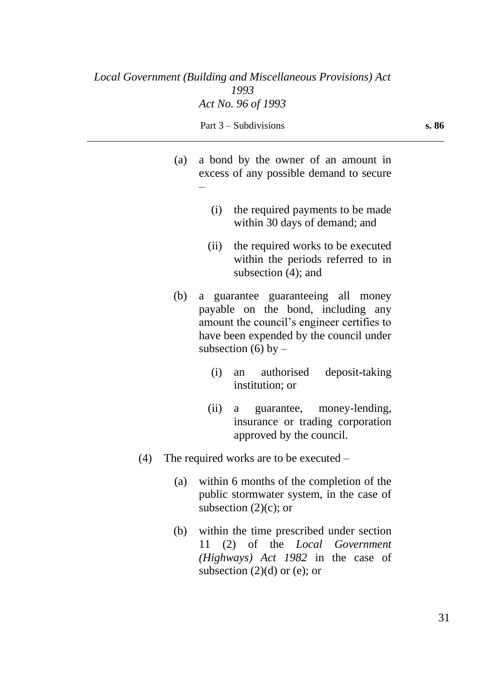–

- (a) a bond by the owner of an amount in excess of any possible demand to secure
	- (i) the required payments to be made within 30 days of demand; and
	- (ii) the required works to be executed within the periods referred to in subsection (4); and
- (b) a guarantee guaranteeing all money payable on the bond, including any amount the council's engineer certifies to have been expended by the council under subsection (6) by  $-$ 
	- (i) an authorised deposit-taking institution; or
	- (ii) a guarantee, money-lending, insurance or trading corporation approved by the council.
- (4) The required works are to be executed
	- (a) within 6 months of the completion of the public stormwater system, in the case of subsection  $(2)(c)$ ; or
	- (b) within the time prescribed under section 11 (2) of the *Local Government (Highways) Act 1982* in the case of subsection  $(2)(d)$  or (e); or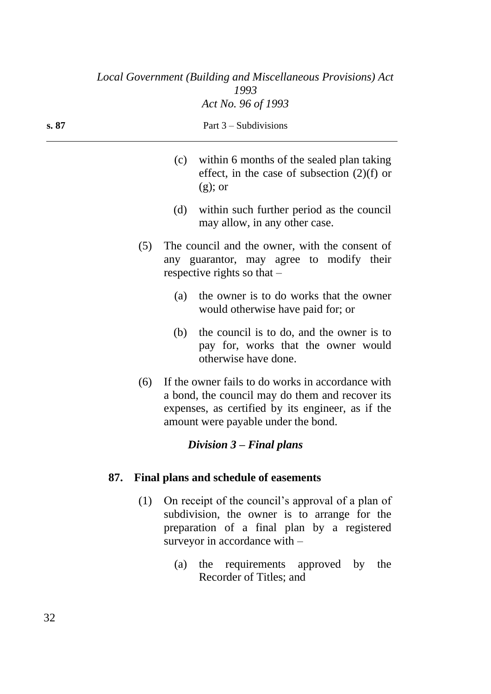|       |     |     |                                                                                                                             | Local Government (Building and Miscellaneous Provisions) Act<br>1993                                                                                                                             |
|-------|-----|-----|-----------------------------------------------------------------------------------------------------------------------------|--------------------------------------------------------------------------------------------------------------------------------------------------------------------------------------------------|
|       |     |     |                                                                                                                             | Act No. 96 of 1993                                                                                                                                                                               |
| s. 87 |     |     |                                                                                                                             | Part $3$ – Subdivisions                                                                                                                                                                          |
|       |     |     | (c)                                                                                                                         | within 6 months of the sealed plan taking<br>effect, in the case of subsection $(2)(f)$ or<br>$(g)$ ; or                                                                                         |
|       |     |     | (d)                                                                                                                         | within such further period as the council<br>may allow, in any other case.                                                                                                                       |
|       |     | (5) | The council and the owner, with the consent of<br>any guarantor, may agree to modify their<br>respective rights so that $-$ |                                                                                                                                                                                                  |
|       |     |     | (a)                                                                                                                         | the owner is to do works that the owner<br>would otherwise have paid for; or                                                                                                                     |
|       |     |     | (b)                                                                                                                         | the council is to do, and the owner is to<br>pay for, works that the owner would<br>otherwise have done.                                                                                         |
|       |     | (6) |                                                                                                                             | If the owner fails to do works in accordance with<br>a bond, the council may do them and recover its<br>expenses, as certified by its engineer, as if the<br>amount were payable under the bond. |
|       |     |     |                                                                                                                             | Division $3$ – Final plans                                                                                                                                                                       |
|       | 87. |     |                                                                                                                             | Final plans and schedule of easements                                                                                                                                                            |
|       |     | (1) |                                                                                                                             | On receipt of the council's approval of a plan of                                                                                                                                                |

- subdivision, the owner is to arrange for the preparation of a final plan by a registered surveyor in accordance with  $-$ 
	- (a) the requirements approved by the Recorder of Titles; and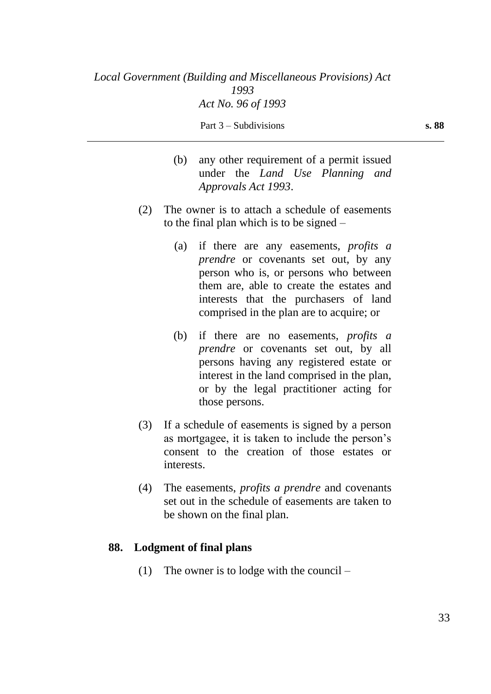- (b) any other requirement of a permit issued under the *Land Use Planning and Approvals Act 1993*.
- (2) The owner is to attach a schedule of easements to the final plan which is to be signed –
	- (a) if there are any easements, *profits a prendre* or covenants set out, by any person who is, or persons who between them are, able to create the estates and interests that the purchasers of land comprised in the plan are to acquire; or
	- (b) if there are no easements, *profits a prendre* or covenants set out, by all persons having any registered estate or interest in the land comprised in the plan, or by the legal practitioner acting for those persons.
- (3) If a schedule of easements is signed by a person as mortgagee, it is taken to include the person's consent to the creation of those estates or interests.
- (4) The easements, *profits a prendre* and covenants set out in the schedule of easements are taken to be shown on the final plan.

## **88. Lodgment of final plans**

(1) The owner is to lodge with the council –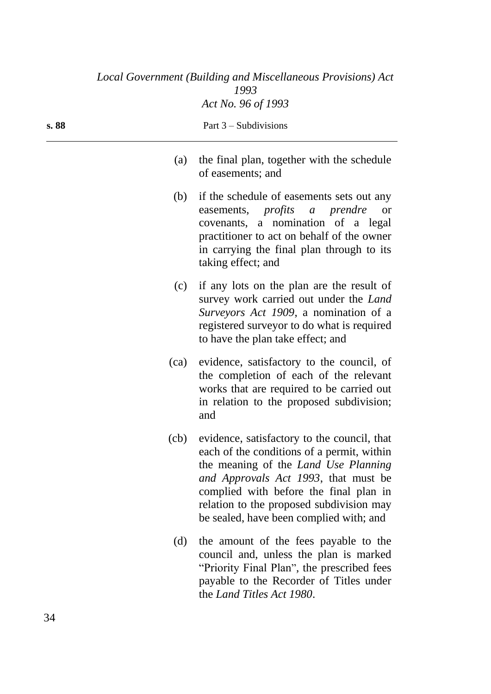| Local Government (Building and Miscellaneous Provisions) Act<br>1993 |      |                                                                                                                                                                                                                                                                                                                 |
|----------------------------------------------------------------------|------|-----------------------------------------------------------------------------------------------------------------------------------------------------------------------------------------------------------------------------------------------------------------------------------------------------------------|
|                                                                      |      | Act No. 96 of 1993                                                                                                                                                                                                                                                                                              |
| s. 88                                                                |      | Part $3$ – Subdivisions                                                                                                                                                                                                                                                                                         |
|                                                                      | (a)  | the final plan, together with the schedule<br>of easements; and                                                                                                                                                                                                                                                 |
|                                                                      | (b)  | if the schedule of easements sets out any<br>easements, <i>profits a prendre</i><br><b>or</b><br>covenants, a nomination of a legal<br>practitioner to act on behalf of the owner<br>in carrying the final plan through to its<br>taking effect; and                                                            |
|                                                                      | (c)  | if any lots on the plan are the result of<br>survey work carried out under the Land<br><i>Surveyors Act 1909</i> , a nomination of a<br>registered surveyor to do what is required<br>to have the plan take effect; and                                                                                         |
|                                                                      | (ca) | evidence, satisfactory to the council, of<br>the completion of each of the relevant<br>works that are required to be carried out<br>in relation to the proposed subdivision;<br>and                                                                                                                             |
|                                                                      |      | (cb) evidence, satisfactory to the council, that<br>each of the conditions of a permit, within<br>the meaning of the Land Use Planning<br>and Approvals Act 1993, that must be<br>complied with before the final plan in<br>relation to the proposed subdivision may<br>be sealed, have been complied with; and |
|                                                                      | (d)  | the amount of the fees payable to the<br>council and, unless the plan is marked<br>"Priority Final Plan", the prescribed fees<br>payable to the Recorder of Titles under<br>the Land Titles Act 1980.                                                                                                           |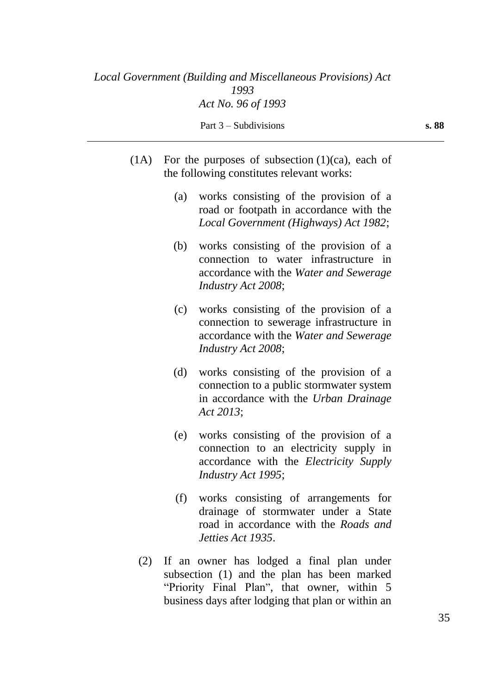- $(1A)$  For the purposes of subsection  $(1)(ca)$ , each of the following constitutes relevant works:
	- (a) works consisting of the provision of a road or footpath in accordance with the *Local Government (Highways) Act 1982*;
	- (b) works consisting of the provision of a connection to water infrastructure in accordance with the *Water and Sewerage Industry Act 2008*;
	- (c) works consisting of the provision of a connection to sewerage infrastructure in accordance with the *Water and Sewerage Industry Act 2008*;
	- (d) works consisting of the provision of a connection to a public stormwater system in accordance with the *Urban Drainage Act 2013*;
	- (e) works consisting of the provision of a connection to an electricity supply in accordance with the *Electricity Supply Industry Act 1995*;
	- (f) works consisting of arrangements for drainage of stormwater under a State road in accordance with the *Roads and Jetties Act 1935*.
	- (2) If an owner has lodged a final plan under subsection (1) and the plan has been marked "Priority Final Plan", that owner, within 5 business days after lodging that plan or within an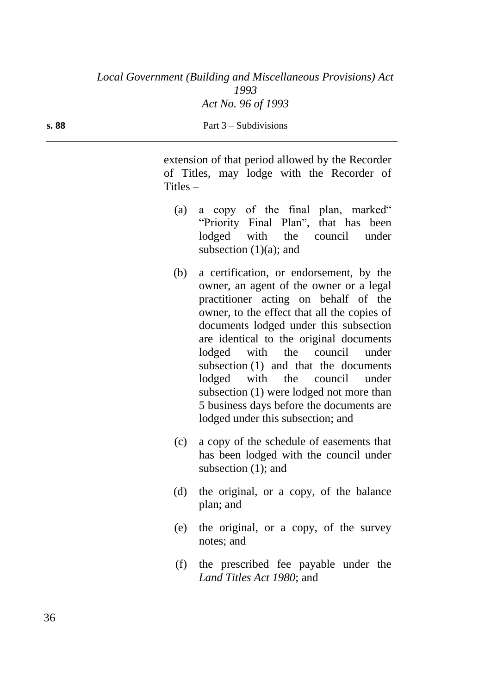extension of that period allowed by the Recorder of Titles, may lodge with the Recorder of Titles –

- (a) a copy of the final plan, marked" "Priority Final Plan", that has been lodged with the council under subsection  $(1)(a)$ ; and
- (b) a certification, or endorsement, by the owner, an agent of the owner or a legal practitioner acting on behalf of the owner, to the effect that all the copies of documents lodged under this subsection are identical to the original documents lodged with the council under subsection (1) and that the documents lodged with the council under subsection (1) were lodged not more than 5 business days before the documents are lodged under this subsection; and
- (c) a copy of the schedule of easements that has been lodged with the council under subsection (1); and
- (d) the original, or a copy, of the balance plan; and
- (e) the original, or a copy, of the survey notes; and
- (f) the prescribed fee payable under the *Land Titles Act 1980*; and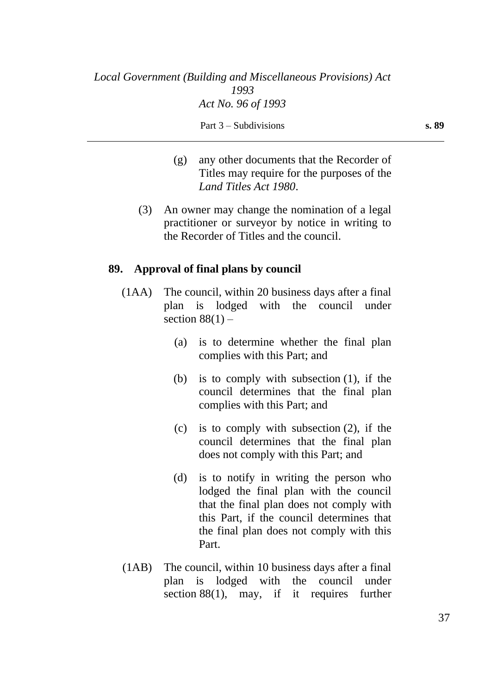- (g) any other documents that the Recorder of Titles may require for the purposes of the *Land Titles Act 1980*.
- (3) An owner may change the nomination of a legal practitioner or surveyor by notice in writing to the Recorder of Titles and the council.

### **89. Approval of final plans by council**

- (1AA) The council, within 20 business days after a final plan is lodged with the council under section  $88(1)$  –
	- (a) is to determine whether the final plan complies with this Part; and
	- (b) is to comply with subsection (1), if the council determines that the final plan complies with this Part; and
	- (c) is to comply with subsection (2), if the council determines that the final plan does not comply with this Part; and
	- (d) is to notify in writing the person who lodged the final plan with the council that the final plan does not comply with this Part, if the council determines that the final plan does not comply with this Part.
- (1AB) The council, within 10 business days after a final plan is lodged with the council under section 88(1), may, if it requires further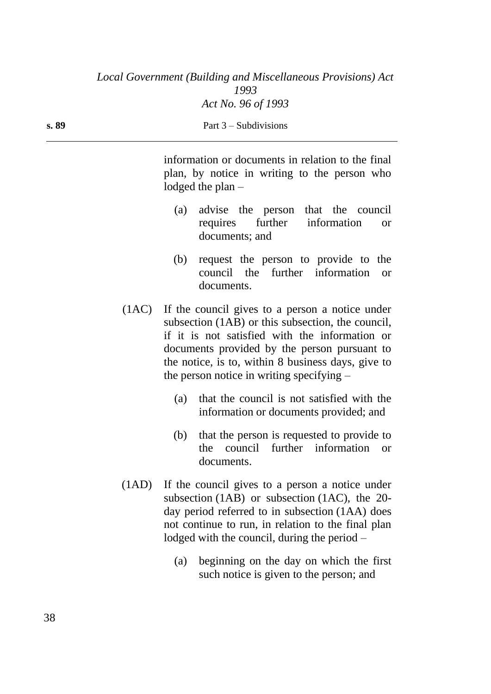| s. 89 | Part $3$ – Subdivisions                                                                                                                                                                                                                                                                                           |  |  |
|-------|-------------------------------------------------------------------------------------------------------------------------------------------------------------------------------------------------------------------------------------------------------------------------------------------------------------------|--|--|
|       | information or documents in relation to the final<br>plan, by notice in writing to the person who<br>lodged the plan $-$                                                                                                                                                                                          |  |  |
|       | advise the person that the council<br>(a)<br>further<br>information<br>requires<br><b>or</b><br>documents; and                                                                                                                                                                                                    |  |  |
|       | request the person to provide to the<br>(b)<br>council the further information<br><b>or</b><br>documents.                                                                                                                                                                                                         |  |  |
|       | (1AC) If the council gives to a person a notice under<br>subsection (1AB) or this subsection, the council,<br>if it is not satisfied with the information or<br>documents provided by the person pursuant to<br>the notice, is to, within 8 business days, give to<br>the person notice in writing specifying $-$ |  |  |
|       | that the council is not satisfied with the<br>(a)<br>information or documents provided; and                                                                                                                                                                                                                       |  |  |
|       | that the person is requested to provide to<br>(b)<br>further information<br>council<br>the<br><b>or</b><br>documents.                                                                                                                                                                                             |  |  |
|       |                                                                                                                                                                                                                                                                                                                   |  |  |

- (1AD) If the council gives to a person a notice under subsection (1AB) or subsection (1AC), the 20 day period referred to in subsection (1AA) does not continue to run, in relation to the final plan lodged with the council, during the period –
	- (a) beginning on the day on which the first such notice is given to the person; and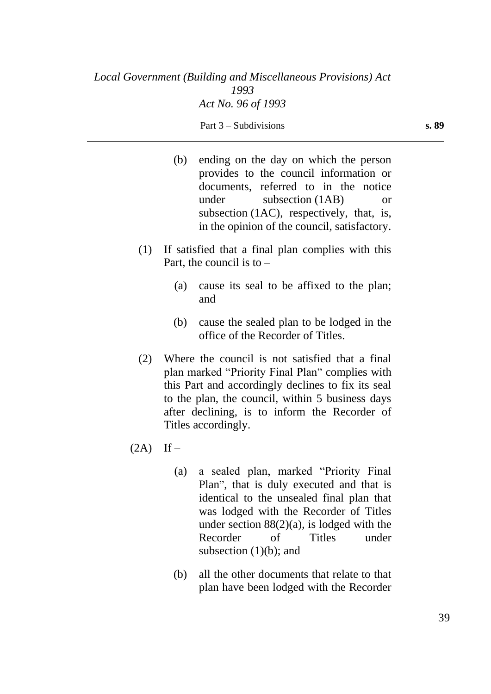|             |     | (b) ending on the day on which the person<br>provides to the council information or<br>documents, referred to in the notice<br>subsection (1AB)<br>under<br><b>or</b><br>subsection (1AC), respectively, that, is,<br>in the opinion of the council, satisfactory.                   |
|-------------|-----|--------------------------------------------------------------------------------------------------------------------------------------------------------------------------------------------------------------------------------------------------------------------------------------|
| (1)         |     | If satisfied that a final plan complies with this<br>Part, the council is to $-$                                                                                                                                                                                                     |
|             | (a) | cause its seal to be affixed to the plan;<br>and                                                                                                                                                                                                                                     |
|             | (b) | cause the sealed plan to be lodged in the<br>office of the Recorder of Titles.                                                                                                                                                                                                       |
| (2)         |     | Where the council is not satisfied that a final<br>plan marked "Priority Final Plan" complies with<br>this Part and accordingly declines to fix its seal<br>to the plan, the council, within 5 business days<br>after declining, is to inform the Recorder of<br>Titles accordingly. |
| $(2A)$ If – |     |                                                                                                                                                                                                                                                                                      |
|             | (a) | a sealed plan, marked "Priority Final<br>Plan", that is duly executed and that is<br>identical to the unsealed final plan that<br>was lodged with the Recorder of Titles<br>under section $88(2)(a)$ , is lodged with the<br>Recorder<br>of Titles<br>under                          |

(b) all the other documents that relate to that plan have been lodged with the Recorder

subsection (1)(b); and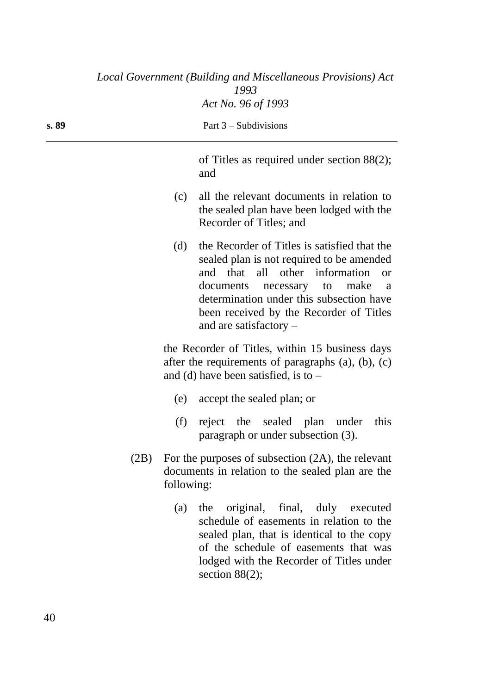|       |      |            | Local Government (Building and Miscellaneous Provisions) Act<br>1993                                                                                                                                                                                                                                |
|-------|------|------------|-----------------------------------------------------------------------------------------------------------------------------------------------------------------------------------------------------------------------------------------------------------------------------------------------------|
|       |      |            | Act No. 96 of 1993                                                                                                                                                                                                                                                                                  |
| s. 89 |      |            | Part $3$ – Subdivisions                                                                                                                                                                                                                                                                             |
|       |      |            | of Titles as required under section $88(2)$ ;<br>and                                                                                                                                                                                                                                                |
|       |      | (c)        | all the relevant documents in relation to<br>the sealed plan have been lodged with the<br>Recorder of Titles; and                                                                                                                                                                                   |
|       |      | (d)        | the Recorder of Titles is satisfied that the<br>sealed plan is not required to be amended<br>all other information<br>and that<br><b>or</b><br>documents necessary to<br>make<br>a<br>determination under this subsection have<br>been received by the Recorder of Titles<br>and are satisfactory - |
|       |      |            | the Recorder of Titles, within 15 business days<br>after the requirements of paragraphs $(a)$ , $(b)$ , $(c)$<br>and (d) have been satisfied, is to $-$                                                                                                                                             |
|       |      | (e)        | accept the sealed plan; or                                                                                                                                                                                                                                                                          |
|       |      | (f)        | reject the sealed plan under<br>this<br>paragraph or under subsection (3).                                                                                                                                                                                                                          |
|       | (2B) | following: | For the purposes of subsection $(2A)$ , the relevant<br>documents in relation to the sealed plan are the                                                                                                                                                                                            |
|       |      | (a)        | original, final, duly executed<br>the<br>schedule of easements in relation to the<br>sealed plan, that is identical to the copy<br>of the schedule of easements that was<br>lodged with the Recorder of Titles under<br>section $88(2)$ ;                                                           |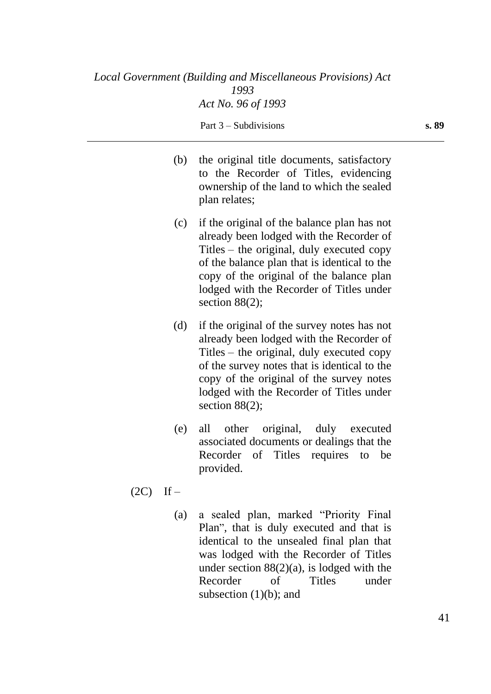| (b) | the original title documents, satisfactory<br>to the Recorder of Titles, evidencing<br>ownership of the land to which the sealed<br>plan relates;                                                                                                                                                 |
|-----|---------------------------------------------------------------------------------------------------------------------------------------------------------------------------------------------------------------------------------------------------------------------------------------------------|
| (c) | if the original of the balance plan has not<br>already been lodged with the Recorder of<br>Titles – the original, duly executed copy<br>of the balance plan that is identical to the<br>copy of the original of the balance plan<br>lodged with the Recorder of Titles under<br>section $88(2)$ ; |
| (d) | if the original of the survey notes has not<br>already been lodged with the Recorder of<br>Titles – the original, duly executed copy<br>of the survey notes that is identical to the<br>copy of the original of the survey notes<br>lodged with the Recorder of Titles under<br>section $88(2)$ ; |

- (e) all other original, duly executed associated documents or dealings that the Recorder of Titles requires to be provided.
- $(2C)$  If
	- (a) a sealed plan, marked "Priority Final Plan", that is duly executed and that is identical to the unsealed final plan that was lodged with the Recorder of Titles under section  $88(2)(a)$ , is lodged with the Recorder of Titles under subsection (1)(b); and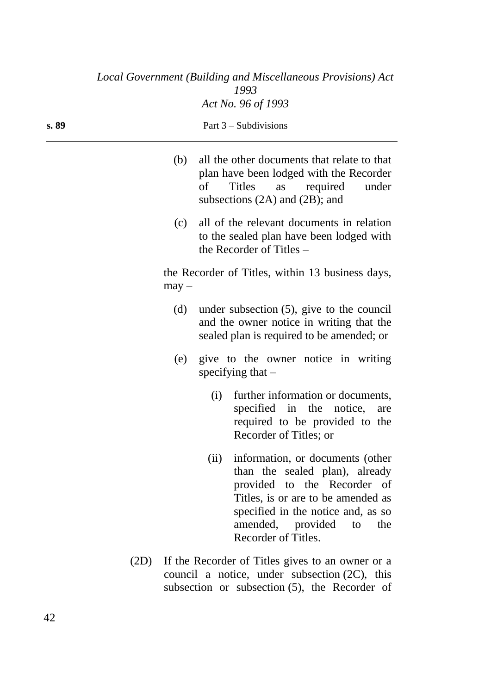|       |      |         |      | Local Government (Building and Miscellaneous Provisions) Act<br>1993                                                                                                                                                                |
|-------|------|---------|------|-------------------------------------------------------------------------------------------------------------------------------------------------------------------------------------------------------------------------------------|
|       |      |         |      | Act No. 96 of 1993                                                                                                                                                                                                                  |
| s. 89 |      |         |      | Part $3$ – Subdivisions                                                                                                                                                                                                             |
|       |      | (b)     | of   | all the other documents that relate to that<br>plan have been lodged with the Recorder<br>required<br><b>Titles</b><br>under<br>as<br>subsections (2A) and (2B); and                                                                |
|       |      | (c)     |      | all of the relevant documents in relation<br>to the sealed plan have been lodged with<br>the Recorder of Titles $-$                                                                                                                 |
|       |      | $may -$ |      | the Recorder of Titles, within 13 business days,                                                                                                                                                                                    |
|       |      | (d)     |      | under subsection $(5)$ , give to the council<br>and the owner notice in writing that the<br>sealed plan is required to be amended; or                                                                                               |
|       |      | (e)     |      | give to the owner notice in writing<br>specifying that $-$                                                                                                                                                                          |
|       |      |         | (i)  | further information or documents,<br>specified in the notice,<br>are<br>required to be provided to the<br>Recorder of Titles; or                                                                                                    |
|       |      |         | (ii) | information, or documents (other<br>than the sealed plan), already<br>provided to the Recorder of<br>Titles, is or are to be amended as<br>specified in the notice and, as so<br>amended, provided to<br>the<br>Recorder of Titles. |
|       | (2D) |         |      | If the Recorder of Titles gives to an owner or a<br>council a notice, under subsection $(2C)$ , this                                                                                                                                |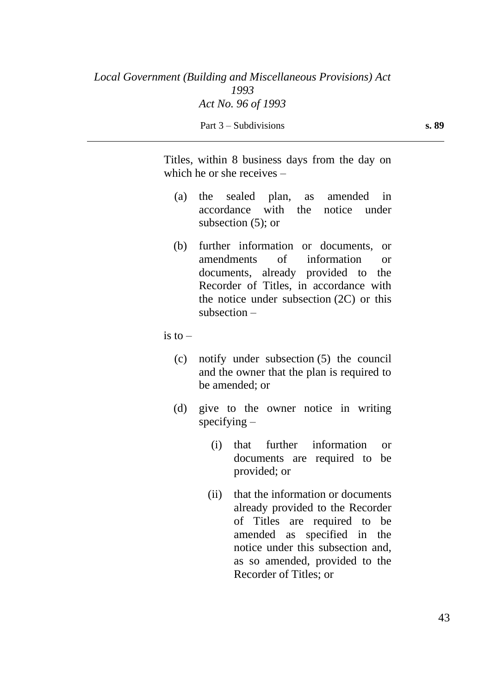Titles, within 8 business days from the day on which he or she receives –

- (a) the sealed plan, as amended in accordance with the notice under subsection (5); or
- (b) further information or documents, or amendments of information or documents, already provided to the Recorder of Titles, in accordance with the notice under subsection (2C) or this subsection –

is to  $-$ 

- (c) notify under subsection (5) the council and the owner that the plan is required to be amended; or
- (d) give to the owner notice in writing specifying  $-$ 
	- (i) that further information or documents are required to be provided; or
	- (ii) that the information or documents already provided to the Recorder of Titles are required to be amended as specified in the notice under this subsection and, as so amended, provided to the Recorder of Titles; or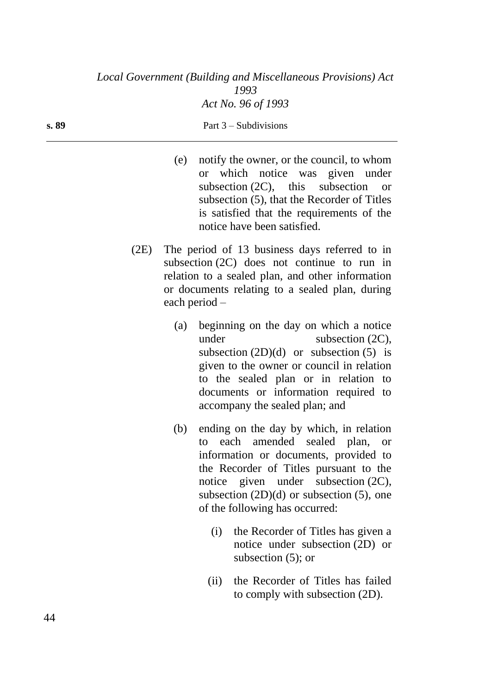| s. 89 | Part $3$ – Subdivisions |  |  |
|-------|-------------------------|--|--|
|       |                         |  |  |
|       |                         |  |  |

- (e) notify the owner, or the council, to whom or which notice was given under subsection (2C), this subsection or subsection (5), that the Recorder of Titles is satisfied that the requirements of the notice have been satisfied.
- (2E) The period of 13 business days referred to in subsection (2C) does not continue to run in relation to a sealed plan, and other information or documents relating to a sealed plan, during each period –
	- (a) beginning on the day on which a notice under subsection (2C), subsection  $(2D)(d)$  or subsection  $(5)$  is given to the owner or council in relation to the sealed plan or in relation to documents or information required to accompany the sealed plan; and
	- (b) ending on the day by which, in relation to each amended sealed plan, or information or documents, provided to the Recorder of Titles pursuant to the notice given under subsection (2C), subsection  $(2D)(d)$  or subsection  $(5)$ , one of the following has occurred:
		- (i) the Recorder of Titles has given a notice under subsection (2D) or subsection (5); or
		- (ii) the Recorder of Titles has failed to comply with subsection (2D).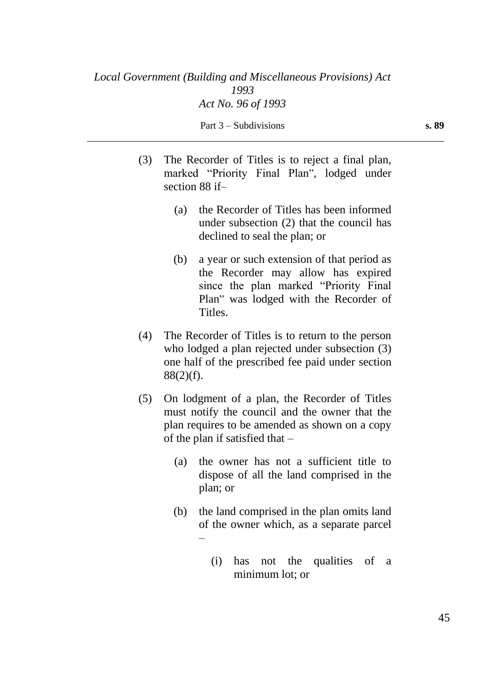|                  | (3) The Recorder of Titles is to reject a final plan, |  |  |
|------------------|-------------------------------------------------------|--|--|
|                  | marked "Priority Final Plan", lodged under            |  |  |
| section $88$ if- |                                                       |  |  |

- (a) the Recorder of Titles has been informed under subsection (2) that the council has declined to seal the plan; or
- (b) a year or such extension of that period as the Recorder may allow has expired since the plan marked "Priority Final Plan" was lodged with the Recorder of Titles.
- (4) The Recorder of Titles is to return to the person who lodged a plan rejected under subsection (3) one half of the prescribed fee paid under section 88(2)(f).
- (5) On lodgment of a plan, the Recorder of Titles must notify the council and the owner that the plan requires to be amended as shown on a copy of the plan if satisfied that –
	- (a) the owner has not a sufficient title to dispose of all the land comprised in the plan; or
	- (b) the land comprised in the plan omits land of the owner which, as a separate parcel –
		- (i) has not the qualities of a minimum lot; or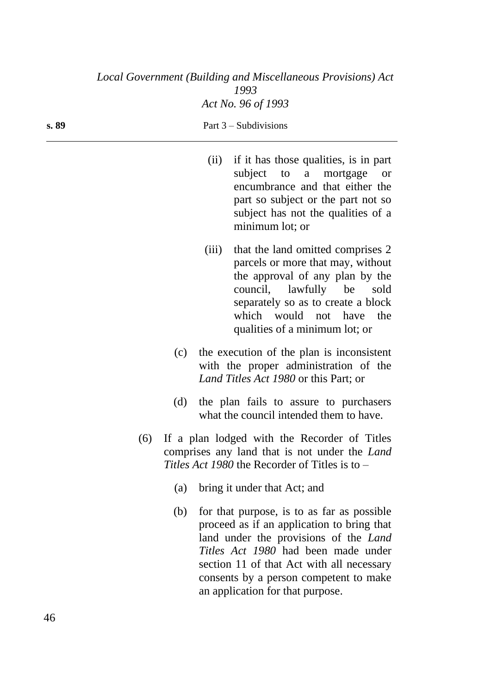| s. 89 |     |       | Part $3$ – Subdivisions                                                                                                                                                                                                                                                |
|-------|-----|-------|------------------------------------------------------------------------------------------------------------------------------------------------------------------------------------------------------------------------------------------------------------------------|
|       |     | (ii)  | if it has those qualities, is in part<br>subject to a mortgage<br><b>or</b><br>encumbrance and that either the<br>part so subject or the part not so<br>subject has not the qualities of a<br>minimum lot; or                                                          |
|       |     | (iii) | that the land omitted comprises 2<br>parcels or more that may, without<br>the approval of any plan by the<br>council, lawfully be<br>sold<br>separately so as to create a block<br>which would not have the<br>qualities of a minimum lot; or                          |
|       | (c) |       | the execution of the plan is inconsistent<br>with the proper administration of the<br>Land Titles Act 1980 or this Part; or                                                                                                                                            |
|       | (d) |       | the plan fails to assure to purchasers<br>what the council intended them to have.                                                                                                                                                                                      |
|       | (6) |       | If a plan lodged with the Recorder of Titles<br>comprises any land that is not under the <i>Land</i><br>Titles Act 1980 the Recorder of Titles is to -                                                                                                                 |
|       |     |       | (a) bring it under that Act; and                                                                                                                                                                                                                                       |
|       | (b) |       | for that purpose, is to as far as possible<br>proceed as if an application to bring that<br>land under the provisions of the <i>Land</i><br>Titles Act 1980 had been made under<br>section 11 of that Act with all necessary<br>consents by a person competent to make |

an application for that purpose.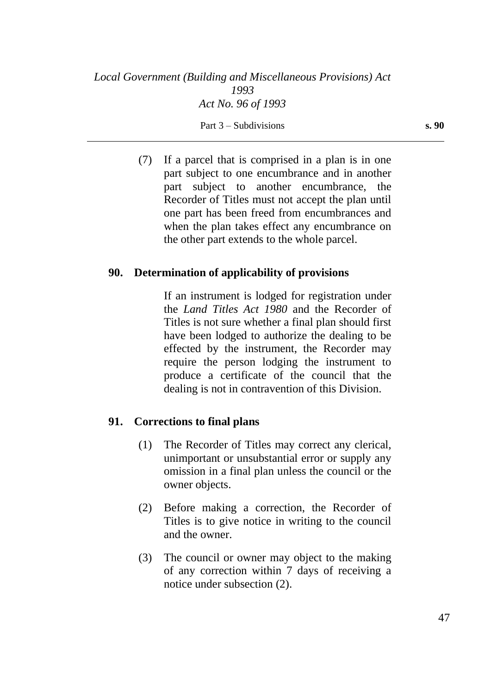(7) If a parcel that is comprised in a plan is in one part subject to one encumbrance and in another part subject to another encumbrance, the Recorder of Titles must not accept the plan until one part has been freed from encumbrances and when the plan takes effect any encumbrance on the other part extends to the whole parcel.

### **90. Determination of applicability of provisions**

If an instrument is lodged for registration under the *Land Titles Act 1980* and the Recorder of Titles is not sure whether a final plan should first have been lodged to authorize the dealing to be effected by the instrument, the Recorder may require the person lodging the instrument to produce a certificate of the council that the dealing is not in contravention of this Division.

### **91. Corrections to final plans**

- (1) The Recorder of Titles may correct any clerical, unimportant or unsubstantial error or supply any omission in a final plan unless the council or the owner objects.
- (2) Before making a correction, the Recorder of Titles is to give notice in writing to the council and the owner.
- (3) The council or owner may object to the making of any correction within 7 days of receiving a notice under subsection (2).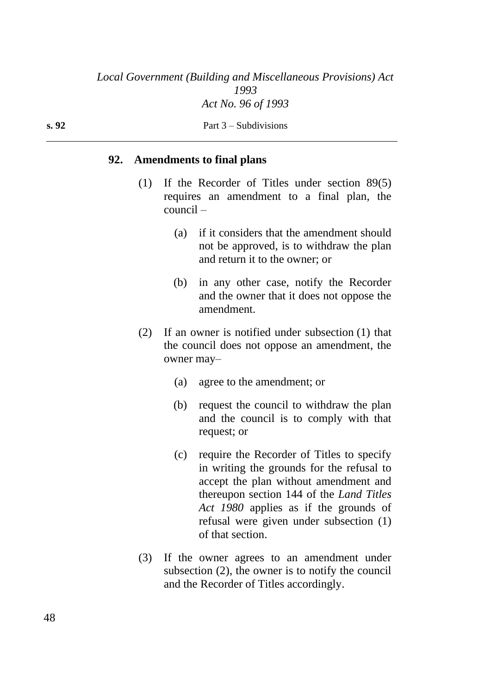#### **s. 92** Part 3 – Subdivisions

#### **92. Amendments to final plans**

- (1) If the Recorder of Titles under section 89(5) requires an amendment to a final plan, the council –
	- (a) if it considers that the amendment should not be approved, is to withdraw the plan and return it to the owner; or
	- (b) in any other case, notify the Recorder and the owner that it does not oppose the amendment.
- (2) If an owner is notified under subsection (1) that the council does not oppose an amendment, the owner may–
	- (a) agree to the amendment; or
	- (b) request the council to withdraw the plan and the council is to comply with that request; or
	- (c) require the Recorder of Titles to specify in writing the grounds for the refusal to accept the plan without amendment and thereupon section 144 of the *Land Titles Act 1980* applies as if the grounds of refusal were given under subsection (1) of that section.
- (3) If the owner agrees to an amendment under subsection (2), the owner is to notify the council and the Recorder of Titles accordingly.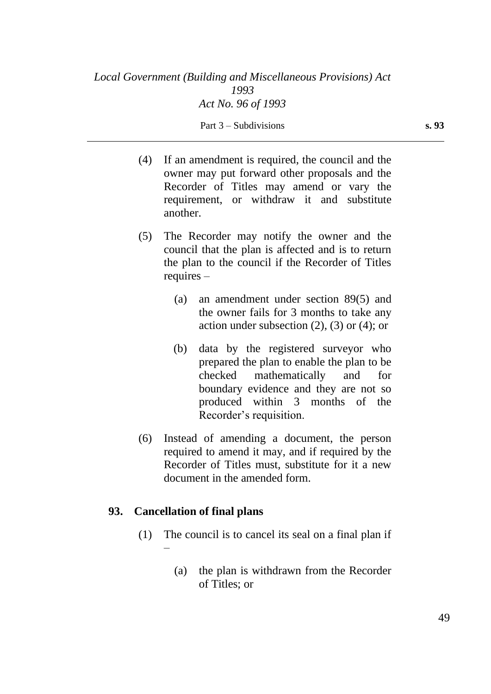- (4) If an amendment is required, the council and the owner may put forward other proposals and the Recorder of Titles may amend or vary the requirement, or withdraw it and substitute another.
- (5) The Recorder may notify the owner and the council that the plan is affected and is to return the plan to the council if the Recorder of Titles requires –
	- (a) an amendment under section 89(5) and the owner fails for 3 months to take any action under subsection  $(2)$ ,  $(3)$  or  $(4)$ ; or
	- (b) data by the registered surveyor who prepared the plan to enable the plan to be checked mathematically and for boundary evidence and they are not so produced within 3 months of the Recorder's requisition.
- (6) Instead of amending a document, the person required to amend it may, and if required by the Recorder of Titles must, substitute for it a new document in the amended form.

### **93. Cancellation of final plans**

- (1) The council is to cancel its seal on a final plan if –
	- (a) the plan is withdrawn from the Recorder of Titles; or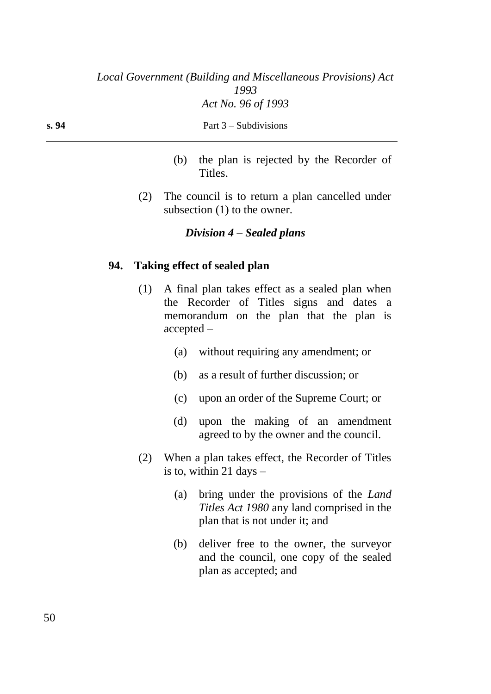| s. 94 | Part $3$ – Subdivisions |
|-------|-------------------------|
|       |                         |

- (b) the plan is rejected by the Recorder of Titles.
- (2) The council is to return a plan cancelled under subsection  $(1)$  to the owner.

### *Division 4 – Sealed plans*

### **94. Taking effect of sealed plan**

- (1) A final plan takes effect as a sealed plan when the Recorder of Titles signs and dates a memorandum on the plan that the plan is accepted –
	- (a) without requiring any amendment; or
	- (b) as a result of further discussion; or
	- (c) upon an order of the Supreme Court; or
	- (d) upon the making of an amendment agreed to by the owner and the council.
- (2) When a plan takes effect, the Recorder of Titles is to, within 21 days  $-$ 
	- (a) bring under the provisions of the *Land Titles Act 1980* any land comprised in the plan that is not under it; and
	- (b) deliver free to the owner, the surveyor and the council, one copy of the sealed plan as accepted; and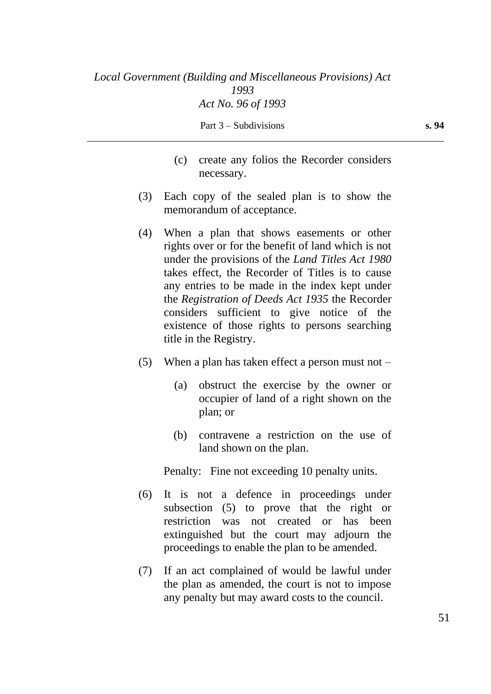- (c) create any folios the Recorder considers necessary.
- (3) Each copy of the sealed plan is to show the memorandum of acceptance.
- (4) When a plan that shows easements or other rights over or for the benefit of land which is not under the provisions of the *Land Titles Act 1980* takes effect, the Recorder of Titles is to cause any entries to be made in the index kept under the *Registration of Deeds Act 1935* the Recorder considers sufficient to give notice of the existence of those rights to persons searching title in the Registry.
- (5) When a plan has taken effect a person must not  $-$ 
	- (a) obstruct the exercise by the owner or occupier of land of a right shown on the plan; or
	- (b) contravene a restriction on the use of land shown on the plan.

Penalty: Fine not exceeding 10 penalty units.

- (6) It is not a defence in proceedings under subsection (5) to prove that the right or restriction was not created or has been extinguished but the court may adjourn the proceedings to enable the plan to be amended.
- (7) If an act complained of would be lawful under the plan as amended, the court is not to impose any penalty but may award costs to the council.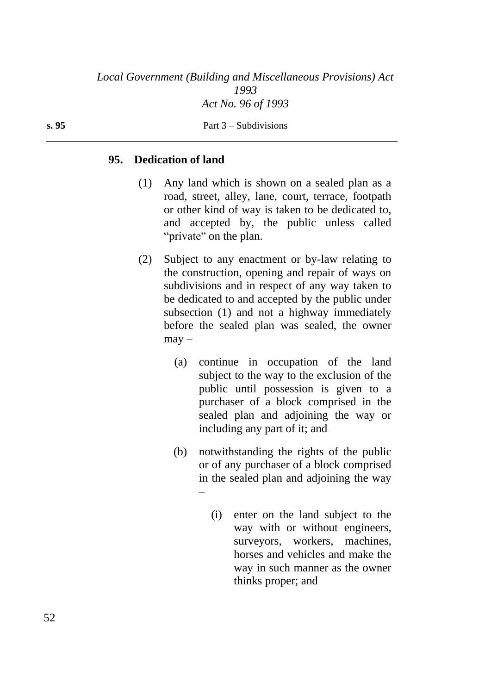# **95. Dedication of land**

- (1) Any land which is shown on a sealed plan as a road, street, alley, lane, court, terrace, footpath or other kind of way is taken to be dedicated to, and accepted by, the public unless called "private" on the plan.
- (2) Subject to any enactment or by-law relating to the construction, opening and repair of ways on subdivisions and in respect of any way taken to be dedicated to and accepted by the public under subsection (1) and not a highway immediately before the sealed plan was sealed, the owner  $\text{max}$  –
	- (a) continue in occupation of the land subject to the way to the exclusion of the public until possession is given to a purchaser of a block comprised in the sealed plan and adjoining the way or including any part of it; and
	- (b) notwithstanding the rights of the public or of any purchaser of a block comprised in the sealed plan and adjoining the way –
		- (i) enter on the land subject to the way with or without engineers, surveyors, workers, machines, horses and vehicles and make the way in such manner as the owner thinks proper; and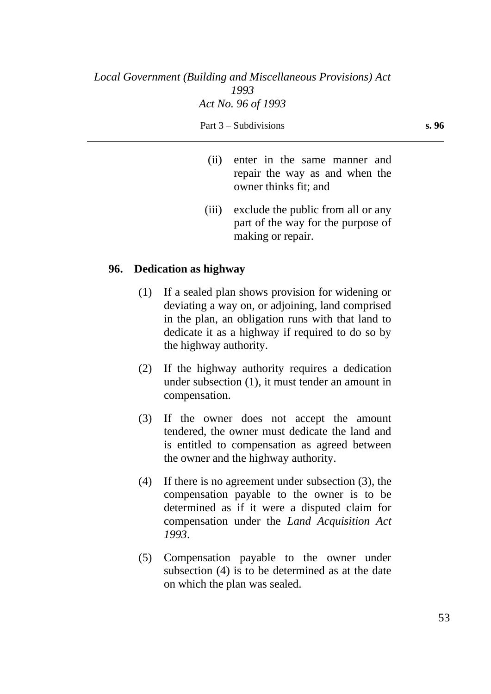- (ii) enter in the same manner and repair the way as and when the owner thinks fit; and
- (iii) exclude the public from all or any part of the way for the purpose of making or repair.

### **96. Dedication as highway**

- (1) If a sealed plan shows provision for widening or deviating a way on, or adjoining, land comprised in the plan, an obligation runs with that land to dedicate it as a highway if required to do so by the highway authority.
- (2) If the highway authority requires a dedication under subsection (1), it must tender an amount in compensation.
- (3) If the owner does not accept the amount tendered, the owner must dedicate the land and is entitled to compensation as agreed between the owner and the highway authority.
- (4) If there is no agreement under subsection (3), the compensation payable to the owner is to be determined as if it were a disputed claim for compensation under the *Land Acquisition Act 1993*.
- (5) Compensation payable to the owner under subsection (4) is to be determined as at the date on which the plan was sealed.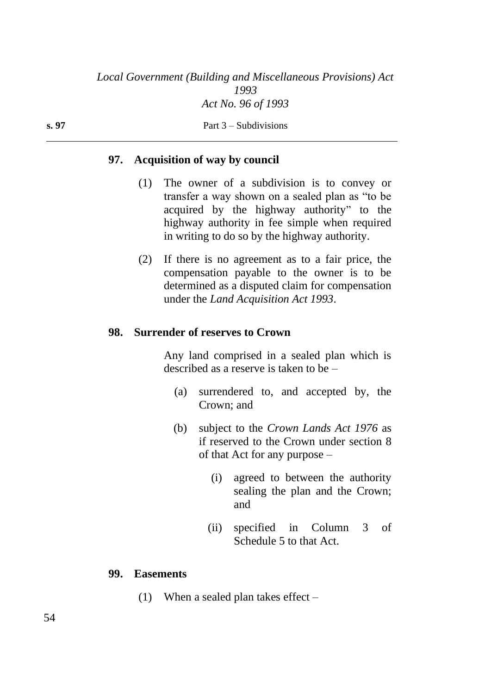### **97. Acquisition of way by council**

**s. 97** Part 3 – Subdivisions

- (1) The owner of a subdivision is to convey or transfer a way shown on a sealed plan as "to be acquired by the highway authority" to the highway authority in fee simple when required in writing to do so by the highway authority.
- (2) If there is no agreement as to a fair price, the compensation payable to the owner is to be determined as a disputed claim for compensation under the *Land Acquisition Act 1993*.

#### **98. Surrender of reserves to Crown**

Any land comprised in a sealed plan which is described as a reserve is taken to be –

- (a) surrendered to, and accepted by, the Crown; and
- (b) subject to the *Crown Lands Act 1976* as if reserved to the Crown under section 8 of that Act for any purpose –
	- (i) agreed to between the authority sealing the plan and the Crown; and
	- (ii) specified in Column 3 of Schedule 5 to that Act.

#### **99. Easements**

(1) When a sealed plan takes effect –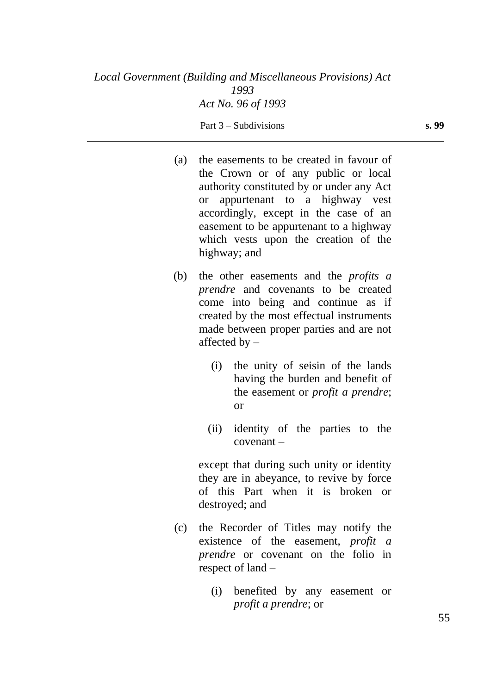| (a) | the easements to be created in favour of<br>the Crown or of any public or local<br>authority constituted by or under any Act<br>or appurtenant to a highway vest<br>accordingly, except in the case of an<br>easement to be appurtenant to a highway<br>which vests upon the creation of the<br>highway; and |
|-----|--------------------------------------------------------------------------------------------------------------------------------------------------------------------------------------------------------------------------------------------------------------------------------------------------------------|
| (b) | the other easements and the <i>profits a</i><br><i>prendre</i> and covenants to be created<br>come into being and continue as if<br>created by the most effectual instruments<br>made between proper parties and are not<br>affected by $-$                                                                  |
|     | the unity of seisin of the lands<br>(i)<br>having the burden and benefit of<br>the easement or <i>profit a prendre</i> ;<br><b>or</b>                                                                                                                                                                        |
|     | identity of the parties to the<br>(ii)<br>$coverant -$                                                                                                                                                                                                                                                       |
|     | except that during such unity or identity<br>they are in abeyance, to revive by force<br>of this Part when it is broken<br><b>or</b><br>destroyed; and                                                                                                                                                       |

- (c) the Recorder of Titles may notify the existence of the easement, *profit a prendre* or covenant on the folio in respect of land –
	- (i) benefited by any easement or *profit a prendre*; or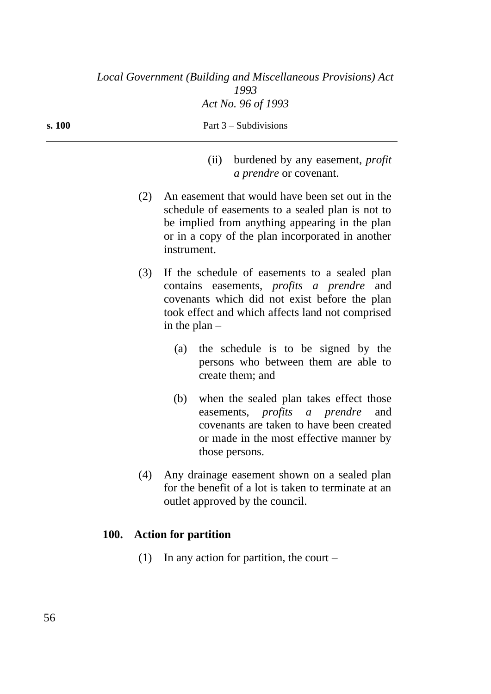| (11) | burdened by any easement, <i>profit</i><br><i>a prendre</i> or covenant. |
|------|--------------------------------------------------------------------------|
|      | An easement that would have been set out in the                          |

**s. 100** Part 3 – Subdivisions

- schedule of easements to a sealed plan is not to be implied from anything appearing in the plan or in a copy of the plan incorporated in another instrument.
- (3) If the schedule of easements to a sealed plan contains easements, *profits a prendre* and covenants which did not exist before the plan took effect and which affects land not comprised in the plan –
	- (a) the schedule is to be signed by the persons who between them are able to create them; and
	- (b) when the sealed plan takes effect those easements, *profits a prendre* and covenants are taken to have been created or made in the most effective manner by those persons.
- (4) Any drainage easement shown on a sealed plan for the benefit of a lot is taken to terminate at an outlet approved by the council.

# **100. Action for partition**

(1) In any action for partition, the court –

56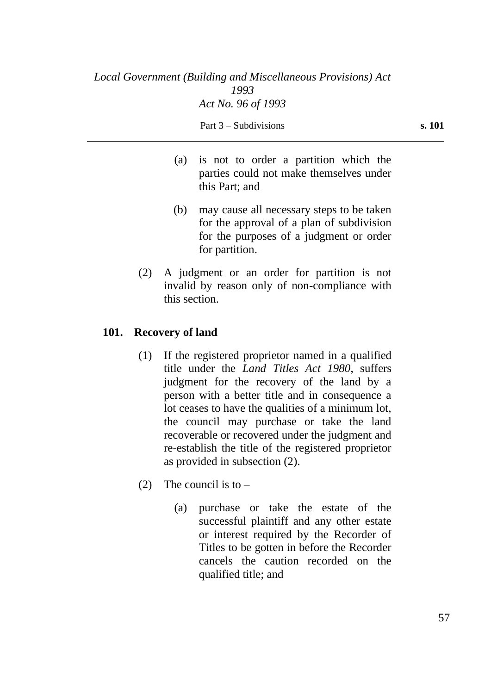- (a) is not to order a partition which the parties could not make themselves under this Part; and
- (b) may cause all necessary steps to be taken for the approval of a plan of subdivision for the purposes of a judgment or order for partition.
- (2) A judgment or an order for partition is not invalid by reason only of non-compliance with this section.

# **101. Recovery of land**

- (1) If the registered proprietor named in a qualified title under the *Land Titles Act 1980*, suffers judgment for the recovery of the land by a person with a better title and in consequence a lot ceases to have the qualities of a minimum lot, the council may purchase or take the land recoverable or recovered under the judgment and re-establish the title of the registered proprietor as provided in subsection (2).
- (2) The council is to  $-$ 
	- (a) purchase or take the estate of the successful plaintiff and any other estate or interest required by the Recorder of Titles to be gotten in before the Recorder cancels the caution recorded on the qualified title; and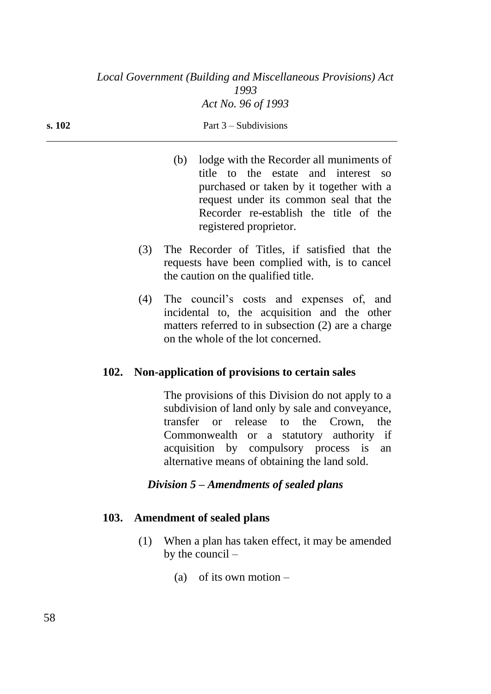| (b) lodge with the Recorder all muniments of<br>title to the estate and interest so |
|-------------------------------------------------------------------------------------|
| purchased or taken by it together with a                                            |
| request under its common seal that the                                              |
| Recorder re-establish the title of the                                              |

registered proprietor.

- (3) The Recorder of Titles, if satisfied that the requests have been complied with, is to cancel the caution on the qualified title.
- (4) The council's costs and expenses of, and incidental to, the acquisition and the other matters referred to in subsection (2) are a charge on the whole of the lot concerned.

# **102. Non-application of provisions to certain sales**

The provisions of this Division do not apply to a subdivision of land only by sale and conveyance, transfer or release to the Crown, the Commonwealth or a statutory authority if acquisition by compulsory process is an alternative means of obtaining the land sold.

# *Division 5 – Amendments of sealed plans*

# **103. Amendment of sealed plans**

- (1) When a plan has taken effect, it may be amended by the council –
	- (a) of its own motion  $-$

#### **s. 102** Part 3 – Subdivisions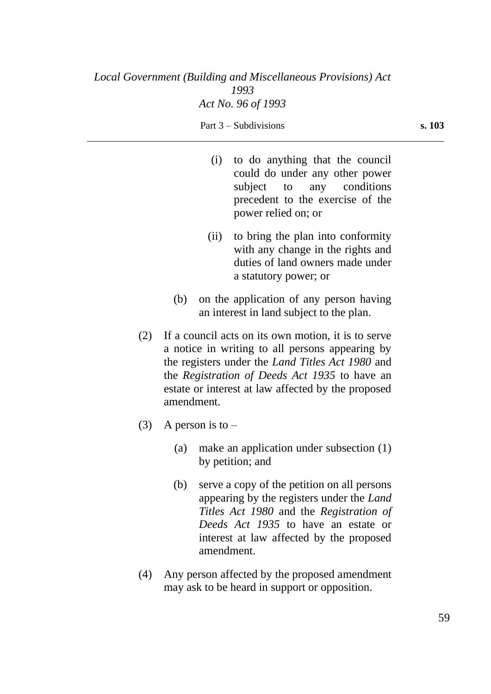- (i) to do anything that the council could do under any other power subject to any conditions precedent to the exercise of the power relied on; or
- (ii) to bring the plan into conformity with any change in the rights and duties of land owners made under a statutory power; or
- (b) on the application of any person having an interest in land subject to the plan.
- (2) If a council acts on its own motion, it is to serve a notice in writing to all persons appearing by the registers under the *Land Titles Act 1980* and the *Registration of Deeds Act 1935* to have an estate or interest at law affected by the proposed amendment.
- (3) A person is to  $-$ 
	- (a) make an application under subsection (1) by petition; and
	- (b) serve a copy of the petition on all persons appearing by the registers under the *Land Titles Act 1980* and the *Registration of Deeds Act 1935* to have an estate or interest at law affected by the proposed amendment.
- (4) Any person affected by the proposed amendment may ask to be heard in support or opposition.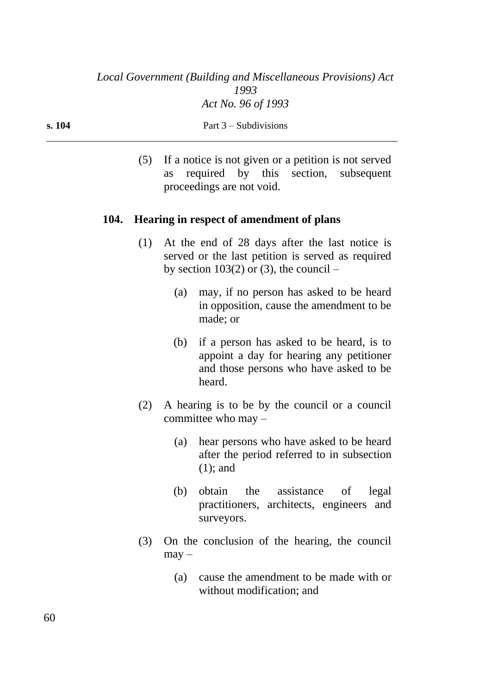(5) If a notice is not given or a petition is not served as required by this section, subsequent proceedings are not void.

### **104. Hearing in respect of amendment of plans**

- (1) At the end of 28 days after the last notice is served or the last petition is served as required by section  $103(2)$  or (3), the council –
	- (a) may, if no person has asked to be heard in opposition, cause the amendment to be made; or
	- (b) if a person has asked to be heard, is to appoint a day for hearing any petitioner and those persons who have asked to be heard.
- (2) A hearing is to be by the council or a council committee who may –
	- (a) hear persons who have asked to be heard after the period referred to in subsection (1); and
	- (b) obtain the assistance of legal practitioners, architects, engineers and surveyors.
- (3) On the conclusion of the hearing, the council  $may -$ 
	- (a) cause the amendment to be made with or without modification; and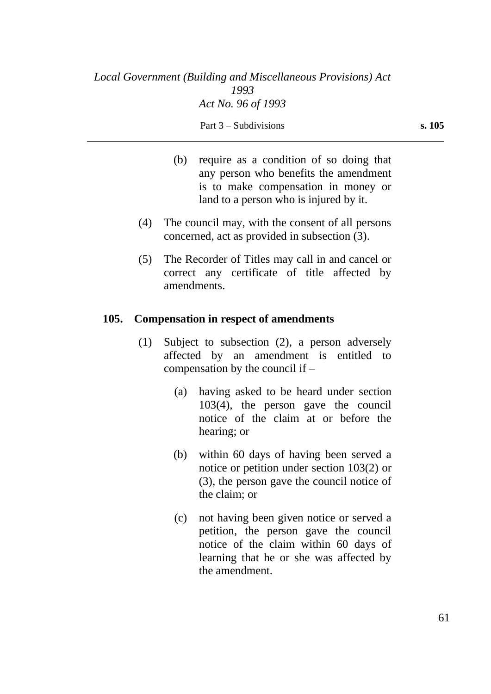- (b) require as a condition of so doing that any person who benefits the amendment is to make compensation in money or land to a person who is injured by it.
- (4) The council may, with the consent of all persons concerned, act as provided in subsection (3).
- (5) The Recorder of Titles may call in and cancel or correct any certificate of title affected by amendments.

### **105. Compensation in respect of amendments**

- (1) Subject to subsection (2), a person adversely affected by an amendment is entitled to compensation by the council if –
	- (a) having asked to be heard under section 103(4), the person gave the council notice of the claim at or before the hearing; or
	- (b) within 60 days of having been served a notice or petition under section 103(2) or (3), the person gave the council notice of the claim; or
	- (c) not having been given notice or served a petition, the person gave the council notice of the claim within 60 days of learning that he or she was affected by the amendment.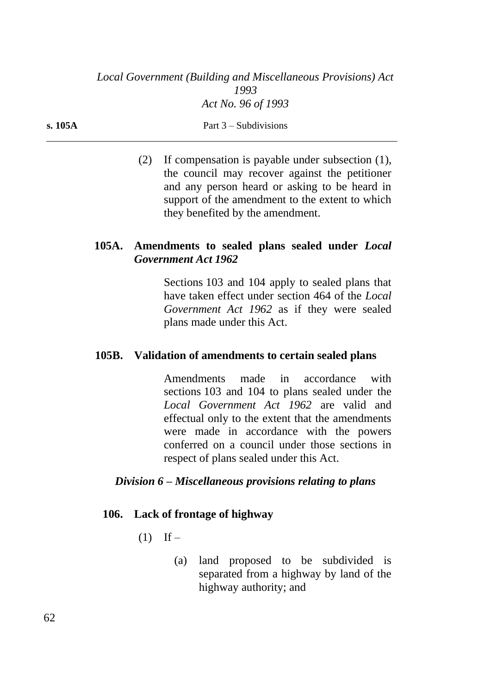(2) If compensation is payable under subsection (1), the council may recover against the petitioner and any person heard or asking to be heard in support of the amendment to the extent to which they benefited by the amendment.

# **105A. Amendments to sealed plans sealed under** *Local Government Act 1962*

Sections 103 and 104 apply to sealed plans that have taken effect under section 464 of the *Local Government Act 1962* as if they were sealed plans made under this Act.

# **105B. Validation of amendments to certain sealed plans**

Amendments made in accordance with sections 103 and 104 to plans sealed under the *Local Government Act 1962* are valid and effectual only to the extent that the amendments were made in accordance with the powers conferred on a council under those sections in respect of plans sealed under this Act.

# *Division 6 – Miscellaneous provisions relating to plans*

# **106. Lack of frontage of highway**

- $(1)$  If
	- (a) land proposed to be subdivided is separated from a highway by land of the highway authority; and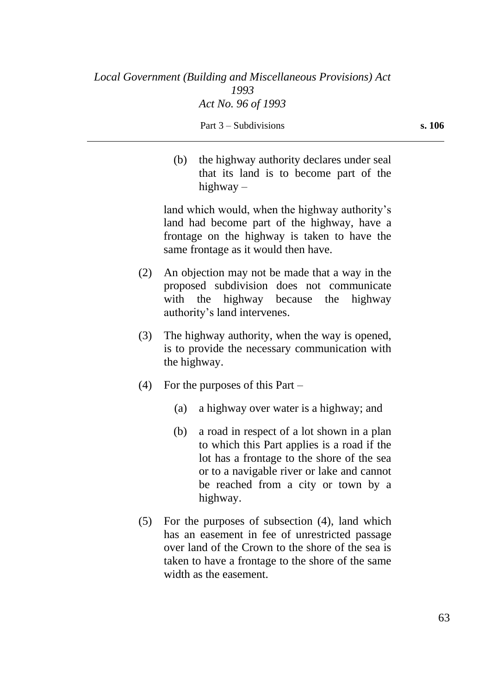(b) the highway authority declares under seal that its land is to become part of the highway –

land which would, when the highway authority's land had become part of the highway, have a frontage on the highway is taken to have the same frontage as it would then have.

- (2) An objection may not be made that a way in the proposed subdivision does not communicate with the highway because the highway authority's land intervenes.
- (3) The highway authority, when the way is opened, is to provide the necessary communication with the highway.
- (4) For the purposes of this Part
	- (a) a highway over water is a highway; and
	- (b) a road in respect of a lot shown in a plan to which this Part applies is a road if the lot has a frontage to the shore of the sea or to a navigable river or lake and cannot be reached from a city or town by a highway.
- (5) For the purposes of subsection (4), land which has an easement in fee of unrestricted passage over land of the Crown to the shore of the sea is taken to have a frontage to the shore of the same width as the easement.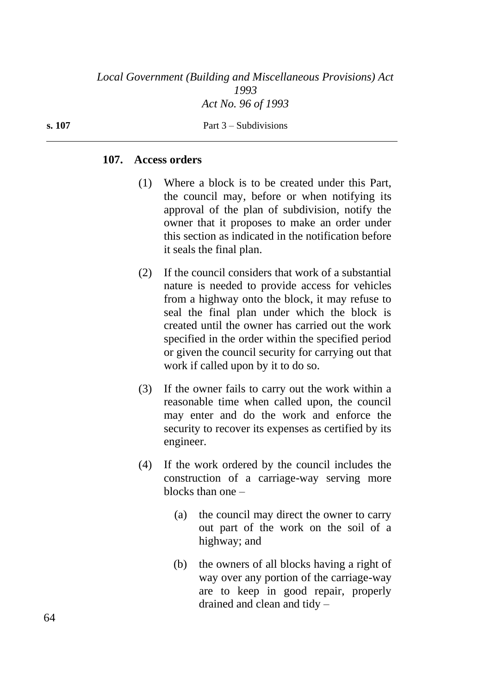#### **107. Access orders**

- (1) Where a block is to be created under this Part, the council may, before or when notifying its approval of the plan of subdivision, notify the owner that it proposes to make an order under this section as indicated in the notification before it seals the final plan.
- (2) If the council considers that work of a substantial nature is needed to provide access for vehicles from a highway onto the block, it may refuse to seal the final plan under which the block is created until the owner has carried out the work specified in the order within the specified period or given the council security for carrying out that work if called upon by it to do so.
- (3) If the owner fails to carry out the work within a reasonable time when called upon, the council may enter and do the work and enforce the security to recover its expenses as certified by its engineer.
- (4) If the work ordered by the council includes the construction of a carriage-way serving more blocks than one –
	- (a) the council may direct the owner to carry out part of the work on the soil of a highway; and
	- (b) the owners of all blocks having a right of way over any portion of the carriage-way are to keep in good repair, properly drained and clean and tidy –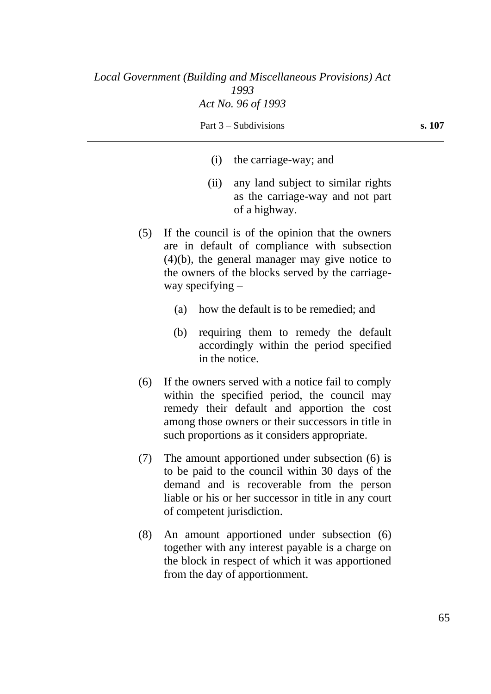- (i) the carriage-way; and
- (ii) any land subject to similar rights as the carriage-way and not part of a highway.
- (5) If the council is of the opinion that the owners are in default of compliance with subsection (4)(b), the general manager may give notice to the owners of the blocks served by the carriageway specifying –
	- (a) how the default is to be remedied; and
	- (b) requiring them to remedy the default accordingly within the period specified in the notice.
- (6) If the owners served with a notice fail to comply within the specified period, the council may remedy their default and apportion the cost among those owners or their successors in title in such proportions as it considers appropriate.
- (7) The amount apportioned under subsection (6) is to be paid to the council within 30 days of the demand and is recoverable from the person liable or his or her successor in title in any court of competent jurisdiction.
- (8) An amount apportioned under subsection (6) together with any interest payable is a charge on the block in respect of which it was apportioned from the day of apportionment.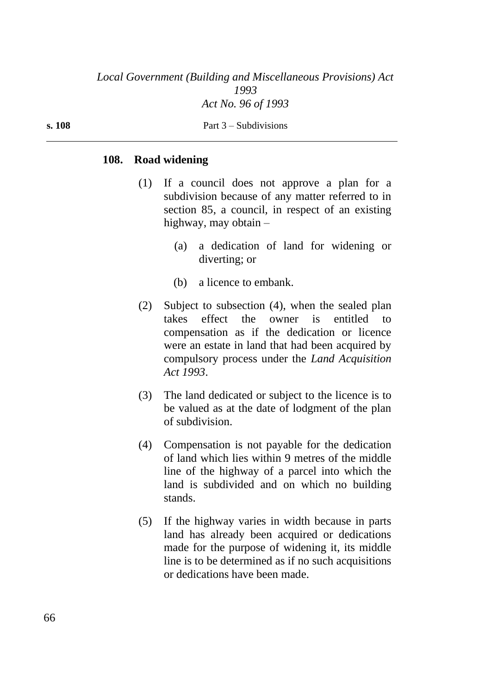#### **s. 108** Part 3 – Subdivisions

#### **108. Road widening**

- (1) If a council does not approve a plan for a subdivision because of any matter referred to in section 85, a council, in respect of an existing highway, may obtain –
	- (a) a dedication of land for widening or diverting; or
	- (b) a licence to embank.
- (2) Subject to subsection (4), when the sealed plan takes effect the owner is entitled to compensation as if the dedication or licence were an estate in land that had been acquired by compulsory process under the *Land Acquisition Act 1993*.
- (3) The land dedicated or subject to the licence is to be valued as at the date of lodgment of the plan of subdivision.
- (4) Compensation is not payable for the dedication of land which lies within 9 metres of the middle line of the highway of a parcel into which the land is subdivided and on which no building stands.
- (5) If the highway varies in width because in parts land has already been acquired or dedications made for the purpose of widening it, its middle line is to be determined as if no such acquisitions or dedications have been made.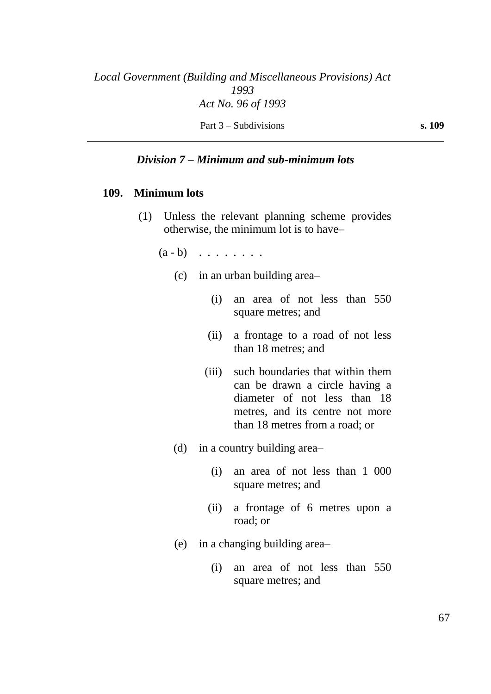### *Division 7 – Minimum and sub-minimum lots*

#### **109. Minimum lots**

- (1) Unless the relevant planning scheme provides otherwise, the minimum lot is to have–
	- $(a b)$  . . . . . . . .
		- (c) in an urban building area–
			- (i) an area of not less than 550 square metres; and
			- (ii) a frontage to a road of not less than 18 metres; and
			- (iii) such boundaries that within them can be drawn a circle having a diameter of not less than 18 metres, and its centre not more than 18 metres from a road; or
		- (d) in a country building area–
			- (i) an area of not less than 1 000 square metres; and
			- (ii) a frontage of 6 metres upon a road; or
		- (e) in a changing building area–
			- (i) an area of not less than 550 square metres; and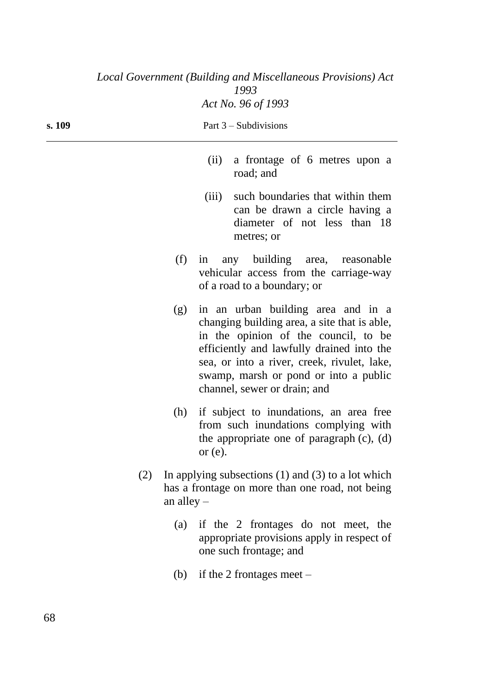| s. 109 | Part $3$ – Subdivisions                                                                                                   |                                                                                                                                                                                                                                                                                                                                                                                                                    |  |
|--------|---------------------------------------------------------------------------------------------------------------------------|--------------------------------------------------------------------------------------------------------------------------------------------------------------------------------------------------------------------------------------------------------------------------------------------------------------------------------------------------------------------------------------------------------------------|--|
|        |                                                                                                                           | a frontage of 6 metres upon a<br>(ii)<br>road; and                                                                                                                                                                                                                                                                                                                                                                 |  |
|        |                                                                                                                           | such boundaries that within them<br>(iii)<br>can be drawn a circle having a<br>diameter of not less than 18<br>metres; or                                                                                                                                                                                                                                                                                          |  |
|        | (f)                                                                                                                       | any building<br>area, reasonable<br>in<br>vehicular access from the carriage-way<br>of a road to a boundary; or<br>in an urban building area and in a<br>changing building area, a site that is able,<br>in the opinion of the council, to be<br>efficiently and lawfully drained into the<br>sea, or into a river, creek, rivulet, lake,<br>swamp, marsh or pond or into a public<br>channel, sewer or drain; and |  |
|        | (g)                                                                                                                       |                                                                                                                                                                                                                                                                                                                                                                                                                    |  |
|        | (h)                                                                                                                       | if subject to inundations, an area free<br>from such inundations complying with<br>the appropriate one of paragraph $(c)$ , $(d)$<br>or $(e)$ .                                                                                                                                                                                                                                                                    |  |
| (2)    | In applying subsections $(1)$ and $(3)$ to a lot which<br>has a frontage on more than one road, not being<br>an alley $-$ |                                                                                                                                                                                                                                                                                                                                                                                                                    |  |
|        | (a)                                                                                                                       | if the 2 frontages do not meet, the<br>appropriate provisions apply in respect of<br>one such frontage; and                                                                                                                                                                                                                                                                                                        |  |
|        | (b)                                                                                                                       | if the 2 frontages meet $-$                                                                                                                                                                                                                                                                                                                                                                                        |  |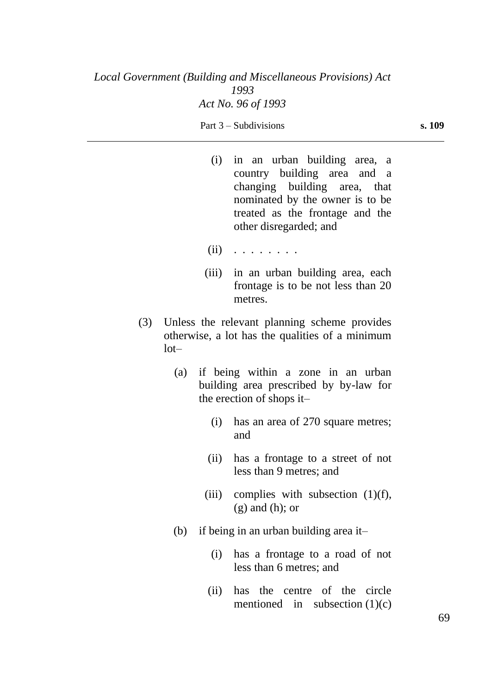- 
- (i) in an urban building area, a country building area and a changing building area, that nominated by the owner is to be treated as the frontage and the other disregarded; and
- (ii) . . . . . . . .
- (iii) in an urban building area, each frontage is to be not less than 20 metres.
- (3) Unless the relevant planning scheme provides otherwise, a lot has the qualities of a minimum  $1$ ot $-$ 
	- (a) if being within a zone in an urban building area prescribed by by-law for the erection of shops it–
		- (i) has an area of 270 square metres; and
		- (ii) has a frontage to a street of not less than 9 metres; and
		- (iii) complies with subsection  $(1)(f)$ ,  $(g)$  and  $(h)$ ; or
	- (b) if being in an urban building area it–
		- (i) has a frontage to a road of not less than 6 metres; and
		- (ii) has the centre of the circle mentioned in subsection  $(1)(c)$

69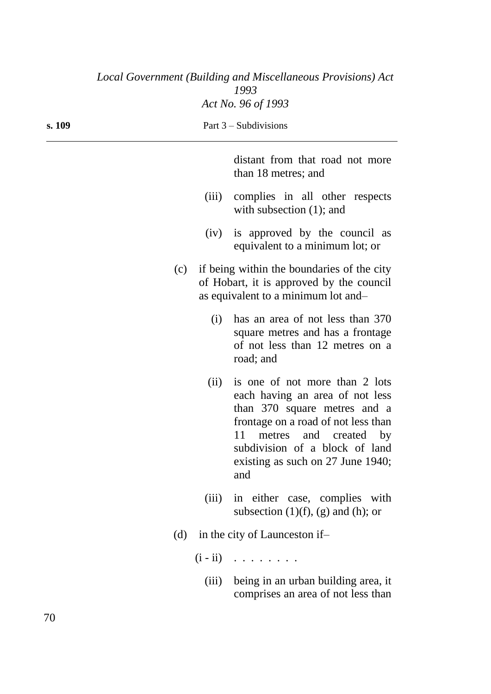| Local Government (Building and Miscellaneous Provisions) Act<br>1993 |     |                                                                                                                               |                                                                                                                                                                                                                                                                |  |  |
|----------------------------------------------------------------------|-----|-------------------------------------------------------------------------------------------------------------------------------|----------------------------------------------------------------------------------------------------------------------------------------------------------------------------------------------------------------------------------------------------------------|--|--|
|                                                                      |     |                                                                                                                               | Act No. 96 of 1993                                                                                                                                                                                                                                             |  |  |
| s. 109                                                               |     |                                                                                                                               | Part $3$ – Subdivisions                                                                                                                                                                                                                                        |  |  |
|                                                                      |     |                                                                                                                               | distant from that road not more<br>than 18 metres; and                                                                                                                                                                                                         |  |  |
|                                                                      |     | (iii)                                                                                                                         | complies in all other respects<br>with subsection $(1)$ ; and                                                                                                                                                                                                  |  |  |
|                                                                      |     | (iv)                                                                                                                          | is approved by the council as<br>equivalent to a minimum lot; or                                                                                                                                                                                               |  |  |
|                                                                      | (c) | if being within the boundaries of the city<br>of Hobart, it is approved by the council<br>as equivalent to a minimum lot and- |                                                                                                                                                                                                                                                                |  |  |
|                                                                      |     | (i)                                                                                                                           | has an area of not less than 370<br>square metres and has a frontage<br>of not less than 12 metres on a<br>road; and                                                                                                                                           |  |  |
|                                                                      |     | (ii)                                                                                                                          | is one of not more than 2 lots<br>each having an area of not less<br>than 370 square metres and a<br>frontage on a road of not less than<br>11<br>and<br>metres<br>created<br>by<br>subdivision of a block of land<br>existing as such on 27 June 1940;<br>and |  |  |
|                                                                      |     | (iii)                                                                                                                         | in either case, complies with<br>subsection $(1)(f)$ , $(g)$ and $(h)$ ; or                                                                                                                                                                                    |  |  |
|                                                                      | (d) | in the city of Launceston if-                                                                                                 |                                                                                                                                                                                                                                                                |  |  |
|                                                                      |     |                                                                                                                               | $(i - ii)$                                                                                                                                                                                                                                                     |  |  |
|                                                                      |     | (iii)                                                                                                                         | being in an urban building area, it<br>comprises an area of not less than                                                                                                                                                                                      |  |  |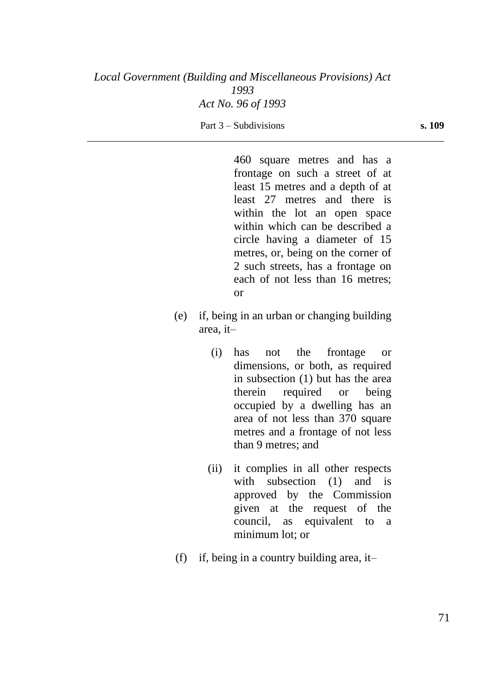Part 3 – Subdivisions **s. 109** 

460 square metres and has a frontage on such a street of at least 15 metres and a depth of at least 27 metres and there is within the lot an open space within which can be described a circle having a diameter of 15 metres, or, being on the corner of 2 such streets, has a frontage on each of not less than 16 metres; or

- (e) if, being in an urban or changing building area, it–
	- (i) has not the frontage or dimensions, or both, as required in subsection (1) but has the area therein required or being occupied by a dwelling has an area of not less than 370 square metres and a frontage of not less than 9 metres; and
	- (ii) it complies in all other respects with subsection (1) and is approved by the Commission given at the request of the council, as equivalent to a minimum lot; or
- (f) if, being in a country building area, it–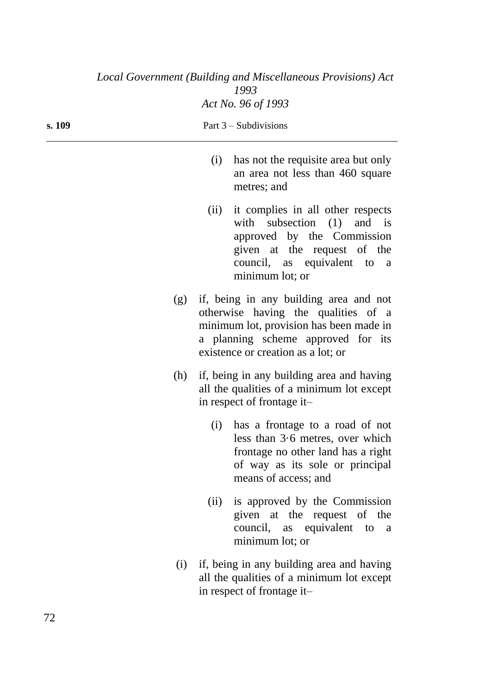| Local Government (Building and Miscellaneous Provisions) Act<br>1993 |     |                         |                                                                                                                                                                                                      |  |  |
|----------------------------------------------------------------------|-----|-------------------------|------------------------------------------------------------------------------------------------------------------------------------------------------------------------------------------------------|--|--|
|                                                                      |     |                         | Act No. 96 of 1993                                                                                                                                                                                   |  |  |
| s. 109                                                               |     | Part $3$ – Subdivisions |                                                                                                                                                                                                      |  |  |
|                                                                      |     | (i)                     | has not the requisite area but only<br>an area not less than 460 square<br>metres; and                                                                                                               |  |  |
|                                                                      |     | (ii)                    | it complies in all other respects<br>with subsection $(1)$ and is<br>approved by the Commission<br>given at the request of the<br>council, as equivalent to<br><sub>a</sub><br>minimum lot; or       |  |  |
|                                                                      | (g) |                         | if, being in any building area and not<br>otherwise having the qualities of a<br>minimum lot, provision has been made in<br>a planning scheme approved for its<br>existence or creation as a lot; or |  |  |
|                                                                      | (h) |                         | if, being in any building area and having<br>all the qualities of a minimum lot except<br>in respect of frontage it-                                                                                 |  |  |
|                                                                      |     |                         | (i) has a frontage to a road of not<br>less than $3.6$ metres, over which<br>frontage no other land has a right<br>of way as its sole or principal<br>means of access; and                           |  |  |
|                                                                      |     | (ii)                    | is approved by the Commission<br>given at the request of the<br>council, as equivalent to<br><sub>a</sub><br>minimum lot; or                                                                         |  |  |
|                                                                      | (i) |                         | if, being in any building area and having<br>all the qualities of a minimum lot except<br>in respect of frontage it-                                                                                 |  |  |

72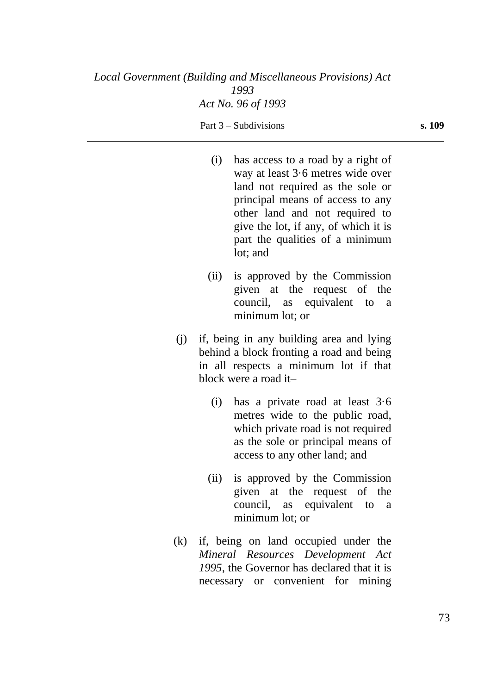- (i) has access to a road by a right of way at least 3·6 metres wide over land not required as the sole or principal means of access to any other land and not required to give the lot, if any, of which it is part the qualities of a minimum lot; and
- (ii) is approved by the Commission given at the request of the council, as equivalent to a minimum lot; or
- (j) if, being in any building area and lying behind a block fronting a road and being in all respects a minimum lot if that block were a road it–
	- (i) has a private road at least 3·6 metres wide to the public road, which private road is not required as the sole or principal means of access to any other land; and
	- (ii) is approved by the Commission given at the request of the council, as equivalent to a minimum lot; or
- (k) if, being on land occupied under the *Mineral Resources Development Act 1995*, the Governor has declared that it is necessary or convenient for mining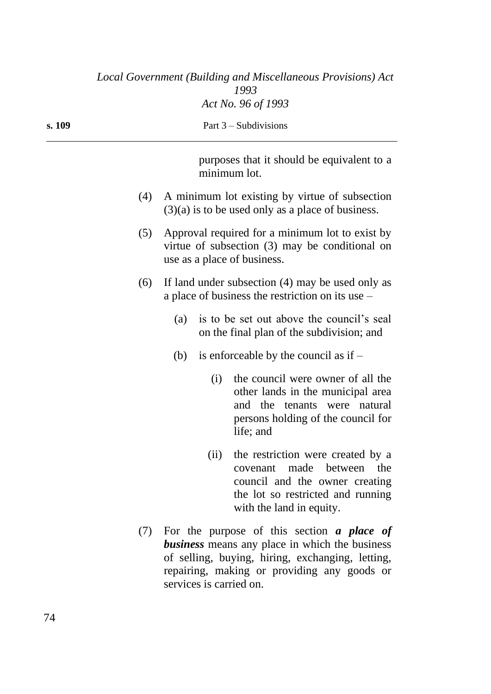|        |     | Local Government (Building and Miscellaneous Provisions) Act<br>1993                                                                                                                                                                     |
|--------|-----|------------------------------------------------------------------------------------------------------------------------------------------------------------------------------------------------------------------------------------------|
|        |     | Act No. 96 of 1993                                                                                                                                                                                                                       |
| s. 109 |     | Part $3$ – Subdivisions                                                                                                                                                                                                                  |
|        |     | purposes that it should be equivalent to a<br>minimum lot.                                                                                                                                                                               |
|        | (4) | A minimum lot existing by virtue of subsection<br>$(3)(a)$ is to be used only as a place of business.                                                                                                                                    |
|        | (5) | Approval required for a minimum lot to exist by<br>virtue of subsection (3) may be conditional on<br>use as a place of business.                                                                                                         |
|        | (6) | If land under subsection (4) may be used only as<br>a place of business the restriction on its use $-$                                                                                                                                   |
|        |     | is to be set out above the council's seal<br>(a)<br>on the final plan of the subdivision; and                                                                                                                                            |
|        |     | is enforceable by the council as if $-$<br>(b)                                                                                                                                                                                           |
|        |     | the council were owner of all the<br>(i)<br>other lands in the municipal area<br>and the tenants were natural<br>persons holding of the council for<br>life; and                                                                         |
|        |     | the restriction were created by a<br>(ii)<br>covenant made between the<br>council and the owner creating<br>the lot so restricted and running<br>with the land in equity.                                                                |
|        | (7) | For the purpose of this section $\alpha$ place of<br><b>business</b> means any place in which the business<br>of selling, buying, hiring, exchanging, letting,<br>repairing, making or providing any goods or<br>services is carried on. |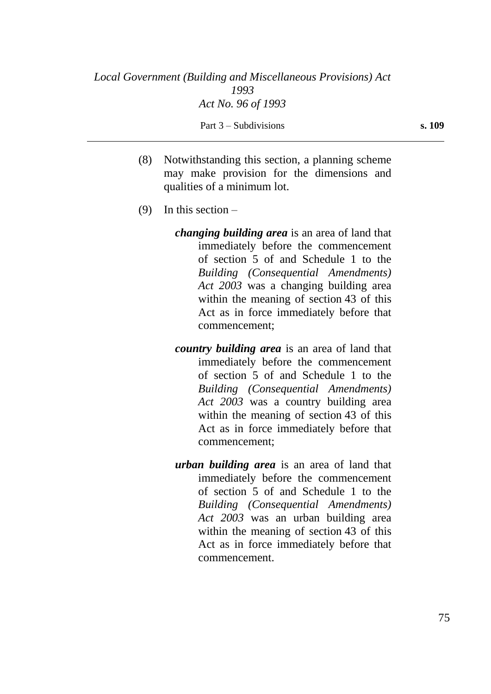- (8) Notwithstanding this section, a planning scheme may make provision for the dimensions and qualities of a minimum lot.
- (9) In this section  $$ 
	- *changing building area* is an area of land that immediately before the commencement of section 5 of and Schedule 1 to the *Building (Consequential Amendments) Act 2003* was a changing building area within the meaning of section 43 of this Act as in force immediately before that commencement;
	- *country building area* is an area of land that immediately before the commencement of section 5 of and Schedule 1 to the *Building (Consequential Amendments) Act 2003* was a country building area within the meaning of section 43 of this Act as in force immediately before that commencement;
	- *urban building area* is an area of land that immediately before the commencement of section 5 of and Schedule 1 to the *Building (Consequential Amendments) Act 2003* was an urban building area within the meaning of section 43 of this Act as in force immediately before that commencement.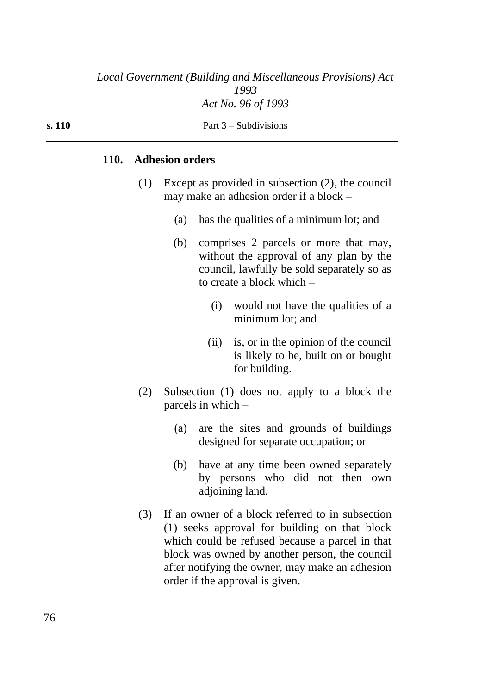**s. 110** Part 3 – Subdivisions

## **110. Adhesion orders**

- (1) Except as provided in subsection (2), the council may make an adhesion order if a block –
	- (a) has the qualities of a minimum lot; and
	- (b) comprises 2 parcels or more that may, without the approval of any plan by the council, lawfully be sold separately so as to create a block which –
		- (i) would not have the qualities of a minimum lot; and
		- (ii) is, or in the opinion of the council is likely to be, built on or bought for building.
- (2) Subsection (1) does not apply to a block the parcels in which –
	- (a) are the sites and grounds of buildings designed for separate occupation; or
	- (b) have at any time been owned separately by persons who did not then own adjoining land.
- (3) If an owner of a block referred to in subsection (1) seeks approval for building on that block which could be refused because a parcel in that block was owned by another person, the council after notifying the owner, may make an adhesion order if the approval is given.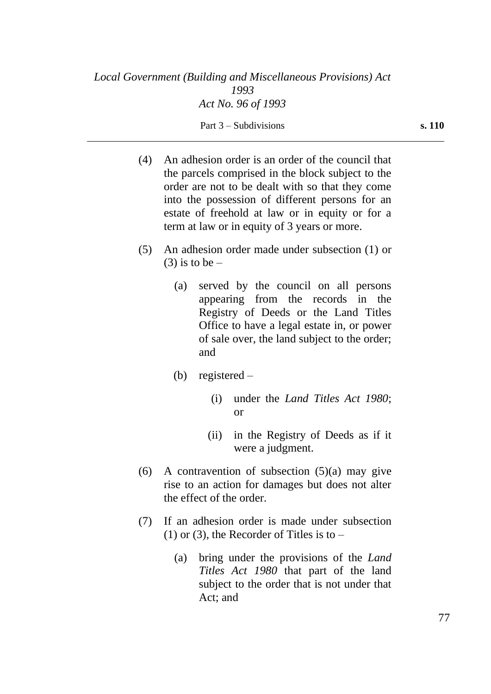- (4) An adhesion order is an order of the council that the parcels comprised in the block subject to the order are not to be dealt with so that they come into the possession of different persons for an estate of freehold at law or in equity or for a term at law or in equity of 3 years or more.
- (5) An adhesion order made under subsection (1) or  $(3)$  is to be –
	- (a) served by the council on all persons appearing from the records in the Registry of Deeds or the Land Titles Office to have a legal estate in, or power of sale over, the land subject to the order; and
	- (b) registered
		- (i) under the *Land Titles Act 1980*; or
		- (ii) in the Registry of Deeds as if it were a judgment.
- (6) A contravention of subsection  $(5)(a)$  may give rise to an action for damages but does not alter the effect of the order.
- (7) If an adhesion order is made under subsection  $(1)$  or  $(3)$ , the Recorder of Titles is to –
	- (a) bring under the provisions of the *Land Titles Act 1980* that part of the land subject to the order that is not under that Act; and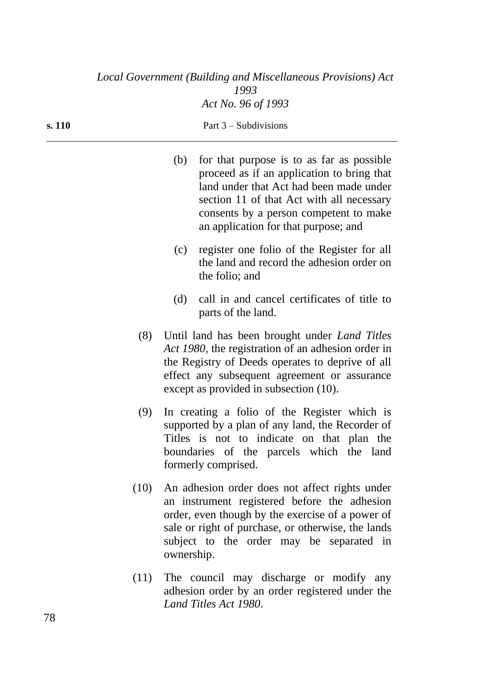|      | (b)        | for that purpose is to as far as possible<br>proceed as if an application to bring that<br>land under that Act had been made under<br>section 11 of that Act with all necessary<br>consents by a person competent to make<br>an application for that purpose; and |
|------|------------|-------------------------------------------------------------------------------------------------------------------------------------------------------------------------------------------------------------------------------------------------------------------|
|      | (c)        | register one folio of the Register for all<br>the land and record the adhesion order on<br>the folio; and                                                                                                                                                         |
|      | (d)        | call in and cancel certificates of title to<br>parts of the land.                                                                                                                                                                                                 |
| (8)  |            | Until land has been brought under <i>Land Titles</i><br>Act 1980, the registration of an adhesion order in<br>the Registry of Deeds operates to deprive of all<br>effect any subsequent agreement or assurance<br>except as provided in subsection (10).          |
| (9)  |            | In creating a folio of the Register which is<br>supported by a plan of any land, the Recorder of<br>Titles is not to indicate on that plan the<br>boundaries of the parcels which the land<br>formerly comprised.                                                 |
| (10) | ownership. | An adhesion order does not affect rights under<br>an instrument registered before the adhesion<br>order, even though by the exercise of a power of<br>sale or right of purchase, or otherwise, the lands<br>subject to the order may be separated in              |
|      |            |                                                                                                                                                                                                                                                                   |

(11) The council may discharge or modify any adhesion order by an order registered under the *Land Titles Act 1980*.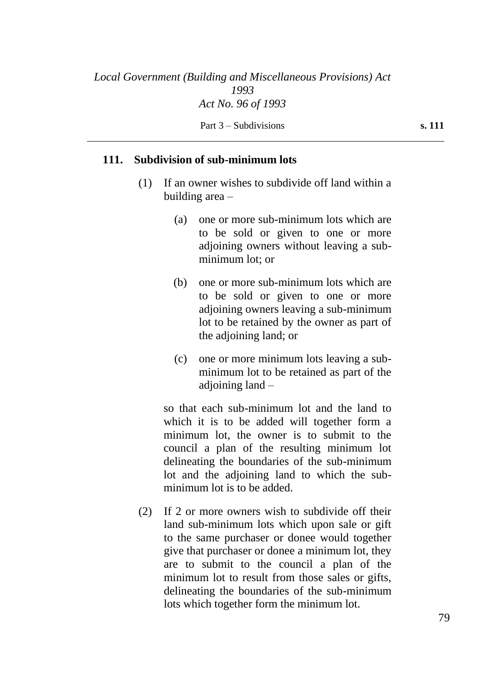#### **111. Subdivision of sub-minimum lots**

- (1) If an owner wishes to subdivide off land within a building area –
	- (a) one or more sub-minimum lots which are to be sold or given to one or more adjoining owners without leaving a subminimum lot; or
	- (b) one or more sub-minimum lots which are to be sold or given to one or more adjoining owners leaving a sub-minimum lot to be retained by the owner as part of the adjoining land; or
	- (c) one or more minimum lots leaving a subminimum lot to be retained as part of the adjoining land –

so that each sub-minimum lot and the land to which it is to be added will together form a minimum lot, the owner is to submit to the council a plan of the resulting minimum lot delineating the boundaries of the sub-minimum lot and the adjoining land to which the subminimum lot is to be added.

(2) If 2 or more owners wish to subdivide off their land sub-minimum lots which upon sale or gift to the same purchaser or donee would together give that purchaser or donee a minimum lot, they are to submit to the council a plan of the minimum lot to result from those sales or gifts, delineating the boundaries of the sub-minimum lots which together form the minimum lot.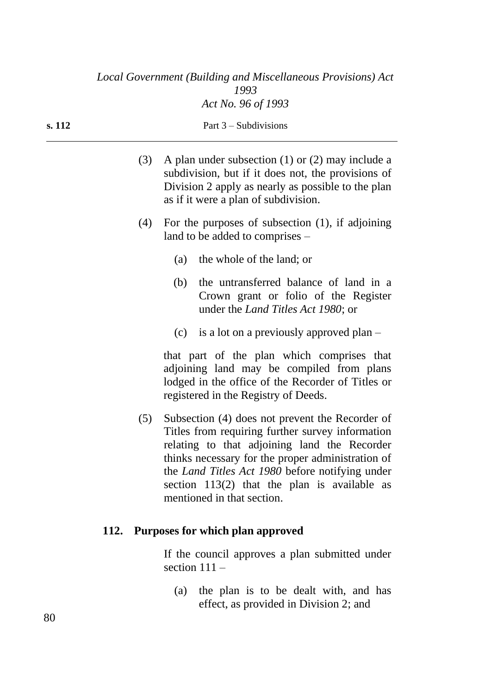|        | Local Government (Building and Miscellaneous Provisions) Act |
|--------|--------------------------------------------------------------|
|        | 1993                                                         |
|        | Act No. 96 of 1993                                           |
| s. 112 | Part $3$ – Subdivisions                                      |

- (3) A plan under subsection (1) or (2) may include a subdivision, but if it does not, the provisions of Division 2 apply as nearly as possible to the plan as if it were a plan of subdivision.
- (4) For the purposes of subsection (1), if adjoining land to be added to comprises –
	- (a) the whole of the land; or
	- (b) the untransferred balance of land in a Crown grant or folio of the Register under the *Land Titles Act 1980*; or
	- (c) is a lot on a previously approved plan –

that part of the plan which comprises that adjoining land may be compiled from plans lodged in the office of the Recorder of Titles or registered in the Registry of Deeds.

(5) Subsection (4) does not prevent the Recorder of Titles from requiring further survey information relating to that adjoining land the Recorder thinks necessary for the proper administration of the *Land Titles Act 1980* before notifying under section 113(2) that the plan is available as mentioned in that section.

#### **112. Purposes for which plan approved**

If the council approves a plan submitted under section  $111 -$ 

(a) the plan is to be dealt with, and has effect, as provided in Division 2; and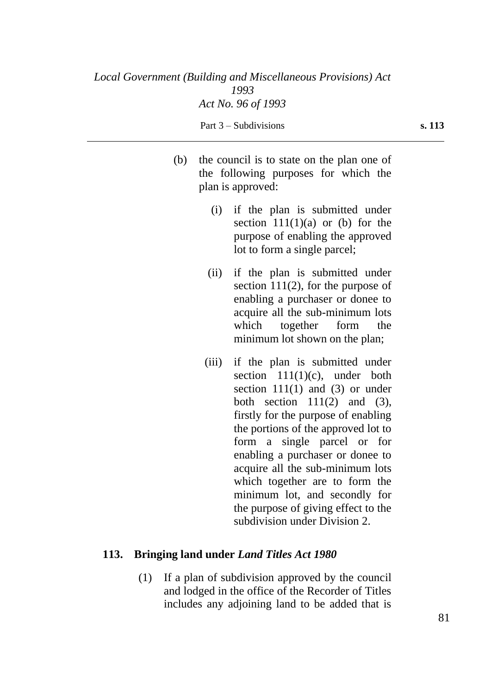- (b) the council is to state on the plan one of the following purposes for which the plan is approved:
	- (i) if the plan is submitted under section  $111(1)(a)$  or (b) for the purpose of enabling the approved lot to form a single parcel;
	- (ii) if the plan is submitted under section  $111(2)$ , for the purpose of enabling a purchaser or donee to acquire all the sub-minimum lots which together form the minimum lot shown on the plan;
	- (iii) if the plan is submitted under section  $111(1)(c)$ , under both section  $111(1)$  and  $(3)$  or under both section  $111(2)$  and  $(3)$ , firstly for the purpose of enabling the portions of the approved lot to form a single parcel or for enabling a purchaser or donee to acquire all the sub-minimum lots which together are to form the minimum lot, and secondly for the purpose of giving effect to the subdivision under Division 2.

## **113. Bringing land under** *Land Titles Act 1980*

(1) If a plan of subdivision approved by the council and lodged in the office of the Recorder of Titles includes any adjoining land to be added that is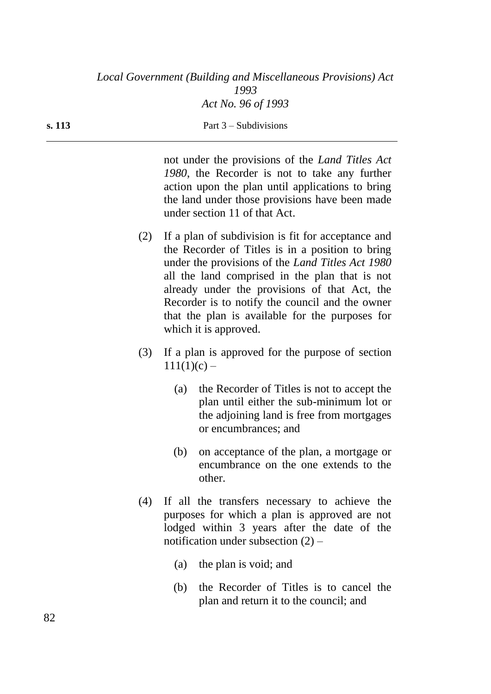not under the provisions of the *Land Titles Act 1980*, the Recorder is not to take any further action upon the plan until applications to bring the land under those provisions have been made under section 11 of that Act.

- (2) If a plan of subdivision is fit for acceptance and the Recorder of Titles is in a position to bring under the provisions of the *Land Titles Act 1980* all the land comprised in the plan that is not already under the provisions of that Act, the Recorder is to notify the council and the owner that the plan is available for the purposes for which it is approved.
- (3) If a plan is approved for the purpose of section  $111(1)(c) -$ 
	- (a) the Recorder of Titles is not to accept the plan until either the sub-minimum lot or the adjoining land is free from mortgages or encumbrances; and
	- (b) on acceptance of the plan, a mortgage or encumbrance on the one extends to the other.
- (4) If all the transfers necessary to achieve the purposes for which a plan is approved are not lodged within 3 years after the date of the notification under subsection  $(2)$  –
	- (a) the plan is void; and
	- (b) the Recorder of Titles is to cancel the plan and return it to the council; and

82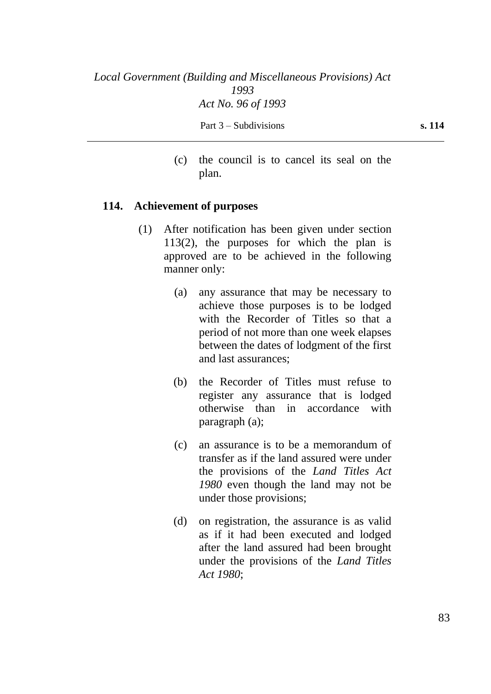(c) the council is to cancel its seal on the plan.

#### **114. Achievement of purposes**

- (1) After notification has been given under section 113(2), the purposes for which the plan is approved are to be achieved in the following manner only:
	- (a) any assurance that may be necessary to achieve those purposes is to be lodged with the Recorder of Titles so that a period of not more than one week elapses between the dates of lodgment of the first and last assurances;
	- (b) the Recorder of Titles must refuse to register any assurance that is lodged otherwise than in accordance with paragraph (a);
	- (c) an assurance is to be a memorandum of transfer as if the land assured were under the provisions of the *Land Titles Act 1980* even though the land may not be under those provisions;
	- (d) on registration, the assurance is as valid as if it had been executed and lodged after the land assured had been brought under the provisions of the *Land Titles Act 1980*;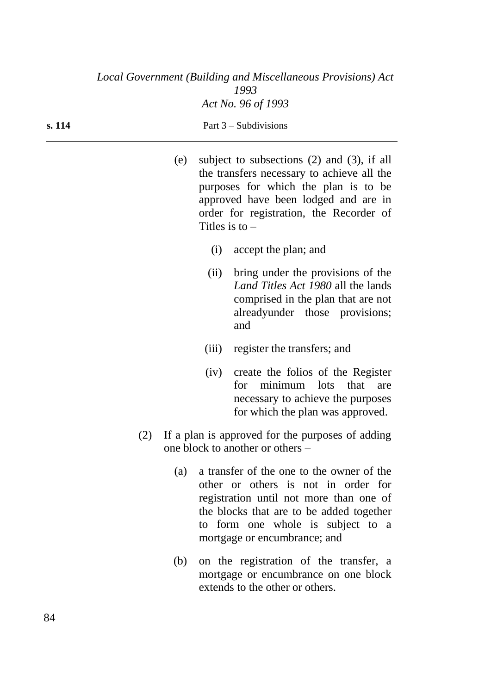| (e) | subject to subsections $(2)$ and $(3)$ , if all |
|-----|-------------------------------------------------|
|     | the transfers necessary to achieve all the      |
|     | purposes for which the plan is to be            |
|     | approved have been lodged and are in            |
|     | order for registration, the Recorder of         |
|     | Titles is to $-$                                |

- (i) accept the plan; and
- (ii) bring under the provisions of the *Land Titles Act 1980* all the lands comprised in the plan that are not alreadyunder those provisions; and
- (iii) register the transfers; and
- (iv) create the folios of the Register for minimum lots that are necessary to achieve the purposes for which the plan was approved.
- (2) If a plan is approved for the purposes of adding one block to another or others –
	- (a) a transfer of the one to the owner of the other or others is not in order for registration until not more than one of the blocks that are to be added together to form one whole is subject to a mortgage or encumbrance; and
	- (b) on the registration of the transfer, a mortgage or encumbrance on one block extends to the other or others.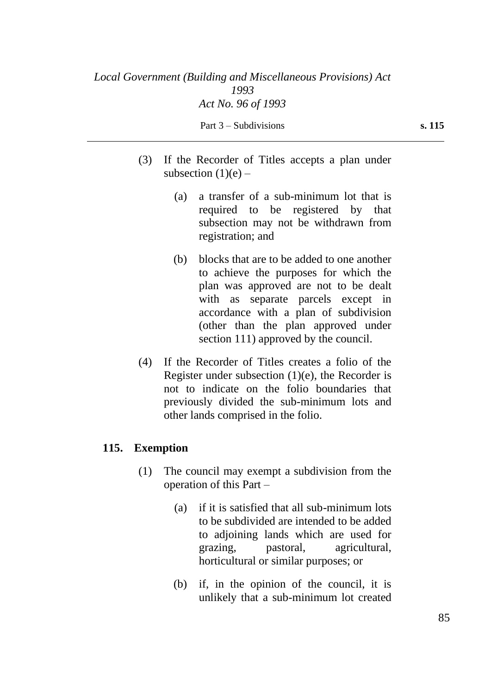- (3) If the Recorder of Titles accepts a plan under subsection  $(1)(e)$  –
	- (a) a transfer of a sub-minimum lot that is required to be registered by that subsection may not be withdrawn from registration; and
	- (b) blocks that are to be added to one another to achieve the purposes for which the plan was approved are not to be dealt with as separate parcels except in accordance with a plan of subdivision (other than the plan approved under section 111) approved by the council.
- (4) If the Recorder of Titles creates a folio of the Register under subsection  $(1)(e)$ , the Recorder is not to indicate on the folio boundaries that previously divided the sub-minimum lots and other lands comprised in the folio.

## **115. Exemption**

- (1) The council may exempt a subdivision from the operation of this Part –
	- (a) if it is satisfied that all sub-minimum lots to be subdivided are intended to be added to adjoining lands which are used for grazing, pastoral, agricultural, horticultural or similar purposes; or
	- (b) if, in the opinion of the council, it is unlikely that a sub-minimum lot created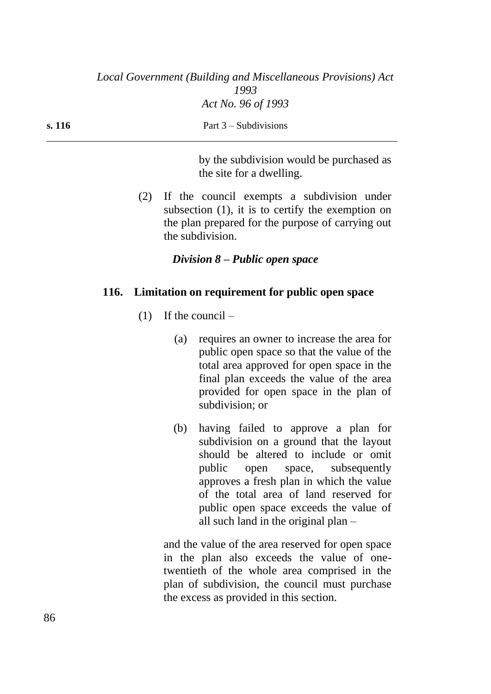**s. 116** Part 3 – Subdivisions

by the subdivision would be purchased as the site for a dwelling.

(2) If the council exempts a subdivision under subsection (1), it is to certify the exemption on the plan prepared for the purpose of carrying out the subdivision.

# *Division 8 – Public open space*

## **116. Limitation on requirement for public open space**

- $(1)$  If the council
	- (a) requires an owner to increase the area for public open space so that the value of the total area approved for open space in the final plan exceeds the value of the area provided for open space in the plan of subdivision; or
	- (b) having failed to approve a plan for subdivision on a ground that the layout should be altered to include or omit public open space, subsequently approves a fresh plan in which the value of the total area of land reserved for public open space exceeds the value of all such land in the original plan –

and the value of the area reserved for open space in the plan also exceeds the value of onetwentieth of the whole area comprised in the plan of subdivision, the council must purchase the excess as provided in this section.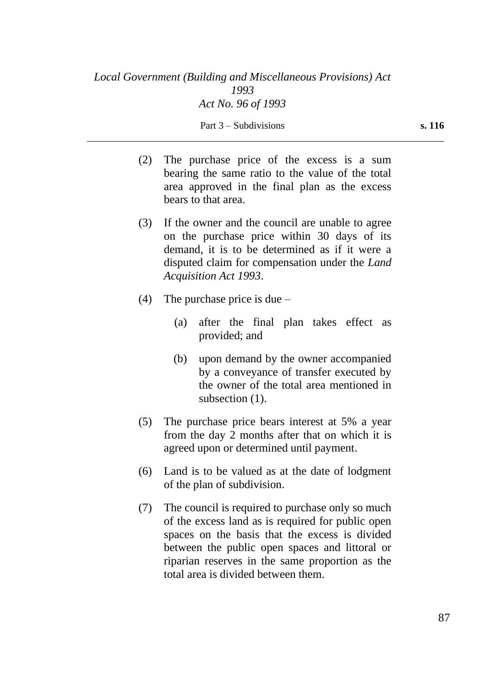- (2) The purchase price of the excess is a sum bearing the same ratio to the value of the total area approved in the final plan as the excess bears to that area.
- (3) If the owner and the council are unable to agree on the purchase price within 30 days of its demand, it is to be determined as if it were a disputed claim for compensation under the *Land Acquisition Act 1993*.
- (4) The purchase price is due  $-$ 
	- (a) after the final plan takes effect as provided; and
	- (b) upon demand by the owner accompanied by a conveyance of transfer executed by the owner of the total area mentioned in subsection  $(1)$ .
- (5) The purchase price bears interest at 5% a year from the day 2 months after that on which it is agreed upon or determined until payment.
- (6) Land is to be valued as at the date of lodgment of the plan of subdivision.
- (7) The council is required to purchase only so much of the excess land as is required for public open spaces on the basis that the excess is divided between the public open spaces and littoral or riparian reserves in the same proportion as the total area is divided between them.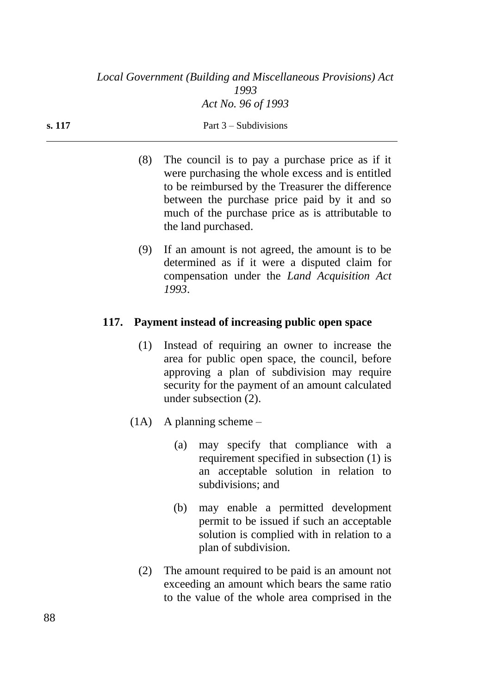- (8) The council is to pay a purchase price as if it were purchasing the whole excess and is entitled to be reimbursed by the Treasurer the difference between the purchase price paid by it and so much of the purchase price as is attributable to the land purchased.
- (9) If an amount is not agreed, the amount is to be determined as if it were a disputed claim for compensation under the *Land Acquisition Act 1993*.

## **117. Payment instead of increasing public open space**

- (1) Instead of requiring an owner to increase the area for public open space, the council, before approving a plan of subdivision may require security for the payment of an amount calculated under subsection (2).
- (1A) A planning scheme
	- (a) may specify that compliance with a requirement specified in subsection (1) is an acceptable solution in relation to subdivisions; and
	- (b) may enable a permitted development permit to be issued if such an acceptable solution is complied with in relation to a plan of subdivision.
	- (2) The amount required to be paid is an amount not exceeding an amount which bears the same ratio to the value of the whole area comprised in the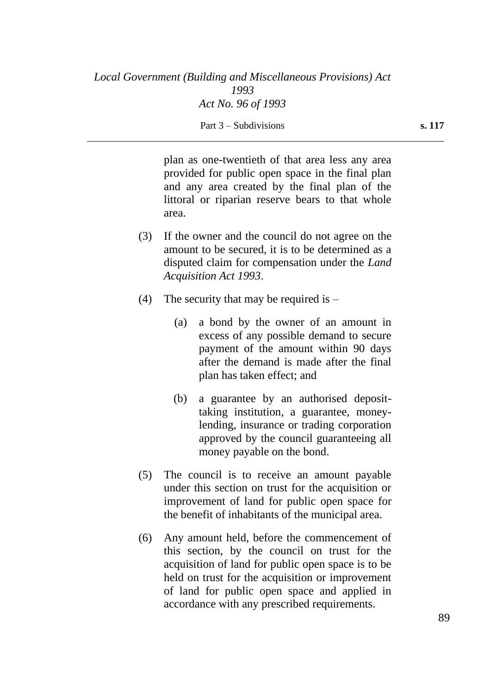plan as one-twentieth of that area less any area provided for public open space in the final plan and any area created by the final plan of the littoral or riparian reserve bears to that whole area.

- (3) If the owner and the council do not agree on the amount to be secured, it is to be determined as a disputed claim for compensation under the *Land Acquisition Act 1993*.
- (4) The security that may be required is  $-$ 
	- (a) a bond by the owner of an amount in excess of any possible demand to secure payment of the amount within 90 days after the demand is made after the final plan has taken effect; and
	- (b) a guarantee by an authorised deposittaking institution, a guarantee, moneylending, insurance or trading corporation approved by the council guaranteeing all money payable on the bond.
- (5) The council is to receive an amount payable under this section on trust for the acquisition or improvement of land for public open space for the benefit of inhabitants of the municipal area.
- (6) Any amount held, before the commencement of this section, by the council on trust for the acquisition of land for public open space is to be held on trust for the acquisition or improvement of land for public open space and applied in accordance with any prescribed requirements.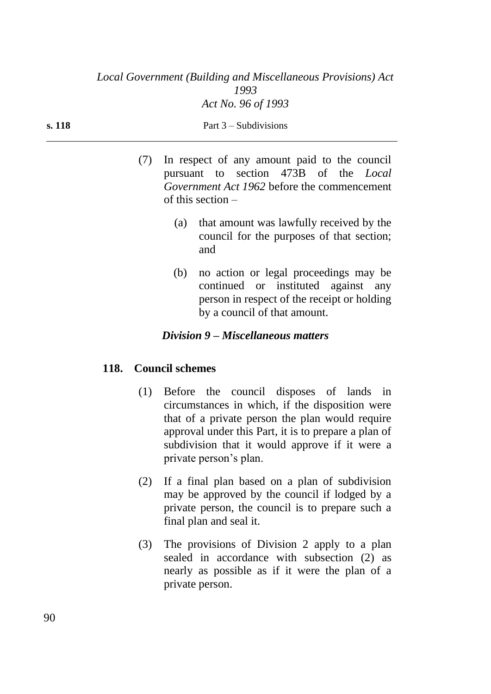| s. 118 | Part $3$ – Subdivisions |                                                                                                                                                                                                                                                                                   |  |
|--------|-------------------------|-----------------------------------------------------------------------------------------------------------------------------------------------------------------------------------------------------------------------------------------------------------------------------------|--|
|        |                         | In respect of any amount paid to the council<br>pursuant to section 473B of the <i>Local</i><br><i>Government Act 1962</i> before the commencement<br>of this section $-$                                                                                                         |  |
|        |                         | that amount was lawfully received by the<br>(a)<br>council for the purposes of that section;<br>and                                                                                                                                                                               |  |
|        |                         | no action or legal proceedings may be<br>(b)<br>$\mathbf{r}$ , and the state of the state of the state of the state of the state of the state of the state of the state of the state of the state of the state of the state of the state of the state of the state of the state o |  |

continued or instituted against any person in respect of the receipt or holding by a council of that amount.

# *Division 9 – Miscellaneous matters*

## **118. Council schemes**

- (1) Before the council disposes of lands in circumstances in which, if the disposition were that of a private person the plan would require approval under this Part, it is to prepare a plan of subdivision that it would approve if it were a private person's plan.
- (2) If a final plan based on a plan of subdivision may be approved by the council if lodged by a private person, the council is to prepare such a final plan and seal it.
- (3) The provisions of Division 2 apply to a plan sealed in accordance with subsection (2) as nearly as possible as if it were the plan of a private person.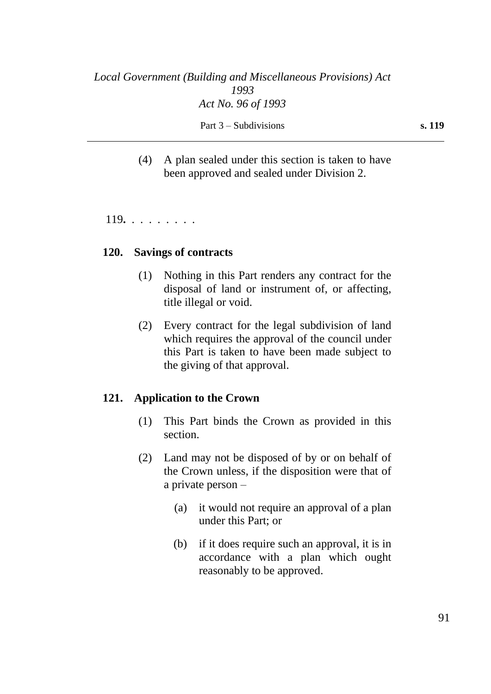(4) A plan sealed under this section is taken to have been approved and sealed under Division 2.

119**.** . . . . . . . .

#### **120. Savings of contracts**

- (1) Nothing in this Part renders any contract for the disposal of land or instrument of, or affecting, title illegal or void.
- (2) Every contract for the legal subdivision of land which requires the approval of the council under this Part is taken to have been made subject to the giving of that approval.

#### **121. Application to the Crown**

- (1) This Part binds the Crown as provided in this section.
- (2) Land may not be disposed of by or on behalf of the Crown unless, if the disposition were that of a private person –
	- (a) it would not require an approval of a plan under this Part; or
	- (b) if it does require such an approval, it is in accordance with a plan which ought reasonably to be approved.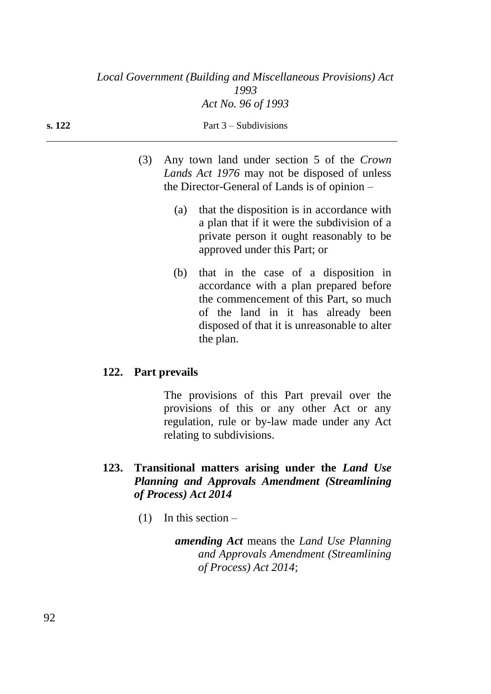| s. 122 | Part $3 -$ Subdivisions                                                                        |
|--------|------------------------------------------------------------------------------------------------|
|        | (3) Any town land under section 5 of the Crown<br>Lands Act 1976 may not be disposed of unless |

(a) that the disposition is in accordance with a plan that if it were the subdivision of a private person it ought reasonably to be approved under this Part; or

the Director-General of Lands is of opinion –

(b) that in the case of a disposition in accordance with a plan prepared before the commencement of this Part, so much of the land in it has already been disposed of that it is unreasonable to alter the plan.

# **122. Part prevails**

The provisions of this Part prevail over the provisions of this or any other Act or any regulation, rule or by-law made under any Act relating to subdivisions.

# **123. Transitional matters arising under the** *Land Use Planning and Approvals Amendment (Streamlining of Process) Act 2014*

 $(1)$  In this section –

*amending Act* means the *Land Use Planning and Approvals Amendment (Streamlining of Process) Act 2014*;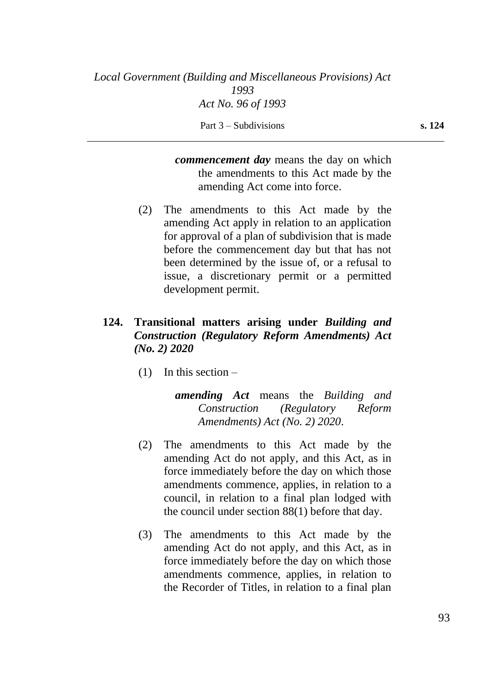*commencement day* means the day on which the amendments to this Act made by the amending Act come into force.

(2) The amendments to this Act made by the amending Act apply in relation to an application for approval of a plan of subdivision that is made before the commencement day but that has not been determined by the issue of, or a refusal to issue, a discretionary permit or a permitted development permit.

# **124. Transitional matters arising under** *Building and Construction (Regulatory Reform Amendments) Act (No. 2) 2020*

 $(1)$  In this section –

*amending Act* means the *Building and Construction (Regulatory Reform Amendments) Act (No. 2) 2020*.

- (2) The amendments to this Act made by the amending Act do not apply, and this Act, as in force immediately before the day on which those amendments commence, applies, in relation to a council, in relation to a final plan lodged with the council under section 88(1) before that day.
- (3) The amendments to this Act made by the amending Act do not apply, and this Act, as in force immediately before the day on which those amendments commence, applies, in relation to the Recorder of Titles, in relation to a final plan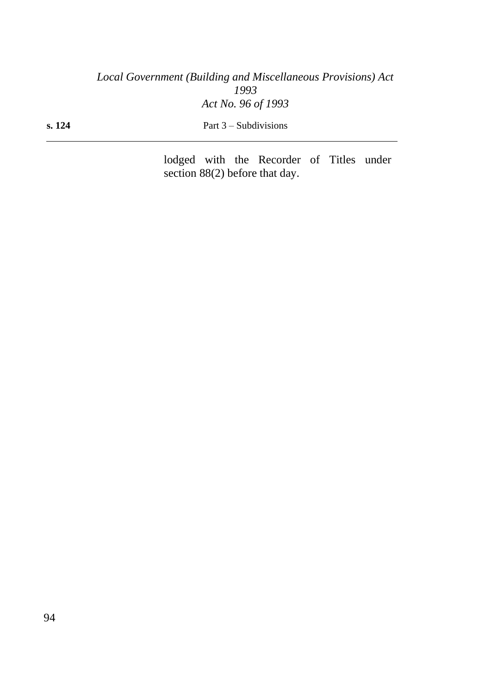**s. 124** Part 3 – Subdivisions

lodged with the Recorder of Titles under section 88(2) before that day.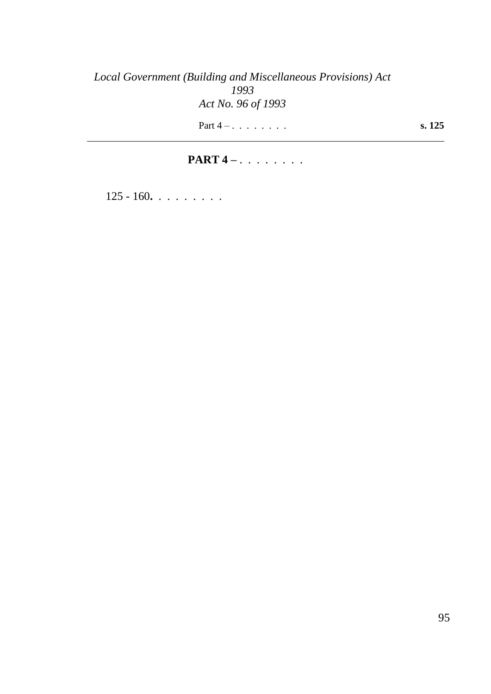Part 4 – . . . . . . . . **s. 125** 

# **PART 4** – . . . . . . . .

125 - 160**.** . . . . . . . .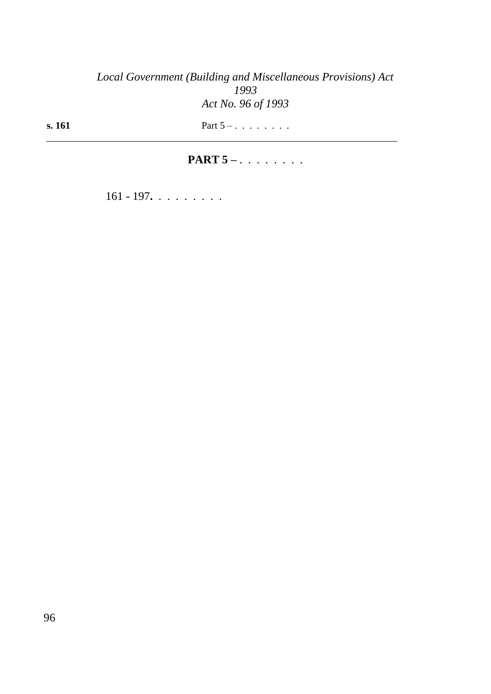**s. 161** Part 5 – . . . . . . . .

# **PART 5** – . . . . . . . .

161 - 197**.** . . . . . . . .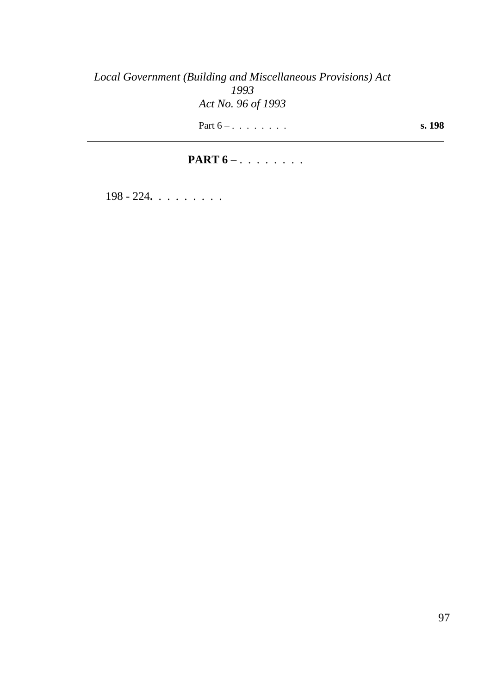Part  $6 - 100$  **s.** 198

# **PART 6** – . . . . . . . .

198 - 224**.** . . . . . . . .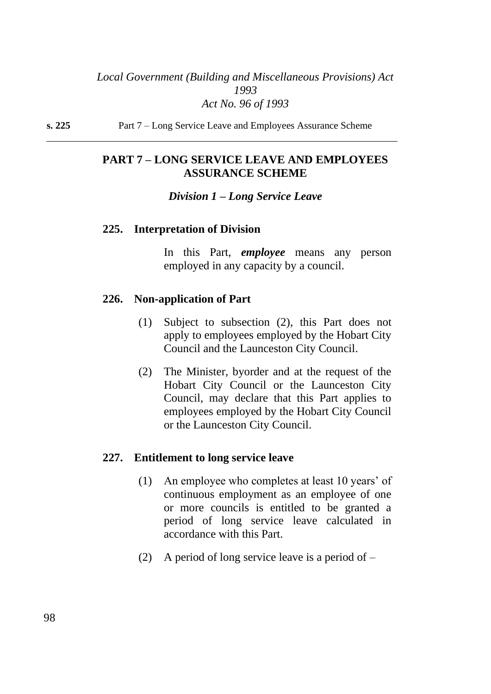**s. 225** Part 7 – Long Service Leave and Employees Assurance Scheme

# **PART 7 – LONG SERVICE LEAVE AND EMPLOYEES ASSURANCE SCHEME**

#### *Division 1 – Long Service Leave*

#### **225. Interpretation of Division**

In this Part, *employee* means any person employed in any capacity by a council.

#### **226. Non-application of Part**

- (1) Subject to subsection (2), this Part does not apply to employees employed by the Hobart City Council and the Launceston City Council.
- (2) The Minister, byorder and at the request of the Hobart City Council or the Launceston City Council, may declare that this Part applies to employees employed by the Hobart City Council or the Launceston City Council.

#### **227. Entitlement to long service leave**

- (1) An employee who completes at least 10 years' of continuous employment as an employee of one or more councils is entitled to be granted a period of long service leave calculated in accordance with this Part.
- (2) A period of long service leave is a period of  $-$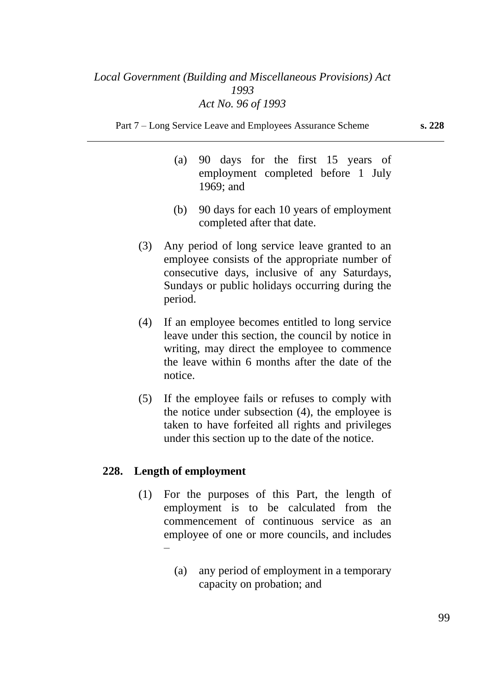Part 7 – Long Service Leave and Employees Assurance Scheme **s. 228**

- (a) 90 days for the first 15 years of employment completed before 1 July 1969; and
- (b) 90 days for each 10 years of employment completed after that date.
- (3) Any period of long service leave granted to an employee consists of the appropriate number of consecutive days, inclusive of any Saturdays, Sundays or public holidays occurring during the period.
- (4) If an employee becomes entitled to long service leave under this section, the council by notice in writing, may direct the employee to commence the leave within 6 months after the date of the notice.
- (5) If the employee fails or refuses to comply with the notice under subsection (4), the employee is taken to have forfeited all rights and privileges under this section up to the date of the notice.

## **228. Length of employment**

- (1) For the purposes of this Part, the length of employment is to be calculated from the commencement of continuous service as an employee of one or more councils, and includes –
	- (a) any period of employment in a temporary capacity on probation; and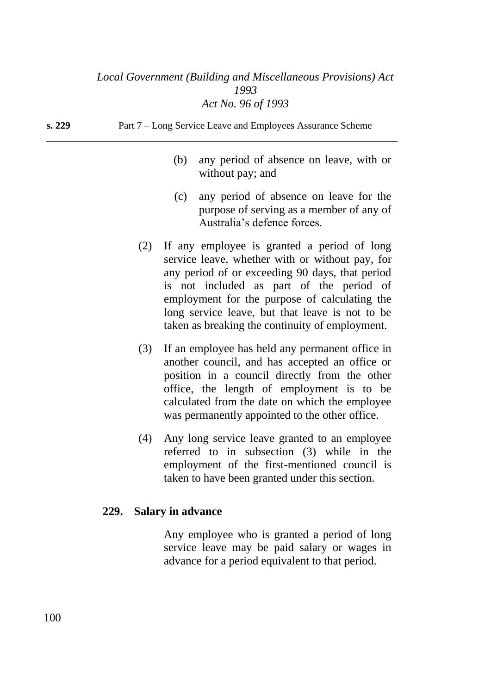**s. 229** Part 7 – Long Service Leave and Employees Assurance Scheme

- (b) any period of absence on leave, with or without pay; and
- (c) any period of absence on leave for the purpose of serving as a member of any of Australia's defence forces.
- (2) If any employee is granted a period of long service leave, whether with or without pay, for any period of or exceeding 90 days, that period is not included as part of the period of employment for the purpose of calculating the long service leave, but that leave is not to be taken as breaking the continuity of employment.
- (3) If an employee has held any permanent office in another council, and has accepted an office or position in a council directly from the other office, the length of employment is to be calculated from the date on which the employee was permanently appointed to the other office.
- (4) Any long service leave granted to an employee referred to in subsection (3) while in the employment of the first-mentioned council is taken to have been granted under this section.

#### **229. Salary in advance**

Any employee who is granted a period of long service leave may be paid salary or wages in advance for a period equivalent to that period.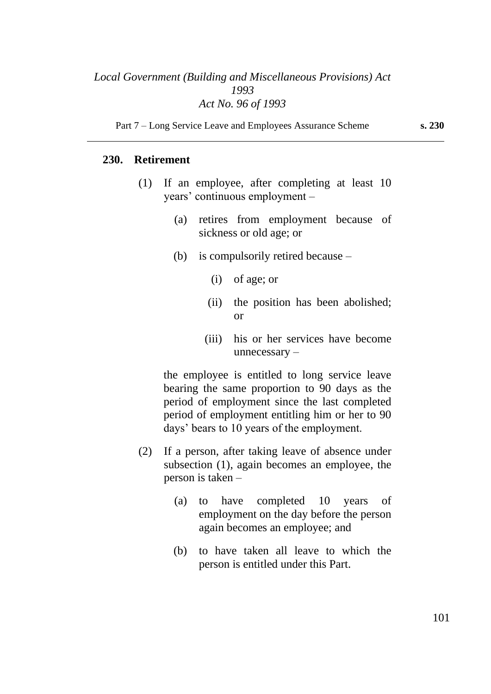Part 7 – Long Service Leave and Employees Assurance Scheme **s. 230**

## **230. Retirement**

- (1) If an employee, after completing at least 10 years' continuous employment –
	- (a) retires from employment because of sickness or old age; or
	- (b) is compulsorily retired because
		- (i) of age; or
		- (ii) the position has been abolished; or
		- (iii) his or her services have become unnecessary –

the employee is entitled to long service leave bearing the same proportion to 90 days as the period of employment since the last completed period of employment entitling him or her to 90 days' bears to 10 years of the employment.

- (2) If a person, after taking leave of absence under subsection (1), again becomes an employee, the person is taken –
	- (a) to have completed 10 years of employment on the day before the person again becomes an employee; and
	- (b) to have taken all leave to which the person is entitled under this Part.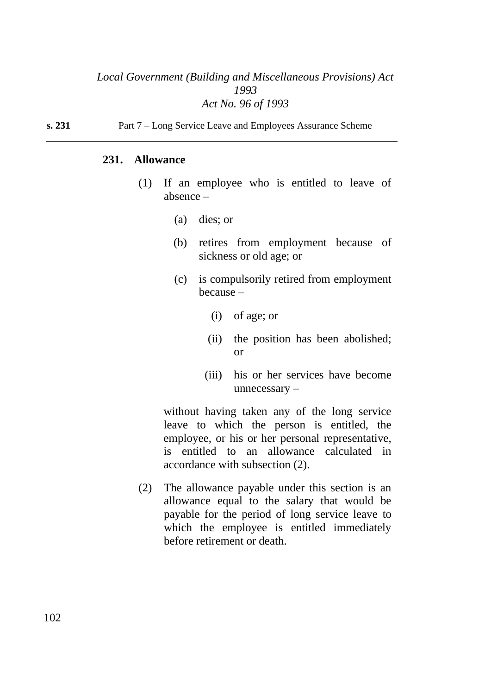### **231. Allowance**

- (1) If an employee who is entitled to leave of absence –
	- (a) dies; or
	- (b) retires from employment because of sickness or old age; or
	- (c) is compulsorily retired from employment because –
		- (i) of age; or
		- (ii) the position has been abolished; or
		- (iii) his or her services have become unnecessary –

without having taken any of the long service leave to which the person is entitled, the employee, or his or her personal representative, is entitled to an allowance calculated in accordance with subsection (2).

(2) The allowance payable under this section is an allowance equal to the salary that would be payable for the period of long service leave to which the employee is entitled immediately before retirement or death.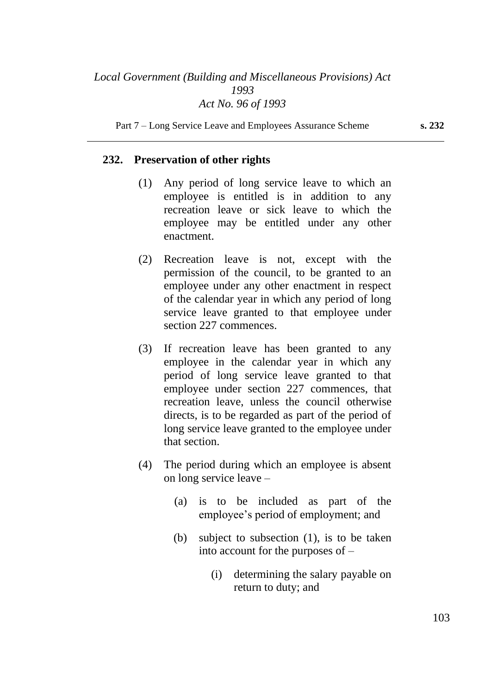Part 7 – Long Service Leave and Employees Assurance Scheme **s. 232**

#### **232. Preservation of other rights**

- (1) Any period of long service leave to which an employee is entitled is in addition to any recreation leave or sick leave to which the employee may be entitled under any other enactment.
- (2) Recreation leave is not, except with the permission of the council, to be granted to an employee under any other enactment in respect of the calendar year in which any period of long service leave granted to that employee under section 227 commences.
- (3) If recreation leave has been granted to any employee in the calendar year in which any period of long service leave granted to that employee under section 227 commences, that recreation leave, unless the council otherwise directs, is to be regarded as part of the period of long service leave granted to the employee under that section.
- (4) The period during which an employee is absent on long service leave –
	- (a) is to be included as part of the employee's period of employment; and
	- (b) subject to subsection (1), is to be taken into account for the purposes of –
		- (i) determining the salary payable on return to duty; and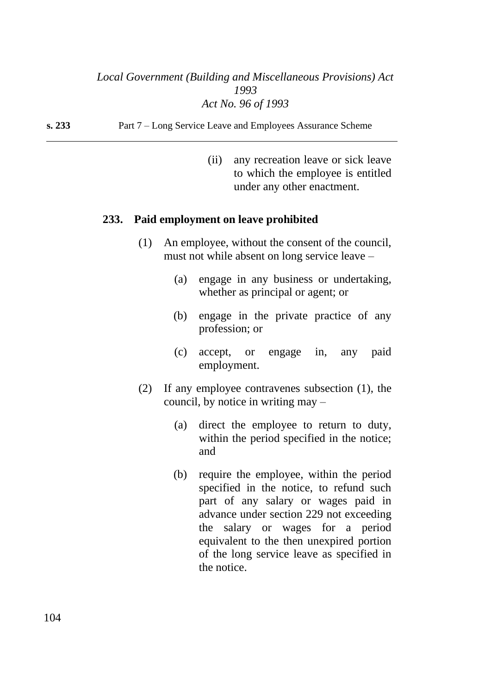**s. 233** Part 7 – Long Service Leave and Employees Assurance Scheme

(ii) any recreation leave or sick leave to which the employee is entitled under any other enactment.

## **233. Paid employment on leave prohibited**

- (1) An employee, without the consent of the council, must not while absent on long service leave –
	- (a) engage in any business or undertaking, whether as principal or agent; or
	- (b) engage in the private practice of any profession; or
	- (c) accept, or engage in, any paid employment.
- (2) If any employee contravenes subsection (1), the council, by notice in writing may –
	- (a) direct the employee to return to duty, within the period specified in the notice; and
	- (b) require the employee, within the period specified in the notice, to refund such part of any salary or wages paid in advance under section 229 not exceeding the salary or wages for a period equivalent to the then unexpired portion of the long service leave as specified in the notice.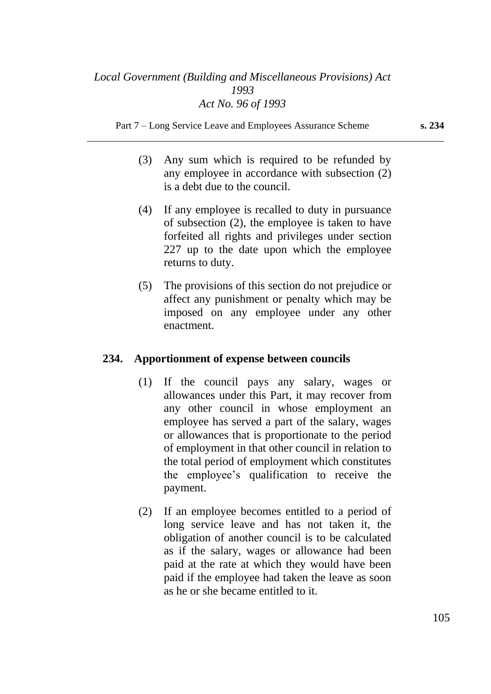Part 7 – Long Service Leave and Employees Assurance Scheme **s. 234**

- (3) Any sum which is required to be refunded by any employee in accordance with subsection (2) is a debt due to the council.
- (4) If any employee is recalled to duty in pursuance of subsection (2), the employee is taken to have forfeited all rights and privileges under section 227 up to the date upon which the employee returns to duty.
- (5) The provisions of this section do not prejudice or affect any punishment or penalty which may be imposed on any employee under any other enactment.

## **234. Apportionment of expense between councils**

- (1) If the council pays any salary, wages or allowances under this Part, it may recover from any other council in whose employment an employee has served a part of the salary, wages or allowances that is proportionate to the period of employment in that other council in relation to the total period of employment which constitutes the employee's qualification to receive the payment.
- (2) If an employee becomes entitled to a period of long service leave and has not taken it, the obligation of another council is to be calculated as if the salary, wages or allowance had been paid at the rate at which they would have been paid if the employee had taken the leave as soon as he or she became entitled to it.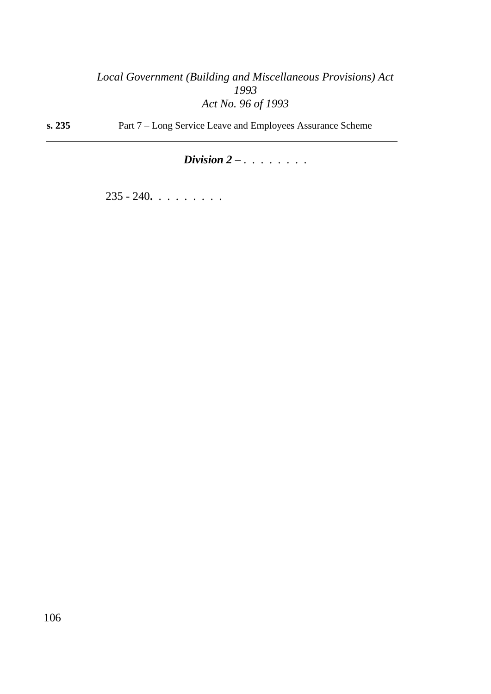**s. 235** Part 7 – Long Service Leave and Employees Assurance Scheme

# *Division 2 – . . . . . . . .*

235 - 240**.** . . . . . . . .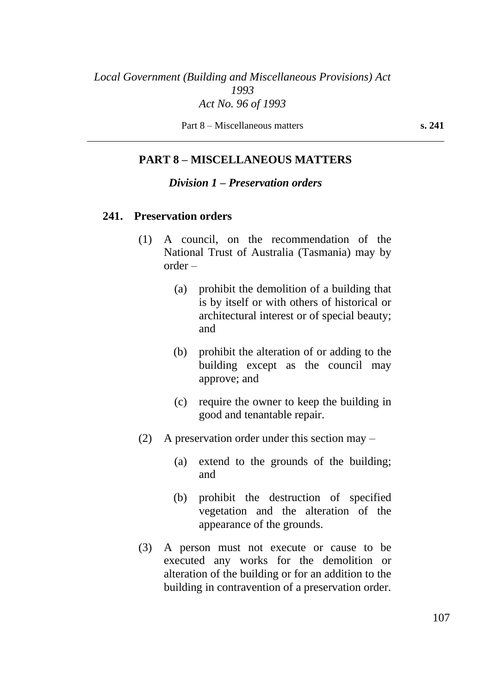Part 8 – Miscellaneous matters **s. 241**

## **PART 8 – MISCELLANEOUS MATTERS**

#### *Division 1 – Preservation orders*

#### **241. Preservation orders**

- (1) A council, on the recommendation of the National Trust of Australia (Tasmania) may by order –
	- (a) prohibit the demolition of a building that is by itself or with others of historical or architectural interest or of special beauty; and
	- (b) prohibit the alteration of or adding to the building except as the council may approve; and
	- (c) require the owner to keep the building in good and tenantable repair.
- (2) A preservation order under this section may
	- (a) extend to the grounds of the building; and
	- (b) prohibit the destruction of specified vegetation and the alteration of the appearance of the grounds.
- (3) A person must not execute or cause to be executed any works for the demolition or alteration of the building or for an addition to the building in contravention of a preservation order.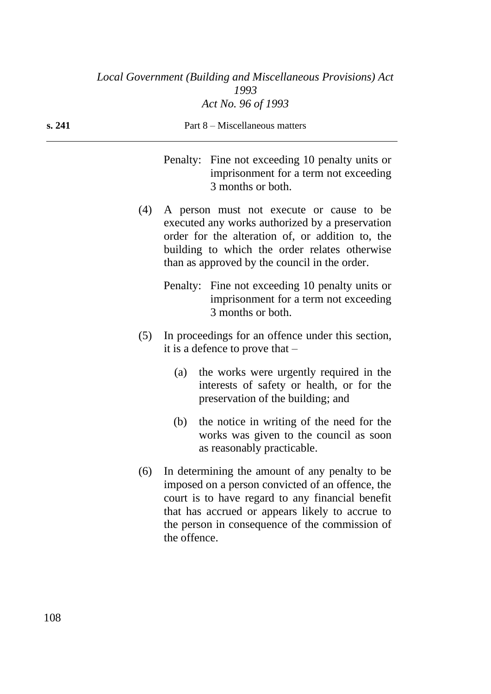| s. 241 | Part 8 – Miscellaneous matters                                                                                                                                                                                                                           |
|--------|----------------------------------------------------------------------------------------------------------------------------------------------------------------------------------------------------------------------------------------------------------|
|        | Penalty: Fine not exceeding 10 penalty units or<br>imprisonment for a term not exceeding<br>3 months or both.                                                                                                                                            |
|        | A person must not execute or cause to be<br>(4)<br>executed any works authorized by a preservation<br>order for the alteration of, or addition to, the<br>building to which the order relates otherwise<br>than as approved by the council in the order. |
|        | Penalty: Fine not exceeding 10 penalty units or<br>imprisonment for a term not exceeding<br>3 months or both.                                                                                                                                            |

- (5) In proceedings for an offence under this section, it is a defence to prove that –
	- (a) the works were urgently required in the interests of safety or health, or for the preservation of the building; and
	- (b) the notice in writing of the need for the works was given to the council as soon as reasonably practicable.
- (6) In determining the amount of any penalty to be imposed on a person convicted of an offence, the court is to have regard to any financial benefit that has accrued or appears likely to accrue to the person in consequence of the commission of the offence.

108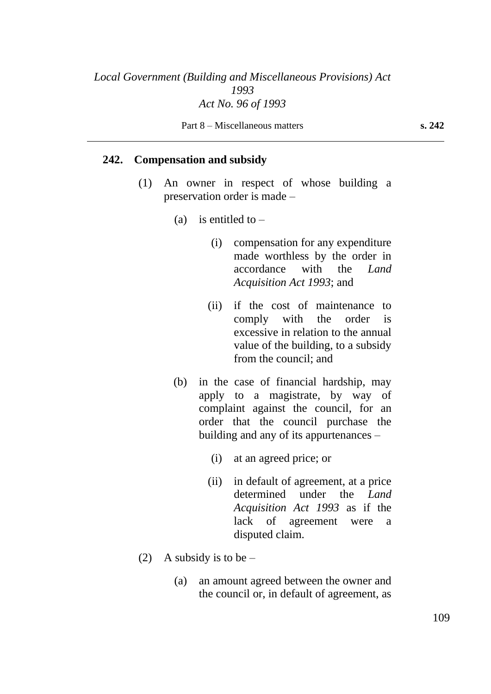#### **242. Compensation and subsidy**

- (1) An owner in respect of whose building a preservation order is made –
	- (a) is entitled to  $-$ 
		- (i) compensation for any expenditure made worthless by the order in accordance with the *Land Acquisition Act 1993*; and
		- (ii) if the cost of maintenance to comply with the order is excessive in relation to the annual value of the building, to a subsidy from the council; and
	- (b) in the case of financial hardship, may apply to a magistrate, by way of complaint against the council, for an order that the council purchase the building and any of its appurtenances –
		- (i) at an agreed price; or
		- (ii) in default of agreement, at a price determined under the *Land Acquisition Act 1993* as if the lack of agreement were a disputed claim.
- (2) A subsidy is to be  $-$ 
	- (a) an amount agreed between the owner and the council or, in default of agreement, as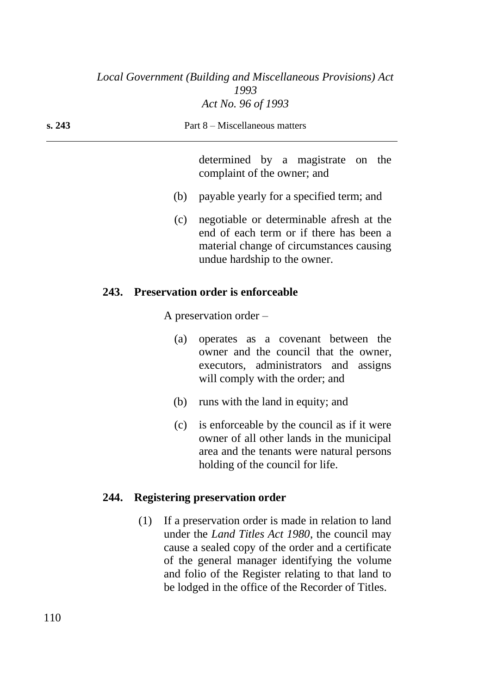| s. 243 | Part 8 – Miscellaneous matters |
|--------|--------------------------------|
|        |                                |
|        | .                              |

determined by a magistrate on the complaint of the owner; and

- (b) payable yearly for a specified term; and
- (c) negotiable or determinable afresh at the end of each term or if there has been a material change of circumstances causing undue hardship to the owner.

## **243. Preservation order is enforceable**

A preservation order –

- (a) operates as a covenant between the owner and the council that the owner, executors, administrators and assigns will comply with the order; and
- (b) runs with the land in equity; and
- (c) is enforceable by the council as if it were owner of all other lands in the municipal area and the tenants were natural persons holding of the council for life.

### **244. Registering preservation order**

(1) If a preservation order is made in relation to land under the *Land Titles Act 1980*, the council may cause a sealed copy of the order and a certificate of the general manager identifying the volume and folio of the Register relating to that land to be lodged in the office of the Recorder of Titles.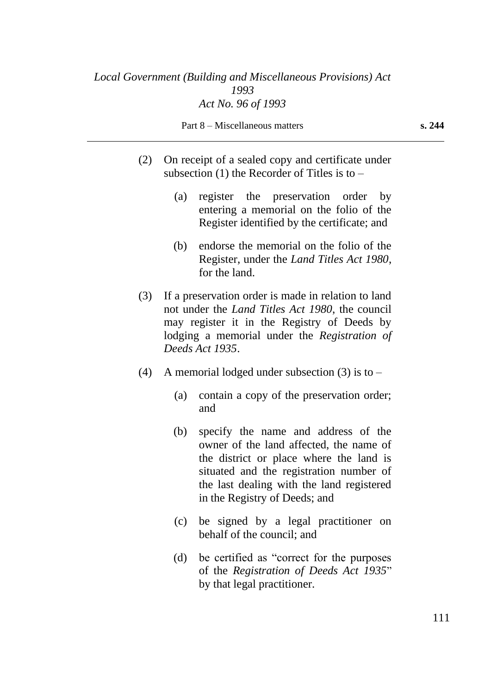Part 8 – Miscellaneous matters **s. 244**

- (2) On receipt of a sealed copy and certificate under subsection  $(1)$  the Recorder of Titles is to  $-$ 
	- (a) register the preservation order by entering a memorial on the folio of the Register identified by the certificate; and
	- (b) endorse the memorial on the folio of the Register, under the *Land Titles Act 1980*, for the land.
- (3) If a preservation order is made in relation to land not under the *Land Titles Act 1980*, the council may register it in the Registry of Deeds by lodging a memorial under the *Registration of Deeds Act 1935*.
- (4) A memorial lodged under subsection (3) is to  $-$ 
	- (a) contain a copy of the preservation order; and
	- (b) specify the name and address of the owner of the land affected, the name of the district or place where the land is situated and the registration number of the last dealing with the land registered in the Registry of Deeds; and
	- (c) be signed by a legal practitioner on behalf of the council; and
	- (d) be certified as "correct for the purposes of the *Registration of Deeds Act 1935*" by that legal practitioner.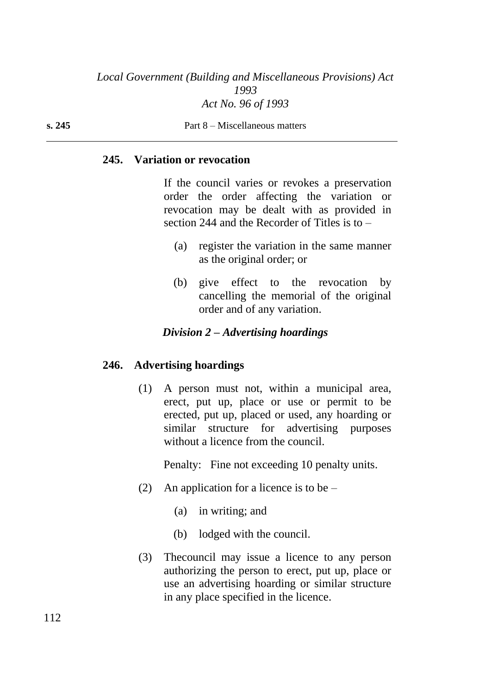#### **245. Variation or revocation**

If the council varies or revokes a preservation order the order affecting the variation or revocation may be dealt with as provided in section 244 and the Recorder of Titles is to –

- (a) register the variation in the same manner as the original order; or
- (b) give effect to the revocation by cancelling the memorial of the original order and of any variation.

#### *Division 2 – Advertising hoardings*

#### **246. Advertising hoardings**

(1) A person must not, within a municipal area, erect, put up, place or use or permit to be erected, put up, placed or used, any hoarding or similar structure for advertising purposes without a licence from the council.

Penalty: Fine not exceeding 10 penalty units.

- (2) An application for a licence is to be  $-$ 
	- (a) in writing; and
	- (b) lodged with the council.
- (3) Thecouncil may issue a licence to any person authorizing the person to erect, put up, place or use an advertising hoarding or similar structure in any place specified in the licence.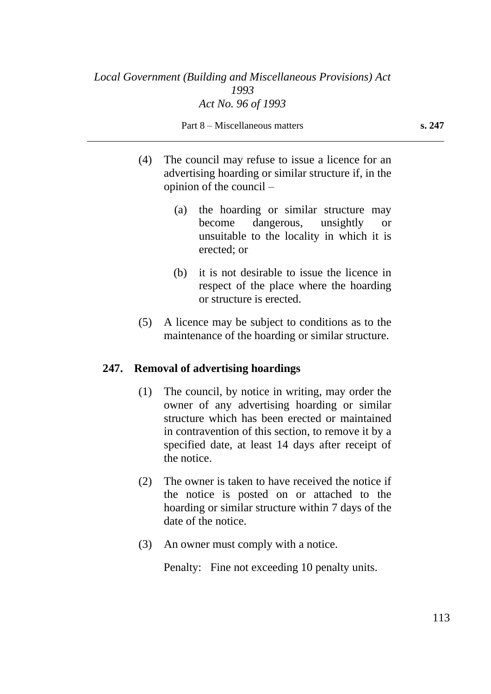Part 8 – Miscellaneous matters **s. 247**

- (4) The council may refuse to issue a licence for an advertising hoarding or similar structure if, in the opinion of the council –
	- (a) the hoarding or similar structure may become dangerous, unsightly or unsuitable to the locality in which it is erected; or
	- (b) it is not desirable to issue the licence in respect of the place where the hoarding or structure is erected.
- (5) A licence may be subject to conditions as to the maintenance of the hoarding or similar structure.

#### **247. Removal of advertising hoardings**

- (1) The council, by notice in writing, may order the owner of any advertising hoarding or similar structure which has been erected or maintained in contravention of this section, to remove it by a specified date, at least 14 days after receipt of the notice.
- (2) The owner is taken to have received the notice if the notice is posted on or attached to the hoarding or similar structure within 7 days of the date of the notice.
- (3) An owner must comply with a notice.

Penalty: Fine not exceeding 10 penalty units.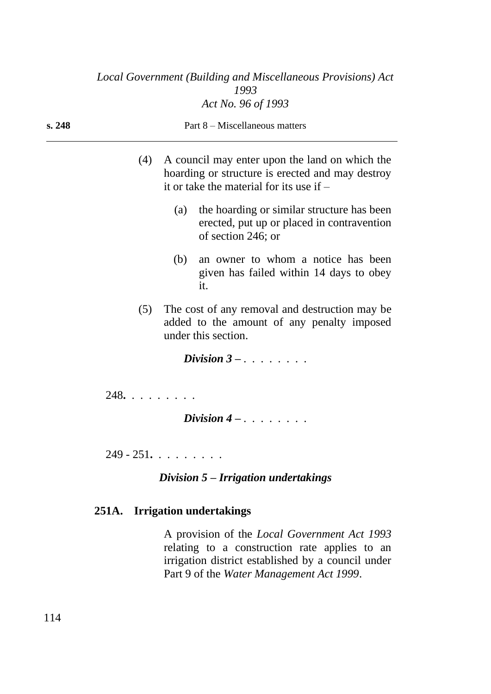| s. 248 |               |     | Part 8 – Miscellaneous matters                                                                                                                   |
|--------|---------------|-----|--------------------------------------------------------------------------------------------------------------------------------------------------|
|        | (4)           |     | A council may enter upon the land on which the<br>hoarding or structure is erected and may destroy<br>it or take the material for its use if $-$ |
|        |               | (a) | the hoarding or similar structure has been<br>erected, put up or placed in contravention<br>of section 246; or                                   |
|        |               | (b) | an owner to whom a notice has been<br>given has failed within 14 days to obey<br>it.                                                             |
|        | (5)           |     | The cost of any removal and destruction may be<br>added to the amount of any penalty imposed<br>under this section.                              |
|        |               |     | Division $3 - \ldots$                                                                                                                            |
|        | 248.          |     | Division $4 - 1 + 1 + 1 + 1$                                                                                                                     |
|        | $249 - 251$ . |     |                                                                                                                                                  |
|        |               |     | Division $5$ – Irrigation undertakings                                                                                                           |

# **251A. Irrigation undertakings**

A provision of the *Local Government Act 1993* relating to a construction rate applies to an irrigation district established by a council under Part 9 of the *Water Management Act 1999*.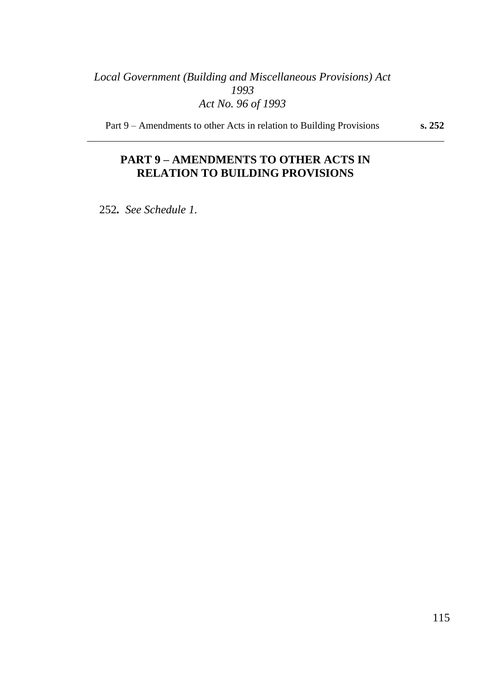Part 9 – Amendments to other Acts in relation to Building Provisions **s. 252**

## **PART 9 – AMENDMENTS TO OTHER ACTS IN RELATION TO BUILDING PROVISIONS**

252*. See Schedule 1.*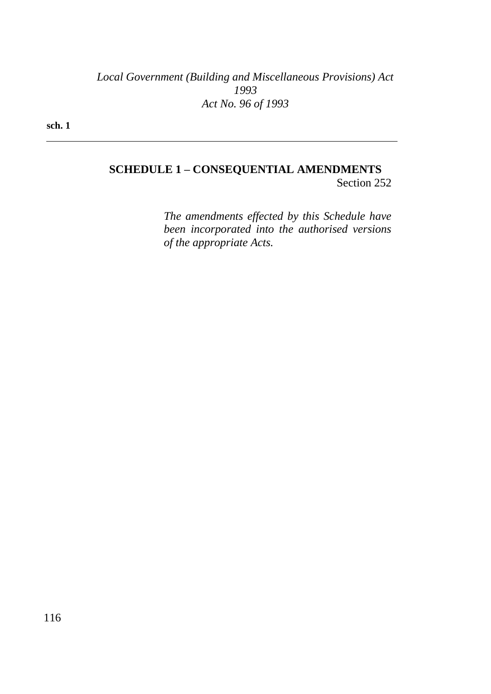**sch. 1**

## **SCHEDULE 1 – CONSEQUENTIAL AMENDMENTS**

Section 252

*The amendments effected by this Schedule have been incorporated into the authorised versions of the appropriate Acts.*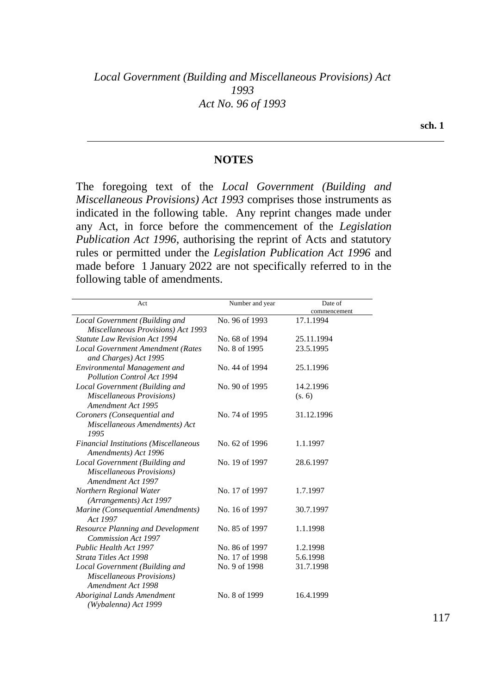#### **NOTES**

The foregoing text of the *Local Government (Building and Miscellaneous Provisions) Act 1993* comprises those instruments as indicated in the following table. Any reprint changes made under any Act, in force before the commencement of the *Legislation Publication Act 1996*, authorising the reprint of Acts and statutory rules or permitted under the *Legislation Publication Act 1996* and made before 1 January 2022 are not specifically referred to in the following table of amendments.

| Act                                                                                      | Number and year | Date of      |
|------------------------------------------------------------------------------------------|-----------------|--------------|
|                                                                                          |                 | commencement |
| Local Government (Building and<br>Miscellaneous Provisions) Act 1993                     | No. 96 of 1993  | 17.1.1994    |
| <b>Statute Law Revision Act 1994</b>                                                     | No. 68 of 1994  | 25.11.1994   |
| Local Government Amendment (Rates<br>and Charges) Act 1995                               | No. 8 of 1995   | 23.5.1995    |
| <b>Environmental Management and</b><br><b>Pollution Control Act 1994</b>                 | No. 44 of 1994  | 25.1.1996    |
| Local Government (Building and                                                           | No. 90 of 1995  | 14.2.1996    |
| Miscellaneous Provisions)<br>Amendment Act 1995                                          |                 | (s, 6)       |
| Coroners (Consequential and                                                              | No. 74 of 1995  | 31.12.1996   |
| Miscellaneous Amendments) Act<br>1995                                                    |                 |              |
| <b>Financial Institutions (Miscellaneous</b><br>Amendments) Act 1996                     | No. 62 of 1996  | 1.1.1997     |
| Local Government (Building and<br>Miscellaneous Provisions)<br>Amendment Act 1997        | No. 19 of 1997  | 28.6.1997    |
| Northern Regional Water<br>(Arrangements) Act 1997                                       | No. 17 of 1997  | 1.7.1997     |
| Marine (Consequential Amendments)<br>Act 1997                                            | No. 16 of 1997  | 30.7.1997    |
| <b>Resource Planning and Development</b><br><b>Commission Act 1997</b>                   | No. 85 of 1997  | 1.1.1998     |
| <b>Public Health Act 1997</b>                                                            | No. 86 of 1997  | 1.2.1998     |
| Strata Titles Act 1998                                                                   | No. 17 of 1998  | 5.6.1998     |
| Local Government (Building and<br><b>Miscellaneous Provisions)</b><br>Amendment Act 1998 | No. 9 of 1998   | 31.7.1998    |
| Aboriginal Lands Amendment<br>(Wybalenna) Act 1999                                       | No. 8 of 1999   | 16.4.1999    |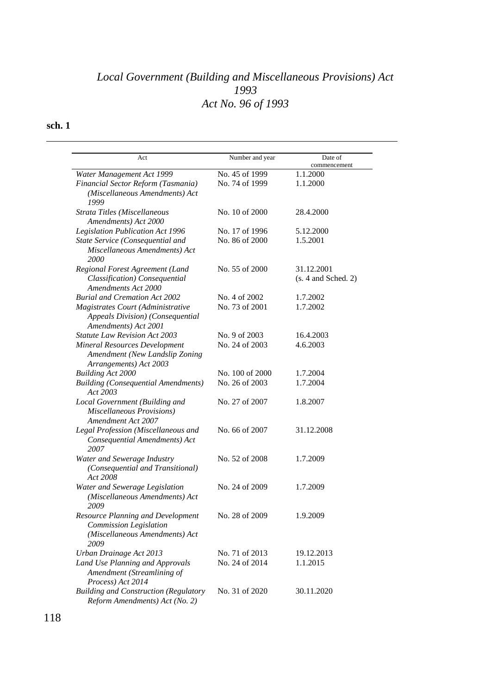| Act                                                                                                   | Number and year | Date of<br>commencement           |
|-------------------------------------------------------------------------------------------------------|-----------------|-----------------------------------|
| Water Management Act 1999                                                                             | No. 45 of 1999  | 1.1.2000                          |
| Financial Sector Reform (Tasmania)<br>(Miscellaneous Amendments) Act<br>1999                          | No. 74 of 1999  | 1.1.2000                          |
| Strata Titles (Miscellaneous<br>Amendments) Act 2000                                                  | No. 10 of 2000  | 28.4.2000                         |
| <b>Legislation Publication Act 1996</b>                                                               | No. 17 of 1996  | 5.12.2000                         |
| State Service (Consequential and<br>Miscellaneous Amendments) Act<br>2000                             | No. 86 of 2000  | 1.5.2001                          |
| Regional Forest Agreement (Land<br>Classification) Consequential<br><b>Amendments Act 2000</b>        | No. 55 of 2000  | 31.12.2001<br>(s. 4 and Sched. 2) |
| <b>Burial and Cremation Act 2002</b>                                                                  | No. 4 of 2002   | 1.7.2002                          |
| Magistrates Court (Administrative<br>Appeals Division) (Consequential<br>Amendments) Act 2001         | No. 73 of 2001  | 1.7.2002                          |
| Statute Law Revision Act 2003                                                                         | No. 9 of 2003   | 16.4.2003                         |
| <b>Mineral Resources Development</b><br>Amendment (New Landslip Zoning<br>Arrangements) Act 2003      | No. 24 of 2003  | 4.6.2003                          |
| <b>Building Act 2000</b>                                                                              | No. 100 of 2000 | 1.7.2004                          |
| <b>Building (Consequential Amendments)</b><br>Act 2003                                                | No. 26 of 2003  | 1.7.2004                          |
| Local Government (Building and<br><b>Miscellaneous Provisions)</b><br><b>Amendment Act 2007</b>       | No. 27 of 2007  | 1.8.2007                          |
| Legal Profession (Miscellaneous and<br>Consequential Amendments) Act<br>2007                          | No. 66 of 2007  | 31.12.2008                        |
| Water and Sewerage Industry<br>(Consequential and Transitional)<br>Act 2008                           | No. 52 of 2008  | 1.7.2009                          |
| Water and Sewerage Legislation<br>(Miscellaneous Amendments) Act<br>2009                              | No. 24 of 2009  | 1.7.2009                          |
| Resource Planning and Development<br>Commission Legislation<br>(Miscellaneous Amendments) Act<br>2009 | No. 28 of 2009  | 1.9.2009                          |
| Urban Drainage Act 2013                                                                               | No. 71 of 2013  | 19.12.2013                        |
| Land Use Planning and Approvals<br>Amendment (Streamlining of<br>Process) Act 2014                    | No. 24 of 2014  | 1.1.2015                          |
| <b>Building and Construction (Regulatory</b><br>Reform Amendments) Act (No. 2)                        | No. 31 of 2020  | 30.11.2020                        |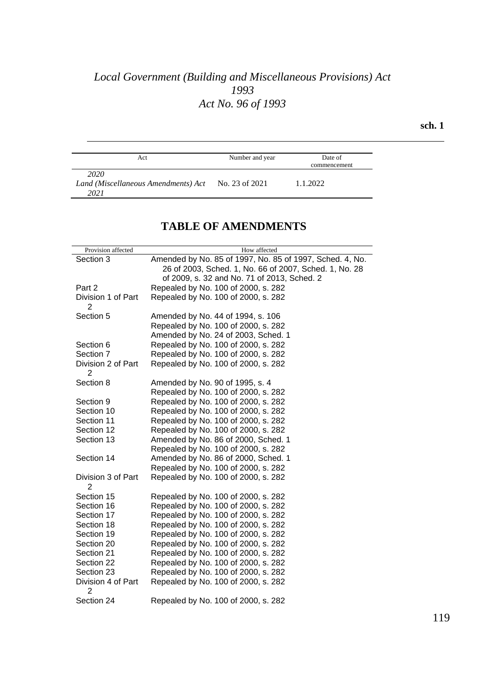**sch. 1**

| Act                                                 | Number and year | Date of<br>commencement |
|-----------------------------------------------------|-----------------|-------------------------|
| 2020<br>Land (Miscellaneous Amendments) Act<br>2021 | No. 23 of 2021  | 1.1.2022                |

## **TABLE OF AMENDMENTS**

| Provision affected      | How affected                                             |
|-------------------------|----------------------------------------------------------|
| Section 3               | Amended by No. 85 of 1997, No. 85 of 1997, Sched. 4, No. |
|                         | 26 of 2003, Sched. 1, No. 66 of 2007, Sched. 1, No. 28   |
|                         | of 2009, s. 32 and No. 71 of 2013, Sched. 2              |
| Part 2                  | Repealed by No. 100 of 2000, s. 282                      |
| Division 1 of Part      | Repealed by No. 100 of 2000, s. 282                      |
| 2                       |                                                          |
| Section 5               | Amended by No. 44 of 1994, s. 106                        |
|                         | Repealed by No. 100 of 2000, s. 282                      |
|                         | Amended by No. 24 of 2003, Sched. 1                      |
| Section 6               | Repealed by No. 100 of 2000, s. 282                      |
| Section 7               | Repealed by No. 100 of 2000, s. 282                      |
| Division 2 of Part      | Repealed by No. 100 of 2000, s. 282                      |
| 2                       |                                                          |
| Section 8               | Amended by No. 90 of 1995, s. 4                          |
|                         | Repealed by No. 100 of 2000, s. 282                      |
| Section 9               | Repealed by No. 100 of 2000, s. 282                      |
| Section 10              | Repealed by No. 100 of 2000, s. 282                      |
| Section 11              | Repealed by No. 100 of 2000, s. 282                      |
| Section 12              | Repealed by No. 100 of 2000, s. 282                      |
| Section 13              | Amended by No. 86 of 2000, Sched. 1                      |
|                         | Repealed by No. 100 of 2000, s. 282                      |
| Section 14              | Amended by No. 86 of 2000, Sched. 1                      |
|                         | Repealed by No. 100 of 2000, s. 282                      |
| Division 3 of Part      | Repealed by No. 100 of 2000, s. 282                      |
| $\overline{2}$          |                                                          |
| Section 15              | Repealed by No. 100 of 2000, s. 282                      |
| Section 16              | Repealed by No. 100 of 2000, s. 282                      |
| Section 17              | Repealed by No. 100 of 2000, s. 282                      |
| Section 18              | Repealed by No. 100 of 2000, s. 282                      |
| Section 19              | Repealed by No. 100 of 2000, s. 282                      |
| Section 20              | Repealed by No. 100 of 2000, s. 282                      |
| Section 21              | Repealed by No. 100 of 2000, s. 282                      |
| Section 22              | Repealed by No. 100 of 2000, s. 282                      |
| Section 23              | Repealed by No. 100 of 2000, s. 282                      |
| Division 4 of Part<br>2 | Repealed by No. 100 of 2000, s. 282                      |
| Section 24              | Repealed by No. 100 of 2000, s. 282                      |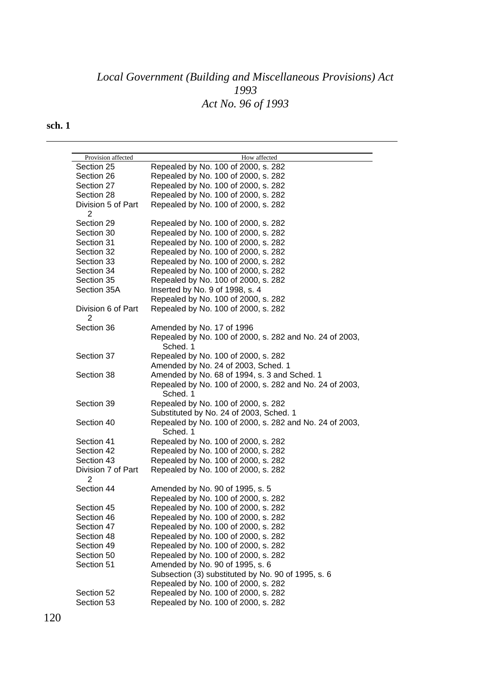| Provision affected | How affected                                            |
|--------------------|---------------------------------------------------------|
| Section 25         | Repealed by No. 100 of 2000, s. 282                     |
| Section 26         | Repealed by No. 100 of 2000, s. 282                     |
| Section 27         | Repealed by No. 100 of 2000, s. 282                     |
| Section 28         | Repealed by No. 100 of 2000, s. 282                     |
| Division 5 of Part | Repealed by No. 100 of 2000, s. 282                     |
| 2                  |                                                         |
| Section 29         | Repealed by No. 100 of 2000, s. 282                     |
| Section 30         | Repealed by No. 100 of 2000, s. 282                     |
| Section 31         | Repealed by No. 100 of 2000, s. 282                     |
| Section 32         | Repealed by No. 100 of 2000, s. 282                     |
| Section 33         | Repealed by No. 100 of 2000, s. 282                     |
| Section 34         | Repealed by No. 100 of 2000, s. 282                     |
| Section 35         | Repealed by No. 100 of 2000, s. 282                     |
| Section 35A        | Inserted by No. 9 of 1998, s. 4                         |
|                    | Repealed by No. 100 of 2000, s. 282                     |
| Division 6 of Part | Repealed by No. 100 of 2000, s. 282                     |
| $\overline{2}$     |                                                         |
| Section 36         | Amended by No. 17 of 1996                               |
|                    | Repealed by No. 100 of 2000, s. 282 and No. 24 of 2003, |
|                    | Sched. 1                                                |
| Section 37         | Repealed by No. 100 of 2000, s. 282                     |
|                    | Amended by No. 24 of 2003, Sched. 1                     |
| Section 38         | Amended by No. 68 of 1994, s. 3 and Sched. 1            |
|                    | Repealed by No. 100 of 2000, s. 282 and No. 24 of 2003, |
|                    | Sched. 1                                                |
| Section 39         | Repealed by No. 100 of 2000, s. 282                     |
|                    | Substituted by No. 24 of 2003, Sched. 1                 |
| Section 40         | Repealed by No. 100 of 2000, s. 282 and No. 24 of 2003, |
|                    | Sched. 1                                                |
| Section 41         | Repealed by No. 100 of 2000, s. 282                     |
| Section 42         | Repealed by No. 100 of 2000, s. 282                     |
| Section 43         | Repealed by No. 100 of 2000, s. 282                     |
| Division 7 of Part | Repealed by No. 100 of 2000, s. 282                     |
| 2                  |                                                         |
| Section 44         | Amended by No. 90 of 1995, s. 5                         |
|                    | Repealed by No. 100 of 2000, s. 282                     |
| Section 45         | Repealed by No. 100 of 2000, s. 282                     |
| Section 46         | Repealed by No. 100 of 2000, s. 282                     |
| Section 47         | Repealed by No. 100 of 2000, s. 282                     |
| Section 48         | Repealed by No. 100 of 2000, s. 282                     |
| Section 49         | Repealed by No. 100 of 2000, s. 282                     |
| Section 50         | Repealed by No. 100 of 2000, s. 282                     |
| Section 51         | Amended by No. 90 of 1995, s. 6                         |
|                    | Subsection (3) substituted by No. 90 of 1995, s. 6      |
|                    | Repealed by No. 100 of 2000, s. 282                     |
| Section 52         | Repealed by No. 100 of 2000, s. 282                     |
| Section 53         | Repealed by No. 100 of 2000, s. 282                     |
|                    |                                                         |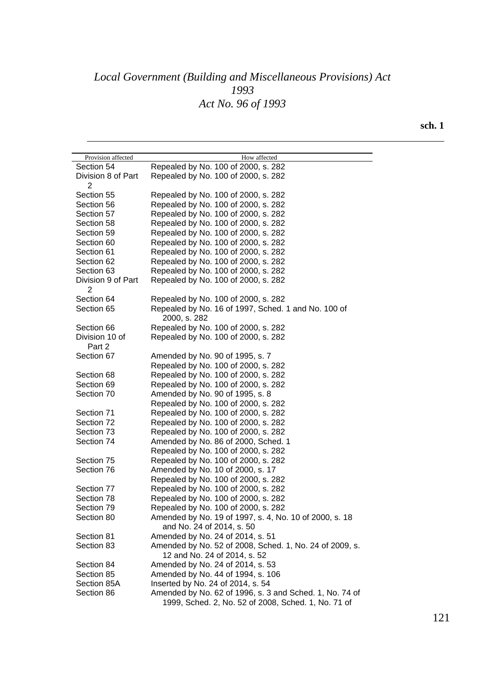| Provision affected | How affected                                            |
|--------------------|---------------------------------------------------------|
| Section 54         | Repealed by No. 100 of 2000, s. 282                     |
| Division 8 of Part | Repealed by No. 100 of 2000, s. 282                     |
| 2                  |                                                         |
| Section 55         | Repealed by No. 100 of 2000, s. 282                     |
| Section 56         | Repealed by No. 100 of 2000, s. 282                     |
| Section 57         | Repealed by No. 100 of 2000, s. 282                     |
| Section 58         | Repealed by No. 100 of 2000, s. 282                     |
| Section 59         | Repealed by No. 100 of 2000, s. 282                     |
| Section 60         | Repealed by No. 100 of 2000, s. 282                     |
| Section 61         | Repealed by No. 100 of 2000, s. 282                     |
| Section 62         | Repealed by No. 100 of 2000, s. 282                     |
| Section 63         | Repealed by No. 100 of 2000, s. 282                     |
| Division 9 of Part | Repealed by No. 100 of 2000, s. 282                     |
| 2                  |                                                         |
| Section 64         | Repealed by No. 100 of 2000, s. 282                     |
| Section 65         | Repealed by No. 16 of 1997, Sched. 1 and No. 100 of     |
|                    | 2000, s. 282                                            |
| Section 66         | Repealed by No. 100 of 2000, s. 282                     |
| Division 10 of     | Repealed by No. 100 of 2000, s. 282                     |
| Part 2             |                                                         |
| Section 67         | Amended by No. 90 of 1995, s. 7                         |
|                    | Repealed by No. 100 of 2000, s. 282                     |
| Section 68         | Repealed by No. 100 of 2000, s. 282                     |
| Section 69         | Repealed by No. 100 of 2000, s. 282                     |
| Section 70         | Amended by No. 90 of 1995, s. 8                         |
|                    | Repealed by No. 100 of 2000, s. 282                     |
| Section 71         | Repealed by No. 100 of 2000, s. 282                     |
| Section 72         | Repealed by No. 100 of 2000, s. 282                     |
| Section 73         | Repealed by No. 100 of 2000, s. 282                     |
| Section 74         | Amended by No. 86 of 2000, Sched. 1                     |
|                    | Repealed by No. 100 of 2000, s. 282                     |
| Section 75         | Repealed by No. 100 of 2000, s. 282                     |
| Section 76         | Amended by No. 10 of 2000, s. 17                        |
|                    | Repealed by No. 100 of 2000, s. 282                     |
| Section 77         | Repealed by No. 100 of 2000, s. 282                     |
| Section 78         | Repealed by No. 100 of 2000, s. 282                     |
| Section 79         | Repealed by No. 100 of 2000, s. 282                     |
| Section 80         | Amended by No. 19 of 1997, s. 4, No. 10 of 2000, s. 18  |
|                    | and No. 24 of 2014, s. 50                               |
| Section 81         | Amended by No. 24 of 2014, s. 51                        |
| Section 83         | Amended by No. 52 of 2008, Sched. 1, No. 24 of 2009, s. |
|                    | 12 and No. 24 of 2014, s. 52                            |
| Section 84         | Amended by No. 24 of 2014, s. 53                        |
| Section 85         | Amended by No. 44 of 1994, s. 106                       |
| Section 85A        | Inserted by No. 24 of 2014, s. 54                       |
| Section 86         | Amended by No. 62 of 1996, s. 3 and Sched. 1, No. 74 of |
|                    | 1999, Sched. 2, No. 52 of 2008, Sched. 1, No. 71 of     |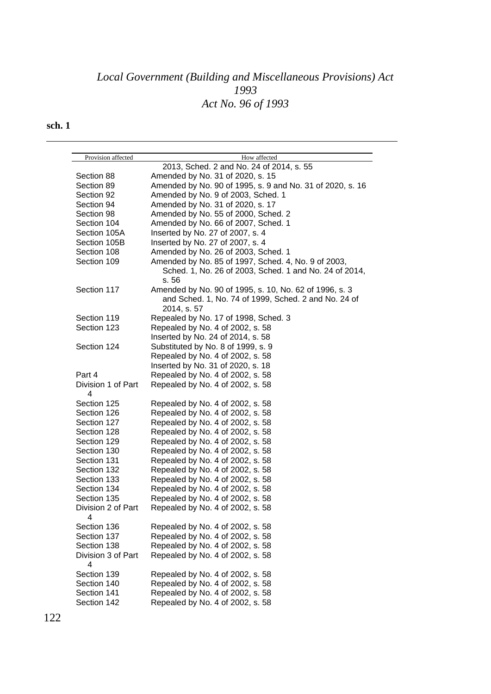| Provision affected | How affected                                                        |
|--------------------|---------------------------------------------------------------------|
|                    | 2013, Sched. 2 and No. 24 of 2014, s. 55                            |
| Section 88         | Amended by No. 31 of 2020, s. 15                                    |
| Section 89         | Amended by No. 90 of 1995, s. 9 and No. 31 of 2020, s. 16           |
| Section 92         | Amended by No. 9 of 2003, Sched. 1                                  |
| Section 94         | Amended by No. 31 of 2020, s. 17                                    |
| Section 98         | Amended by No. 55 of 2000, Sched. 2                                 |
| Section 104        | Amended by No. 66 of 2007, Sched. 1                                 |
| Section 105A       | Inserted by No. 27 of 2007, s. 4                                    |
| Section 105B       | Inserted by No. 27 of 2007, s. 4                                    |
| Section 108        | Amended by No. 26 of 2003, Sched. 1                                 |
| Section 109        | Amended by No. 85 of 1997, Sched. 4, No. 9 of 2003,                 |
|                    | Sched. 1, No. 26 of 2003, Sched. 1 and No. 24 of 2014,<br>s. 56     |
| Section 117        | Amended by No. 90 of 1995, s. 10, No. 62 of 1996, s. 3              |
|                    | and Sched. 1, No. 74 of 1999, Sched. 2 and No. 24 of<br>2014, s. 57 |
| Section 119        | Repealed by No. 17 of 1998, Sched. 3                                |
| Section 123        | Repealed by No. 4 of 2002, s. 58                                    |
|                    | Inserted by No. 24 of 2014, s. 58                                   |
| Section 124        | Substituted by No. 8 of 1999, s. 9                                  |
|                    | Repealed by No. 4 of 2002, s. 58                                    |
|                    | Inserted by No. 31 of 2020, s. 18                                   |
| Part 4             | Repealed by No. 4 of 2002, s. 58                                    |
| Division 1 of Part | Repealed by No. 4 of 2002, s. 58                                    |
| 4                  |                                                                     |
| Section 125        | Repealed by No. 4 of 2002, s. 58                                    |
| Section 126        | Repealed by No. 4 of 2002, s. 58                                    |
| Section 127        | Repealed by No. 4 of 2002, s. 58                                    |
| Section 128        | Repealed by No. 4 of 2002, s. 58                                    |
| Section 129        | Repealed by No. 4 of 2002, s. 58                                    |
| Section 130        | Repealed by No. 4 of 2002, s. 58                                    |
| Section 131        | Repealed by No. 4 of 2002, s. 58                                    |
| Section 132        | Repealed by No. 4 of 2002, s. 58                                    |
| Section 133        | Repealed by No. 4 of 2002, s. 58                                    |
| Section 134        | Repealed by No. 4 of 2002, s. 58                                    |
| Section 135        | Repealed by No. 4 of 2002, s. 58                                    |
| Division 2 of Part | Repealed by No. 4 of 2002, s. 58                                    |
|                    |                                                                     |
| Section 136        | Repealed by No. 4 of 2002, s. 58                                    |
| Section 137        | Repealed by No. 4 of 2002, s. 58                                    |
| Section 138        | Repealed by No. 4 of 2002, s. 58                                    |
| Division 3 of Part | Repealed by No. 4 of 2002, s. 58                                    |
| 4                  |                                                                     |
| Section 139        | Repealed by No. 4 of 2002, s. 58                                    |
| Section 140        | Repealed by No. 4 of 2002, s. 58                                    |
| Section 141        | Repealed by No. 4 of 2002, s. 58                                    |
| Section 142        | Repealed by No. 4 of 2002, s. 58                                    |
|                    |                                                                     |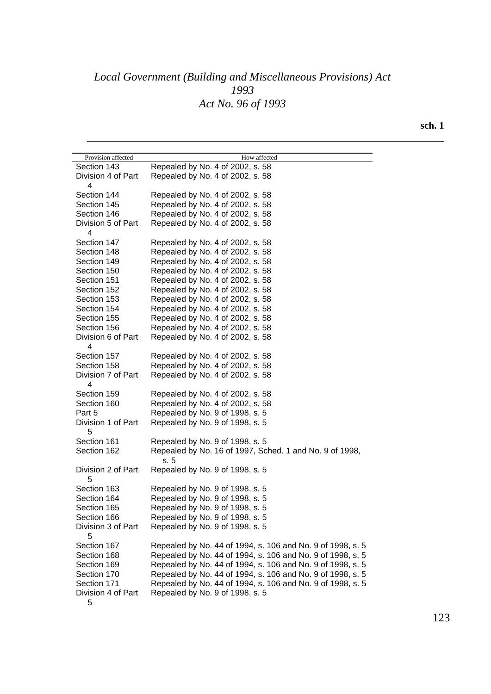| Provision affected      | How affected                                                   |
|-------------------------|----------------------------------------------------------------|
| Section 143             | Repealed by No. 4 of 2002, s. 58                               |
| Division 4 of Part<br>4 | Repealed by No. 4 of 2002, s. 58                               |
| Section 144             | Repealed by No. 4 of 2002, s. 58                               |
| Section 145             | Repealed by No. 4 of 2002, s. 58                               |
| Section 146             | Repealed by No. 4 of 2002, s. 58                               |
| Division 5 of Part      | Repealed by No. 4 of 2002, s. 58                               |
| 4                       |                                                                |
| Section 147             | Repealed by No. 4 of 2002, s. 58                               |
| Section 148             | Repealed by No. 4 of 2002, s. 58                               |
| Section 149             | Repealed by No. 4 of 2002, s. 58                               |
| Section 150             | Repealed by No. 4 of 2002, s. 58                               |
| Section 151             | Repealed by No. 4 of 2002, s. 58                               |
| Section 152             | Repealed by No. 4 of 2002, s. 58                               |
| Section 153             | Repealed by No. 4 of 2002, s. 58                               |
| Section 154             | Repealed by No. 4 of 2002, s. 58                               |
| Section 155             | Repealed by No. 4 of 2002, s. 58                               |
| Section 156             | Repealed by No. 4 of 2002, s. 58                               |
| Division 6 of Part<br>4 | Repealed by No. 4 of 2002, s. 58                               |
| Section 157             | Repealed by No. 4 of 2002, s. 58                               |
| Section 158             | Repealed by No. 4 of 2002, s. 58                               |
| Division 7 of Part<br>4 | Repealed by No. 4 of 2002, s. 58                               |
| Section 159             | Repealed by No. 4 of 2002, s. 58                               |
| Section 160             | Repealed by No. 4 of 2002, s. 58                               |
| Part 5                  | Repealed by No. 9 of 1998, s. 5                                |
| Division 1 of Part<br>5 | Repealed by No. 9 of 1998, s. 5                                |
| Section 161             | Repealed by No. 9 of 1998, s. 5                                |
| Section 162             | Repealed by No. 16 of 1997, Sched. 1 and No. 9 of 1998,<br>s.5 |
| Division 2 of Part<br>5 | Repealed by No. 9 of 1998, s. 5                                |
| Section 163             | Repealed by No. 9 of 1998, s. 5                                |
| Section 164             | Repealed by No. 9 of 1998, s. 5                                |
| Section 165             | Repealed by No. 9 of 1998, s. 5                                |
| Section 166             | Repealed by No. 9 of 1998, s. 5                                |
| Division 3 of Part<br>5 | Repealed by No. 9 of 1998, s. 5                                |
| Section 167             | Repealed by No. 44 of 1994, s. 106 and No. 9 of 1998, s. 5     |
| Section 168             | Repealed by No. 44 of 1994, s. 106 and No. 9 of 1998, s. 5     |
| Section 169             | Repealed by No. 44 of 1994, s. 106 and No. 9 of 1998, s. 5     |
| Section 170             | Repealed by No. 44 of 1994, s. 106 and No. 9 of 1998, s. 5     |
| Section 171             | Repealed by No. 44 of 1994, s. 106 and No. 9 of 1998, s. 5     |
| Division 4 of Part<br>5 | Repealed by No. 9 of 1998, s. 5                                |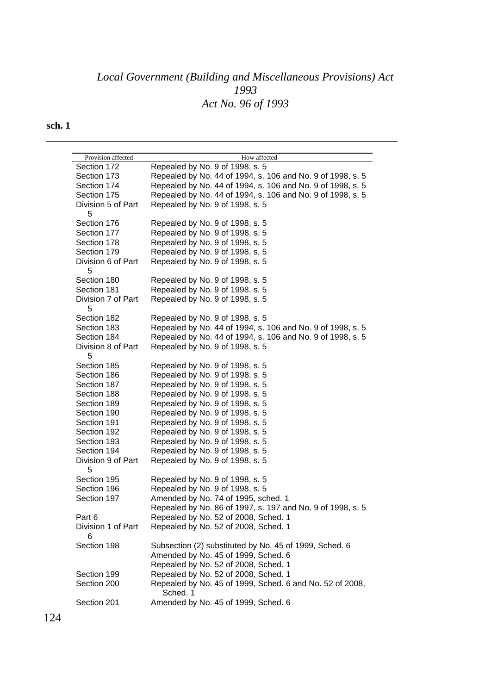| Provision affected      | How affected                                               |
|-------------------------|------------------------------------------------------------|
| Section 172             | Repealed by No. 9 of 1998, s. 5                            |
| Section 173             | Repealed by No. 44 of 1994, s. 106 and No. 9 of 1998, s. 5 |
| Section 174             | Repealed by No. 44 of 1994, s. 106 and No. 9 of 1998, s. 5 |
| Section 175             | Repealed by No. 44 of 1994, s. 106 and No. 9 of 1998, s. 5 |
| Division 5 of Part      | Repealed by No. 9 of 1998, s. 5                            |
| 5                       |                                                            |
| Section 176             | Repealed by No. 9 of 1998, s. 5                            |
| Section 177             | Repealed by No. 9 of 1998, s. 5                            |
| Section 178             | Repealed by No. 9 of 1998, s. 5                            |
| Section 179             | Repealed by No. 9 of 1998, s. 5                            |
| Division 6 of Part      | Repealed by No. 9 of 1998, s. 5                            |
| 5                       |                                                            |
| Section 180             | Repealed by No. 9 of 1998, s. 5                            |
| Section 181             | Repealed by No. 9 of 1998, s. 5                            |
| Division 7 of Part      |                                                            |
| 5                       | Repealed by No. 9 of 1998, s. 5                            |
| Section 182             | Repealed by No. 9 of 1998, s. 5                            |
| Section 183             | Repealed by No. 44 of 1994, s. 106 and No. 9 of 1998, s. 5 |
| Section 184             | Repealed by No. 44 of 1994, s. 106 and No. 9 of 1998, s. 5 |
| Division 8 of Part      | Repealed by No. 9 of 1998, s. 5                            |
| 5                       |                                                            |
| Section 185             | Repealed by No. 9 of 1998, s. 5                            |
| Section 186             | Repealed by No. 9 of 1998, s. 5                            |
| Section 187             | Repealed by No. 9 of 1998, s. 5                            |
| Section 188             | Repealed by No. 9 of 1998, s. 5                            |
| Section 189             | Repealed by No. 9 of 1998, s. 5                            |
| Section 190             | Repealed by No. 9 of 1998, s. 5                            |
| Section 191             | Repealed by No. 9 of 1998, s. 5                            |
| Section 192             | Repealed by No. 9 of 1998, s. 5                            |
| Section 193             | Repealed by No. 9 of 1998, s. 5                            |
| Section 194             | Repealed by No. 9 of 1998, s. 5                            |
| Division 9 of Part<br>5 | Repealed by No. 9 of 1998, s. 5                            |
| Section 195             | Repealed by No. 9 of 1998, s. 5                            |
| Section 196             | Repealed by No. 9 of 1998, s. 5                            |
| Section 197             | Amended by No. 74 of 1995, sched. 1                        |
|                         | Repealed by No. 86 of 1997, s. 197 and No. 9 of 1998, s. 5 |
| Part 6                  | Repealed by No. 52 of 2008, Sched. 1                       |
| Division 1 of Part      | Repealed by No. 52 of 2008, Sched. 1                       |
| 6                       |                                                            |
| Section 198             | Subsection (2) substituted by No. 45 of 1999, Sched. 6     |
|                         | Amended by No. 45 of 1999, Sched. 6                        |
|                         | Repealed by No. 52 of 2008, Sched. 1                       |
| Section 199             | Repealed by No. 52 of 2008, Sched. 1                       |
| Section 200             | Repealed by No. 45 of 1999, Sched. 6 and No. 52 of 2008,   |
|                         | Sched. 1                                                   |
| Section 201             | Amended by No. 45 of 1999, Sched. 6                        |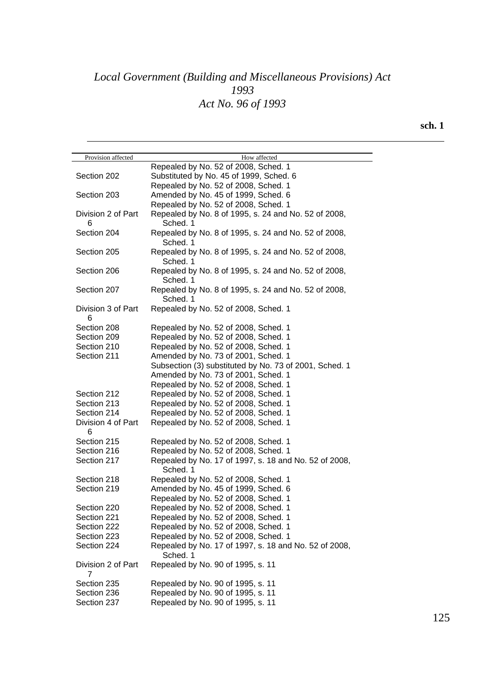| Repealed by No. 52 of 2008, Sched. 1<br>Substituted by No. 45 of 1999, Sched. 6<br>Section 202<br>Repealed by No. 52 of 2008, Sched. 1<br>Amended by No. 45 of 1999, Sched. 6<br>Section 203<br>Repealed by No. 52 of 2008, Sched. 1<br>Repealed by No. 8 of 1995, s. 24 and No. 52 of 2008,<br>Division 2 of Part<br>Sched. 1<br>6<br>Section 204<br>Repealed by No. 8 of 1995, s. 24 and No. 52 of 2008,<br>Sched. 1<br>Section 205<br>Repealed by No. 8 of 1995, s. 24 and No. 52 of 2008,<br>Sched. 1<br>Section 206<br>Repealed by No. 8 of 1995, s. 24 and No. 52 of 2008,<br>Sched. 1<br>Section 207<br>Repealed by No. 8 of 1995, s. 24 and No. 52 of 2008,<br>Sched. 1<br>Division 3 of Part<br>Repealed by No. 52 of 2008, Sched. 1<br>6<br>Section 208<br>Repealed by No. 52 of 2008, Sched. 1<br>Repealed by No. 52 of 2008, Sched. 1<br>Section 209<br>Section 210<br>Repealed by No. 52 of 2008, Sched. 1<br>Section 211<br>Amended by No. 73 of 2001, Sched. 1<br>Subsection (3) substituted by No. 73 of 2001, Sched. 1<br>Amended by No. 73 of 2001, Sched. 1<br>Repealed by No. 52 of 2008, Sched. 1<br>Section 212<br>Repealed by No. 52 of 2008, Sched. 1<br>Repealed by No. 52 of 2008, Sched. 1<br>Section 213<br>Repealed by No. 52 of 2008, Sched. 1<br>Section 214<br>Division 4 of Part<br>Repealed by No. 52 of 2008, Sched. 1<br>6<br>Section 215<br>Repealed by No. 52 of 2008, Sched. 1<br>Section 216<br>Repealed by No. 52 of 2008, Sched. 1<br>Section 217<br>Repealed by No. 17 of 1997, s. 18 and No. 52 of 2008,<br>Sched. 1<br>Section 218<br>Repealed by No. 52 of 2008, Sched. 1<br>Amended by No. 45 of 1999, Sched. 6<br>Section 219<br>Repealed by No. 52 of 2008, Sched. 1<br>Repealed by No. 52 of 2008, Sched. 1<br>Section 220<br>Repealed by No. 52 of 2008, Sched. 1<br>Section 221<br>Repealed by No. 52 of 2008, Sched. 1<br>Section 222<br>Repealed by No. 52 of 2008, Sched. 1<br>Section 223<br>Repealed by No. 17 of 1997, s. 18 and No. 52 of 2008,<br>Section 224<br>Sched. 1<br>Repealed by No. 90 of 1995, s. 11<br>Division 2 of Part<br>Section 235<br>Repealed by No. 90 of 1995, s. 11<br>Section 236<br>Repealed by No. 90 of 1995, s. 11<br>Repealed by No. 90 of 1995, s. 11<br>Section 237 | Provision affected | How affected |
|--------------------------------------------------------------------------------------------------------------------------------------------------------------------------------------------------------------------------------------------------------------------------------------------------------------------------------------------------------------------------------------------------------------------------------------------------------------------------------------------------------------------------------------------------------------------------------------------------------------------------------------------------------------------------------------------------------------------------------------------------------------------------------------------------------------------------------------------------------------------------------------------------------------------------------------------------------------------------------------------------------------------------------------------------------------------------------------------------------------------------------------------------------------------------------------------------------------------------------------------------------------------------------------------------------------------------------------------------------------------------------------------------------------------------------------------------------------------------------------------------------------------------------------------------------------------------------------------------------------------------------------------------------------------------------------------------------------------------------------------------------------------------------------------------------------------------------------------------------------------------------------------------------------------------------------------------------------------------------------------------------------------------------------------------------------------------------------------------------------------------------------------------------------------------------------------------------------------------------------------------------------|--------------------|--------------|
|                                                                                                                                                                                                                                                                                                                                                                                                                                                                                                                                                                                                                                                                                                                                                                                                                                                                                                                                                                                                                                                                                                                                                                                                                                                                                                                                                                                                                                                                                                                                                                                                                                                                                                                                                                                                                                                                                                                                                                                                                                                                                                                                                                                                                                                              |                    |              |
|                                                                                                                                                                                                                                                                                                                                                                                                                                                                                                                                                                                                                                                                                                                                                                                                                                                                                                                                                                                                                                                                                                                                                                                                                                                                                                                                                                                                                                                                                                                                                                                                                                                                                                                                                                                                                                                                                                                                                                                                                                                                                                                                                                                                                                                              |                    |              |
|                                                                                                                                                                                                                                                                                                                                                                                                                                                                                                                                                                                                                                                                                                                                                                                                                                                                                                                                                                                                                                                                                                                                                                                                                                                                                                                                                                                                                                                                                                                                                                                                                                                                                                                                                                                                                                                                                                                                                                                                                                                                                                                                                                                                                                                              |                    |              |
|                                                                                                                                                                                                                                                                                                                                                                                                                                                                                                                                                                                                                                                                                                                                                                                                                                                                                                                                                                                                                                                                                                                                                                                                                                                                                                                                                                                                                                                                                                                                                                                                                                                                                                                                                                                                                                                                                                                                                                                                                                                                                                                                                                                                                                                              |                    |              |
|                                                                                                                                                                                                                                                                                                                                                                                                                                                                                                                                                                                                                                                                                                                                                                                                                                                                                                                                                                                                                                                                                                                                                                                                                                                                                                                                                                                                                                                                                                                                                                                                                                                                                                                                                                                                                                                                                                                                                                                                                                                                                                                                                                                                                                                              |                    |              |
|                                                                                                                                                                                                                                                                                                                                                                                                                                                                                                                                                                                                                                                                                                                                                                                                                                                                                                                                                                                                                                                                                                                                                                                                                                                                                                                                                                                                                                                                                                                                                                                                                                                                                                                                                                                                                                                                                                                                                                                                                                                                                                                                                                                                                                                              |                    |              |
|                                                                                                                                                                                                                                                                                                                                                                                                                                                                                                                                                                                                                                                                                                                                                                                                                                                                                                                                                                                                                                                                                                                                                                                                                                                                                                                                                                                                                                                                                                                                                                                                                                                                                                                                                                                                                                                                                                                                                                                                                                                                                                                                                                                                                                                              |                    |              |
|                                                                                                                                                                                                                                                                                                                                                                                                                                                                                                                                                                                                                                                                                                                                                                                                                                                                                                                                                                                                                                                                                                                                                                                                                                                                                                                                                                                                                                                                                                                                                                                                                                                                                                                                                                                                                                                                                                                                                                                                                                                                                                                                                                                                                                                              |                    |              |
|                                                                                                                                                                                                                                                                                                                                                                                                                                                                                                                                                                                                                                                                                                                                                                                                                                                                                                                                                                                                                                                                                                                                                                                                                                                                                                                                                                                                                                                                                                                                                                                                                                                                                                                                                                                                                                                                                                                                                                                                                                                                                                                                                                                                                                                              |                    |              |
|                                                                                                                                                                                                                                                                                                                                                                                                                                                                                                                                                                                                                                                                                                                                                                                                                                                                                                                                                                                                                                                                                                                                                                                                                                                                                                                                                                                                                                                                                                                                                                                                                                                                                                                                                                                                                                                                                                                                                                                                                                                                                                                                                                                                                                                              |                    |              |
|                                                                                                                                                                                                                                                                                                                                                                                                                                                                                                                                                                                                                                                                                                                                                                                                                                                                                                                                                                                                                                                                                                                                                                                                                                                                                                                                                                                                                                                                                                                                                                                                                                                                                                                                                                                                                                                                                                                                                                                                                                                                                                                                                                                                                                                              |                    |              |
|                                                                                                                                                                                                                                                                                                                                                                                                                                                                                                                                                                                                                                                                                                                                                                                                                                                                                                                                                                                                                                                                                                                                                                                                                                                                                                                                                                                                                                                                                                                                                                                                                                                                                                                                                                                                                                                                                                                                                                                                                                                                                                                                                                                                                                                              |                    |              |
|                                                                                                                                                                                                                                                                                                                                                                                                                                                                                                                                                                                                                                                                                                                                                                                                                                                                                                                                                                                                                                                                                                                                                                                                                                                                                                                                                                                                                                                                                                                                                                                                                                                                                                                                                                                                                                                                                                                                                                                                                                                                                                                                                                                                                                                              |                    |              |
|                                                                                                                                                                                                                                                                                                                                                                                                                                                                                                                                                                                                                                                                                                                                                                                                                                                                                                                                                                                                                                                                                                                                                                                                                                                                                                                                                                                                                                                                                                                                                                                                                                                                                                                                                                                                                                                                                                                                                                                                                                                                                                                                                                                                                                                              |                    |              |
|                                                                                                                                                                                                                                                                                                                                                                                                                                                                                                                                                                                                                                                                                                                                                                                                                                                                                                                                                                                                                                                                                                                                                                                                                                                                                                                                                                                                                                                                                                                                                                                                                                                                                                                                                                                                                                                                                                                                                                                                                                                                                                                                                                                                                                                              |                    |              |
|                                                                                                                                                                                                                                                                                                                                                                                                                                                                                                                                                                                                                                                                                                                                                                                                                                                                                                                                                                                                                                                                                                                                                                                                                                                                                                                                                                                                                                                                                                                                                                                                                                                                                                                                                                                                                                                                                                                                                                                                                                                                                                                                                                                                                                                              |                    |              |
|                                                                                                                                                                                                                                                                                                                                                                                                                                                                                                                                                                                                                                                                                                                                                                                                                                                                                                                                                                                                                                                                                                                                                                                                                                                                                                                                                                                                                                                                                                                                                                                                                                                                                                                                                                                                                                                                                                                                                                                                                                                                                                                                                                                                                                                              |                    |              |
|                                                                                                                                                                                                                                                                                                                                                                                                                                                                                                                                                                                                                                                                                                                                                                                                                                                                                                                                                                                                                                                                                                                                                                                                                                                                                                                                                                                                                                                                                                                                                                                                                                                                                                                                                                                                                                                                                                                                                                                                                                                                                                                                                                                                                                                              |                    |              |
|                                                                                                                                                                                                                                                                                                                                                                                                                                                                                                                                                                                                                                                                                                                                                                                                                                                                                                                                                                                                                                                                                                                                                                                                                                                                                                                                                                                                                                                                                                                                                                                                                                                                                                                                                                                                                                                                                                                                                                                                                                                                                                                                                                                                                                                              |                    |              |
|                                                                                                                                                                                                                                                                                                                                                                                                                                                                                                                                                                                                                                                                                                                                                                                                                                                                                                                                                                                                                                                                                                                                                                                                                                                                                                                                                                                                                                                                                                                                                                                                                                                                                                                                                                                                                                                                                                                                                                                                                                                                                                                                                                                                                                                              |                    |              |
|                                                                                                                                                                                                                                                                                                                                                                                                                                                                                                                                                                                                                                                                                                                                                                                                                                                                                                                                                                                                                                                                                                                                                                                                                                                                                                                                                                                                                                                                                                                                                                                                                                                                                                                                                                                                                                                                                                                                                                                                                                                                                                                                                                                                                                                              |                    |              |
|                                                                                                                                                                                                                                                                                                                                                                                                                                                                                                                                                                                                                                                                                                                                                                                                                                                                                                                                                                                                                                                                                                                                                                                                                                                                                                                                                                                                                                                                                                                                                                                                                                                                                                                                                                                                                                                                                                                                                                                                                                                                                                                                                                                                                                                              |                    |              |
|                                                                                                                                                                                                                                                                                                                                                                                                                                                                                                                                                                                                                                                                                                                                                                                                                                                                                                                                                                                                                                                                                                                                                                                                                                                                                                                                                                                                                                                                                                                                                                                                                                                                                                                                                                                                                                                                                                                                                                                                                                                                                                                                                                                                                                                              |                    |              |
|                                                                                                                                                                                                                                                                                                                                                                                                                                                                                                                                                                                                                                                                                                                                                                                                                                                                                                                                                                                                                                                                                                                                                                                                                                                                                                                                                                                                                                                                                                                                                                                                                                                                                                                                                                                                                                                                                                                                                                                                                                                                                                                                                                                                                                                              |                    |              |
|                                                                                                                                                                                                                                                                                                                                                                                                                                                                                                                                                                                                                                                                                                                                                                                                                                                                                                                                                                                                                                                                                                                                                                                                                                                                                                                                                                                                                                                                                                                                                                                                                                                                                                                                                                                                                                                                                                                                                                                                                                                                                                                                                                                                                                                              |                    |              |
|                                                                                                                                                                                                                                                                                                                                                                                                                                                                                                                                                                                                                                                                                                                                                                                                                                                                                                                                                                                                                                                                                                                                                                                                                                                                                                                                                                                                                                                                                                                                                                                                                                                                                                                                                                                                                                                                                                                                                                                                                                                                                                                                                                                                                                                              |                    |              |
|                                                                                                                                                                                                                                                                                                                                                                                                                                                                                                                                                                                                                                                                                                                                                                                                                                                                                                                                                                                                                                                                                                                                                                                                                                                                                                                                                                                                                                                                                                                                                                                                                                                                                                                                                                                                                                                                                                                                                                                                                                                                                                                                                                                                                                                              |                    |              |
|                                                                                                                                                                                                                                                                                                                                                                                                                                                                                                                                                                                                                                                                                                                                                                                                                                                                                                                                                                                                                                                                                                                                                                                                                                                                                                                                                                                                                                                                                                                                                                                                                                                                                                                                                                                                                                                                                                                                                                                                                                                                                                                                                                                                                                                              |                    |              |
|                                                                                                                                                                                                                                                                                                                                                                                                                                                                                                                                                                                                                                                                                                                                                                                                                                                                                                                                                                                                                                                                                                                                                                                                                                                                                                                                                                                                                                                                                                                                                                                                                                                                                                                                                                                                                                                                                                                                                                                                                                                                                                                                                                                                                                                              |                    |              |
|                                                                                                                                                                                                                                                                                                                                                                                                                                                                                                                                                                                                                                                                                                                                                                                                                                                                                                                                                                                                                                                                                                                                                                                                                                                                                                                                                                                                                                                                                                                                                                                                                                                                                                                                                                                                                                                                                                                                                                                                                                                                                                                                                                                                                                                              |                    |              |
|                                                                                                                                                                                                                                                                                                                                                                                                                                                                                                                                                                                                                                                                                                                                                                                                                                                                                                                                                                                                                                                                                                                                                                                                                                                                                                                                                                                                                                                                                                                                                                                                                                                                                                                                                                                                                                                                                                                                                                                                                                                                                                                                                                                                                                                              |                    |              |
|                                                                                                                                                                                                                                                                                                                                                                                                                                                                                                                                                                                                                                                                                                                                                                                                                                                                                                                                                                                                                                                                                                                                                                                                                                                                                                                                                                                                                                                                                                                                                                                                                                                                                                                                                                                                                                                                                                                                                                                                                                                                                                                                                                                                                                                              |                    |              |
|                                                                                                                                                                                                                                                                                                                                                                                                                                                                                                                                                                                                                                                                                                                                                                                                                                                                                                                                                                                                                                                                                                                                                                                                                                                                                                                                                                                                                                                                                                                                                                                                                                                                                                                                                                                                                                                                                                                                                                                                                                                                                                                                                                                                                                                              |                    |              |
|                                                                                                                                                                                                                                                                                                                                                                                                                                                                                                                                                                                                                                                                                                                                                                                                                                                                                                                                                                                                                                                                                                                                                                                                                                                                                                                                                                                                                                                                                                                                                                                                                                                                                                                                                                                                                                                                                                                                                                                                                                                                                                                                                                                                                                                              |                    |              |
|                                                                                                                                                                                                                                                                                                                                                                                                                                                                                                                                                                                                                                                                                                                                                                                                                                                                                                                                                                                                                                                                                                                                                                                                                                                                                                                                                                                                                                                                                                                                                                                                                                                                                                                                                                                                                                                                                                                                                                                                                                                                                                                                                                                                                                                              |                    |              |
|                                                                                                                                                                                                                                                                                                                                                                                                                                                                                                                                                                                                                                                                                                                                                                                                                                                                                                                                                                                                                                                                                                                                                                                                                                                                                                                                                                                                                                                                                                                                                                                                                                                                                                                                                                                                                                                                                                                                                                                                                                                                                                                                                                                                                                                              |                    |              |
|                                                                                                                                                                                                                                                                                                                                                                                                                                                                                                                                                                                                                                                                                                                                                                                                                                                                                                                                                                                                                                                                                                                                                                                                                                                                                                                                                                                                                                                                                                                                                                                                                                                                                                                                                                                                                                                                                                                                                                                                                                                                                                                                                                                                                                                              |                    |              |
|                                                                                                                                                                                                                                                                                                                                                                                                                                                                                                                                                                                                                                                                                                                                                                                                                                                                                                                                                                                                                                                                                                                                                                                                                                                                                                                                                                                                                                                                                                                                                                                                                                                                                                                                                                                                                                                                                                                                                                                                                                                                                                                                                                                                                                                              |                    |              |
|                                                                                                                                                                                                                                                                                                                                                                                                                                                                                                                                                                                                                                                                                                                                                                                                                                                                                                                                                                                                                                                                                                                                                                                                                                                                                                                                                                                                                                                                                                                                                                                                                                                                                                                                                                                                                                                                                                                                                                                                                                                                                                                                                                                                                                                              |                    |              |
|                                                                                                                                                                                                                                                                                                                                                                                                                                                                                                                                                                                                                                                                                                                                                                                                                                                                                                                                                                                                                                                                                                                                                                                                                                                                                                                                                                                                                                                                                                                                                                                                                                                                                                                                                                                                                                                                                                                                                                                                                                                                                                                                                                                                                                                              |                    |              |
|                                                                                                                                                                                                                                                                                                                                                                                                                                                                                                                                                                                                                                                                                                                                                                                                                                                                                                                                                                                                                                                                                                                                                                                                                                                                                                                                                                                                                                                                                                                                                                                                                                                                                                                                                                                                                                                                                                                                                                                                                                                                                                                                                                                                                                                              |                    |              |
|                                                                                                                                                                                                                                                                                                                                                                                                                                                                                                                                                                                                                                                                                                                                                                                                                                                                                                                                                                                                                                                                                                                                                                                                                                                                                                                                                                                                                                                                                                                                                                                                                                                                                                                                                                                                                                                                                                                                                                                                                                                                                                                                                                                                                                                              |                    |              |
|                                                                                                                                                                                                                                                                                                                                                                                                                                                                                                                                                                                                                                                                                                                                                                                                                                                                                                                                                                                                                                                                                                                                                                                                                                                                                                                                                                                                                                                                                                                                                                                                                                                                                                                                                                                                                                                                                                                                                                                                                                                                                                                                                                                                                                                              |                    |              |
|                                                                                                                                                                                                                                                                                                                                                                                                                                                                                                                                                                                                                                                                                                                                                                                                                                                                                                                                                                                                                                                                                                                                                                                                                                                                                                                                                                                                                                                                                                                                                                                                                                                                                                                                                                                                                                                                                                                                                                                                                                                                                                                                                                                                                                                              |                    |              |